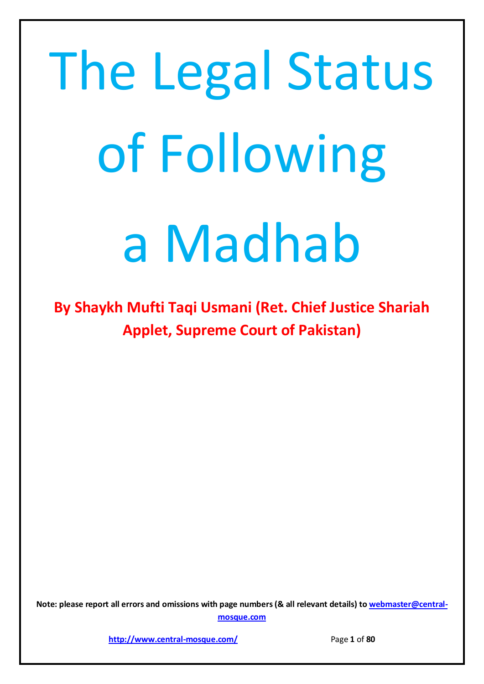# The Legal Status of Following a Madhab

**By Shaykh Mufti Taqi Usmani (Ret. Chief Justice Shariah Applet, Supreme Court of Pakistan)**

**Note: please report all errors and omissions with page numbers(& all relevant details) to [webmaster@central](mailto:webmaster@central-mosque.com)[mosque.com](mailto:webmaster@central-mosque.com)**

**http://www.central-mosque.com/** Page **1** of **80**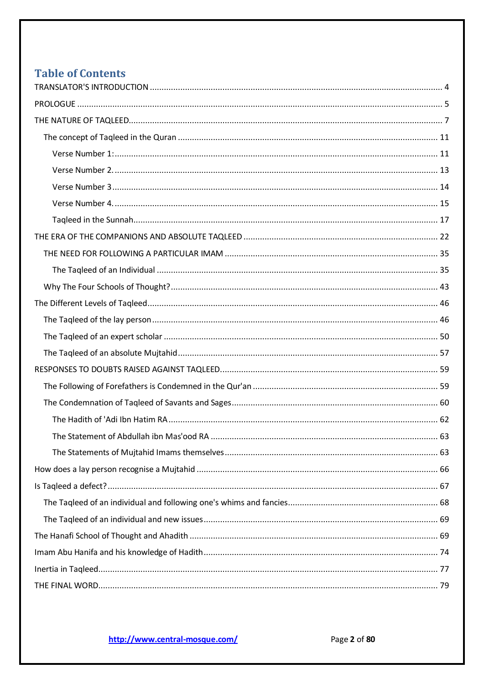# **Table of Contents**

http://www.central-mosque.com/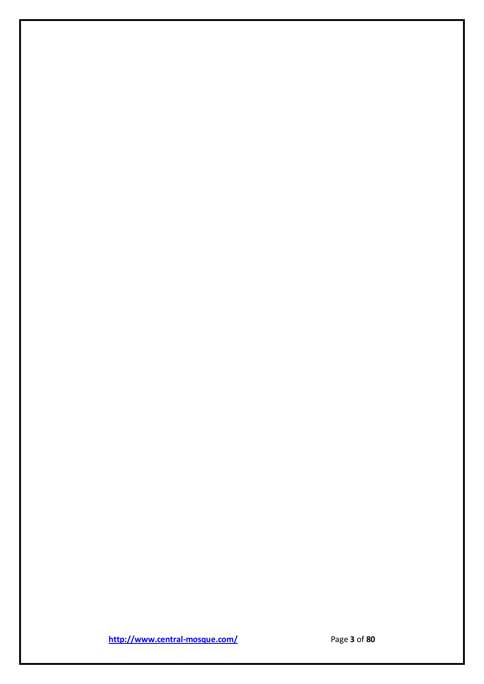**http://www.central-mosque.com/** Page **3** of **80**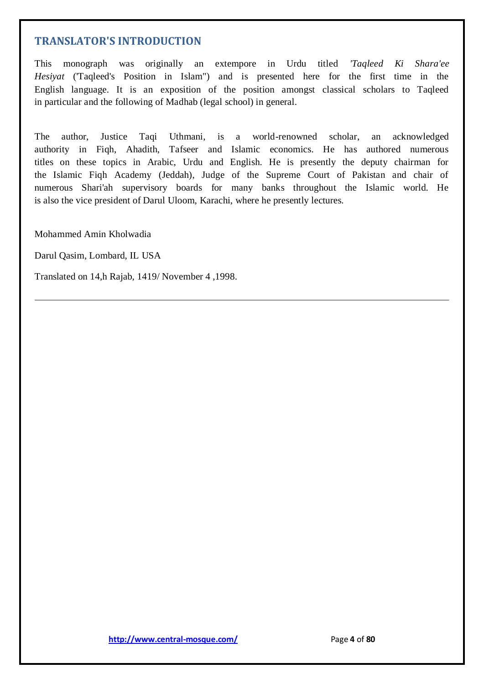# <span id="page-3-0"></span>**TRANSLATOR'S INTRODUCTION**

This monograph was originally an extempore in Urdu titled *'Taqleed Ki Shara'ee Hesiyat* ('Taqleed's Position in Islam") and is presented here for the first time in the English language. It is an exposition of the position amongst classical scholars to Taqleed in particular and the following of Madhab (legal school) in general.

The author, Justice Taqi Uthmani, is a world-renowned scholar, an acknowledged authority in Fiqh, Ahadith, Tafseer and Islamic economics. He has authored numerous titles on these topics in Arabic, Urdu and English. He is presently the deputy chairman for the Islamic Fiqh Academy (Jeddah), Judge of the Supreme Court of Pakistan and chair of numerous Shari'ah supervisory boards for many banks throughout the Islamic world. He is also the vice president of Darul Uloom, Karachi, where he presently lectures.

Mohammed Amin Kholwadia

Darul Qasim, Lombard, IL USA

Translated on 14,h Rajab, 1419/ November 4 ,1998.

**http://www.central-mosque.com/** Page **4** of **80**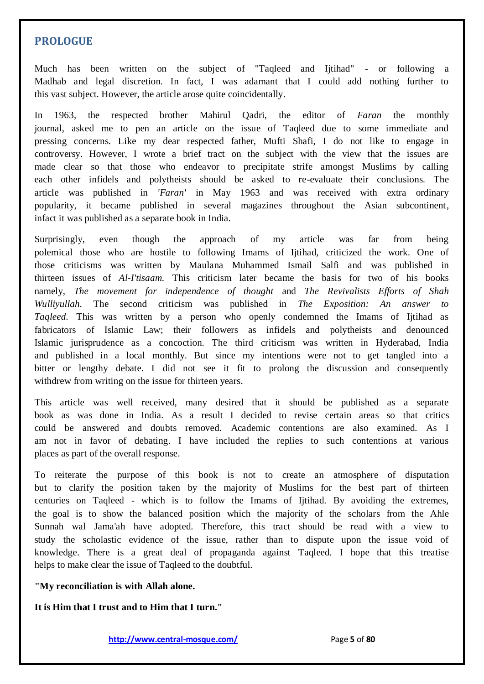# <span id="page-4-0"></span>**PROLOGUE**

Much has been written on the subject of "Taqleed and Ijtihad" - or following a Madhab and legal discretion. In fact, I was adamant that I could add nothing further to this vast subject. However, the article arose quite coincidentally.

In 1963, the respected brother Mahirul Qadri, the editor of *Faran* the monthly journal, asked me to pen an article on the issue of Taqleed due to some immediate and pressing concerns. Like my dear respected father, Mufti Shafi, I do not like to engage in controversy. However, I wrote a brief tract on the subject with the view that the issues are made clear so that those who endeavor to precipitate strife amongst Muslims by calling each other infidels and polytheists should be asked to re-evaluate their conclusions. The article was published in *'Faran'* in May 1963 and was received with extra ordinary popularity, it became published in several magazines throughout the Asian subcontinent, infact it was published as a separate book in India.

Surprisingly, even though the approach of my article was far from being polemical those who are hostile to following Imams of Ijtihad, criticized the work. One of those criticisms was written by Maulana Muhammed Ismail Salfi and was published in thirteen issues of *Al-I'tisaam.* This criticism later became the basis for two of his books namely, *The movement for independence of thought* and *The Revivalists Efforts of Shah Wulliyullah.* The second criticism was published in *The Exposition: An answer to Taqleed.* This was written by a person who openly condemned the Imams of Ijtihad as fabricators of Islamic Law; their followers as infidels and polytheists and denounced Islamic jurisprudence as a concoction. The third criticism was written in Hyderabad, India and published in a local monthly. But since my intentions were not to get tangled into a bitter or lengthy debate. I did not see it fit to prolong the discussion and consequently withdrew from writing on the issue for thirteen years.

This article was well received, many desired that it should be published as a separate book as was done in India. As a result I decided to revise certain areas so that critics could be answered and doubts removed. Academic contentions are also examined. As I am not in favor of debating. I have included the replies to such contentions at various places as part of the overall response.

To reiterate the purpose of this book is not to create an atmosphere of disputation but to clarify the position taken by the majority of Muslims for the best part of thirteen centuries on Taqleed - which is to follow the Imams of Ijtihad. By avoiding the extremes, the goal is to show the balanced position which the majority of the scholars from the Ahle Sunnah wal Jama'ah have adopted. Therefore, this tract should be read with a view to study the scholastic evidence of the issue, rather than to dispute upon the issue void of knowledge. There is a great deal of propaganda against Taqleed. I hope that this treatise helps to make clear the issue of Taqleed to the doubtful.

**"My reconciliation is with Allah alone.** 

**It is Him that I trust and to Him that I turn."** 

**http://www.central-mosque.com/** Page **5** of **80**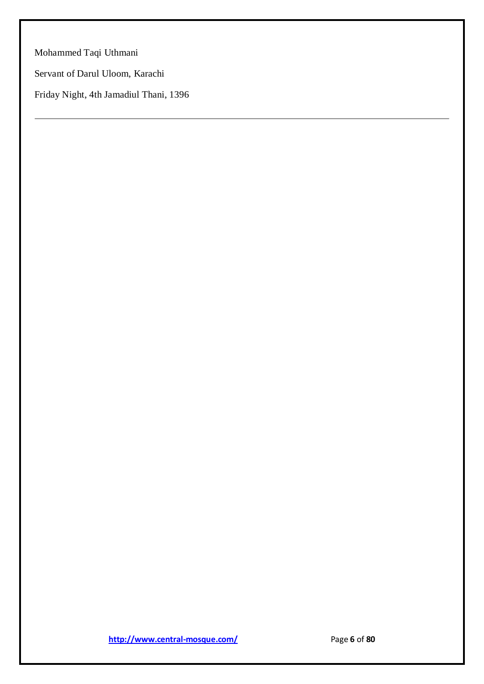Mohammed Taqi Uthmani

Servant of Darul Uloom, Karachi

Friday Night, 4th Jamadiul Thani, 1396

**http://www.central-mosque.com/** Page **6** of **80**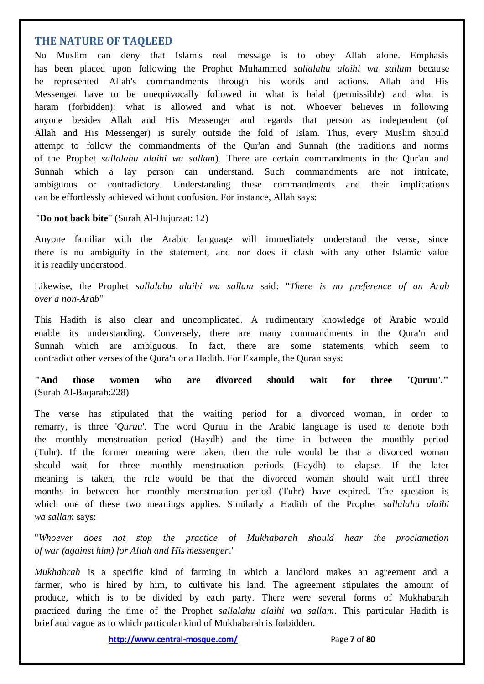# <span id="page-6-0"></span>**THE NATURE OF TAQLEED**

No Muslim can deny that Islam's real message is to obey Allah alone. Emphasis has been placed upon following the Prophet Muhammed *sallalahu alaihi wa sallam* because he represented Allah's commandments through his words and actions. Allah and His Messenger have to be unequivocally followed in what is halal (permissible) and what is haram (forbidden): what is allowed and what is not. Whoever believes in following anyone besides Allah and His Messenger and regards that person as independent (of Allah and His Messenger) is surely outside the fold of Islam. Thus, every Muslim should attempt to follow the commandments of the Qur'an and Sunnah (the traditions and norms of the Prophet *sallalahu alaihi wa sallam*). There are certain commandments in the Qur'an and Sunnah which a lay person can understand. Such commandments are not intricate, ambiguous or contradictory. Understanding these commandments and their implications can be effortlessly achieved without confusion. For instance, Allah says:

### **"Do not back bite**" (Surah Al-Hujuraat: 12)

Anyone familiar with the Arabic language will immediately understand the verse, since there is no ambiguity in the statement, and nor does it clash with any other Islamic value it is readily understood.

Likewise, the Prophet *sallalahu alaihi wa sallam* said: "*There is no preference of an Arab over a non-Arab*"

This Hadith is also clear and uncomplicated. A rudimentary knowledge of Arabic would enable its understanding. Conversely, there are many commandments in the Qura'n and Sunnah which are ambiguous. In fact, there are some statements which seem to contradict other verses of the Qura'n or a Hadith. For Example, the Quran says:

**"And those women who are divorced should wait for three 'Quruu'."**  (Surah Al-Baqarah:228)

The verse has stipulated that the waiting period for a divorced woman, in order to remarry, is three '*Quruu*'. The word Quruu in the Arabic language is used to denote both the monthly menstruation period (Haydh) and the time in between the monthly period (Tuhr). If the former meaning were taken, then the rule would be that a divorced woman should wait for three monthly menstruation periods (Haydh) to elapse. If the later meaning is taken, the rule would be that the divorced woman should wait until three months in between her monthly menstruation period (Tuhr) have expired. The question is which one of these two meanings applies. Similarly a Hadith of the Prophet *sallalahu alaihi wa sallam* says:

"*Whoever does not stop the practice of Mukhabarah should hear the proclamation of war (against him) for Allah and His messenger*."

*Mukhabrah* is a specific kind of farming in which a landlord makes an agreement and a farmer, who is hired by him, to cultivate his land. The agreement stipulates the amount of produce, which is to be divided by each party. There were several forms of Mukhabarah practiced during the time of the Prophet *sallalahu alaihi wa sallam*. This particular Hadith is brief and vague as to which particular kind of Mukhabarah is forbidden.

**http://www.central-mosque.com/** Page **7** of **80**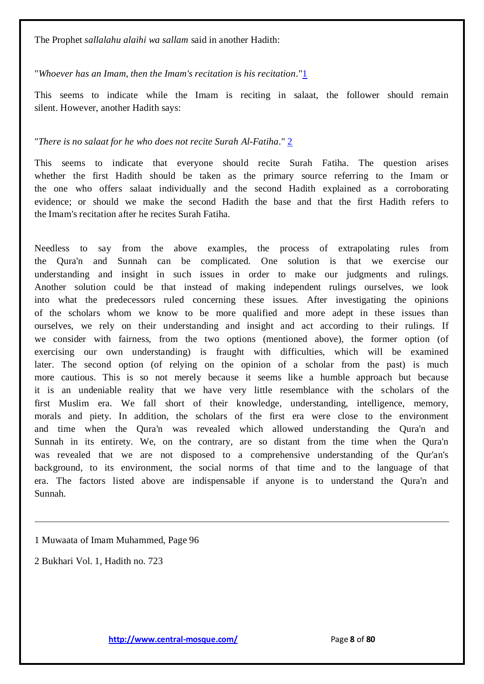The Prophet *sallalahu alaihi wa sallam* said in another Hadith:

"*Whoever has an Imam, then the Imam's recitation is his recitation*.["1](LegalS.html#4)

This seems to indicate while the Imam is reciting in salaat, the follower should remain silent. However, another Hadith says:

# "*There is no salaat for he who does not recite Surah Al-Fatiha*." [2](LegalS.html#4)

This seems to indicate that everyone should recite Surah Fatiha. The question arises whether the first Hadith should be taken as the primary source referring to the Imam or the one who offers salaat individually and the second Hadith explained as a corroborating evidence; or should we make the second Hadith the base and that the first Hadith refers to the Imam's recitation after he recites Surah Fatiha.

Needless to say from the above examples, the process of extrapolating rules from the Qura'n and Sunnah can be complicated. One solution is that we exercise our understanding and insight in such issues in order to make our judgments and rulings. Another solution could be that instead of making independent rulings ourselves, we look into what the predecessors ruled concerning these issues. After investigating the opinions of the scholars whom we know to be more qualified and more adept in these issues than ourselves, we rely on their understanding and insight and act according to their rulings. If we consider with fairness, from the two options (mentioned above), the former option (of exercising our own understanding) is fraught with difficulties, which will be examined later. The second option (of relying on the opinion of a scholar from the past) is much more cautious. This is so not merely because it seems like a humble approach but because it is an undeniable reality that we have very little resemblance with the scholars of the first Muslim era. We fall short of their knowledge, understanding, intelligence, memory, morals and piety. In addition, the scholars of the first era were close to the environment and time when the Qura'n was revealed which allowed understanding the Qura'n and Sunnah in its entirety. We, on the contrary, are so distant from the time when the Qura'n was revealed that we are not disposed to a comprehensive understanding of the Qur'an's background, to its environment, the social norms of that time and to the language of that era. The factors listed above are indispensable if anyone is to understand the Qura'n and Sunnah.

- 1 Muwaata of Imam Muhammed, Page 96
- 2 Bukhari Vol. 1, Hadith no. 723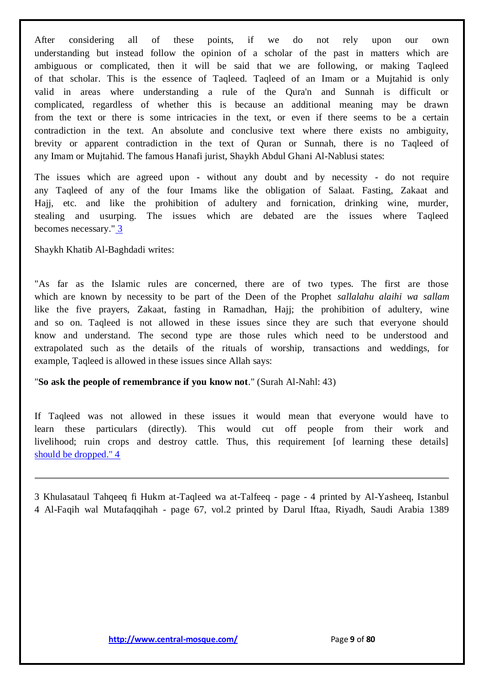After considering all of these points, if we do not rely upon our own understanding but instead follow the opinion of a scholar of the past in matters which are ambiguous or complicated, then it will be said that we are following, or making Taqleed of that scholar. This is the essence of Taqleed. Taqleed of an Imam or a Mujtahid is only valid in areas where understanding a rule of the Qura'n and Sunnah is difficult or complicated, regardless of whether this is because an additional meaning may be drawn from the text or there is some intricacies in the text, or even if there seems to be a certain contradiction in the text. An absolute and conclusive text where there exists no ambiguity, brevity or apparent contradiction in the text of Quran or Sunnah, there is no Taqleed of any Imam or Mujtahid. The famous Hanafi jurist, Shaykh Abdul Ghani Al-Nablusi states:

The issues which are agreed upon - without any doubt and by necessity - do not require any Taqleed of any of the four Imams like the obligation of Salaat. Fasting, Zakaat and Hajj, etc. and like the prohibition of adultery and fornication, drinking wine, murder, stealing and usurping. The issues which are debated are the issues where Taqleed becomes necessary." [3](LegalS.html#5)

Shaykh Khatib Al-Baghdadi writes:

"As far as the Islamic rules are concerned, there are of two types. The first are those which are known by necessity to be part of the Deen of the Prophet *sallalahu alaihi wa sallam* like the five prayers, Zakaat, fasting in Ramadhan, Hajj; the prohibition of adultery, wine and so on. Taqleed is not allowed in these issues since they are such that everyone should know and understand. The second type are those rules which need to be understood and extrapolated such as the details of the rituals of worship, transactions and weddings, for example, Taqleed is allowed in these issues since Allah says:

"**So ask the people of remembrance if you know not**." (Surah Al-Nahl: 43)

If Taqleed was not allowed in these issues it would mean that everyone would have to learn these particulars (directly). This would cut off people from their work and livelihood; ruin crops and destroy cattle. Thus, this requirement [of learning these details] [should be dropped." 4](LegalS.html#5)

3 Khulasataul Tahqeeq fi Hukm at-Taqleed wa at-Talfeeq - page - 4 printed by Al-Yasheeq, Istanbul 4 Al-Faqih wal Mutafaqqihah - page 67, vol.2 printed by Darul Iftaa, Riyadh, Saudi Arabia 1389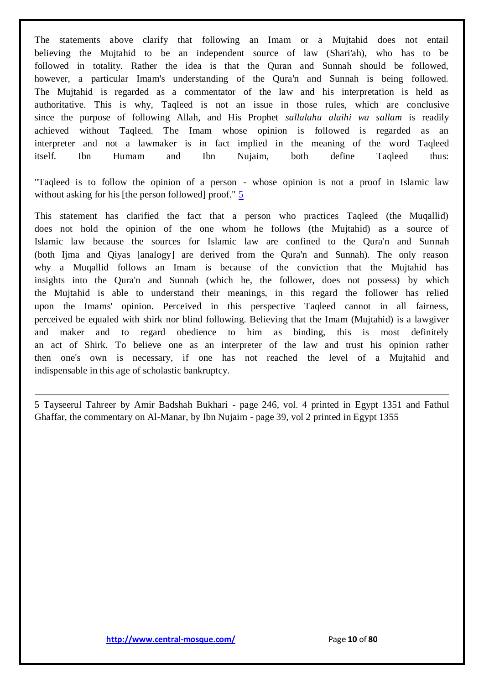The statements above clarify that following an Imam or a Mujtahid does not entail believing the Mujtahid to be an independent source of law (Shari'ah), who has to be followed in totality. Rather the idea is that the Quran and Sunnah should be followed, however, a particular Imam's understanding of the Qura'n and Sunnah is being followed. The Mujtahid is regarded as a commentator of the law and his interpretation is held as authoritative. This is why, Taqleed is not an issue in those rules, which are conclusive since the purpose of following Allah, and His Prophet *sallalahu alaihi wa sallam* is readily achieved without Taqleed. The Imam whose opinion is followed is regarded as an interpreter and not a lawmaker is in fact implied in the meaning of the word Taqleed itself. Ibn Humam and Ibn Nujaim, both define Taqleed thus:

"Taqleed is to follow the opinion of a person - whose opinion is not a proof in Islamic law without asking for his [the person followed] proof." [5](LegalS.html#5)

This statement has clarified the fact that a person who practices Taqleed (the Muqallid) does not hold the opinion of the one whom he follows (the Mujtahid) as a source of Islamic law because the sources for Islamic law are confined to the Qura'n and Sunnah (both Ijma and Qiyas [analogy] are derived from the Qura'n and Sunnah). The only reason why a Muqallid follows an Imam is because of the conviction that the Mujtahid has insights into the Qura'n and Sunnah (which he, the follower, does not possess) by which the Mujtahid is able to understand their meanings, in this regard the follower has relied upon the Imams' opinion. Perceived in this perspective Taqleed cannot in all fairness, perceived be equaled with shirk nor blind following. Believing that the Imam (Mujtahid) is a lawgiver and maker and to regard obedience to him as binding, this is most definitely an act of Shirk. To believe one as an interpreter of the law and trust his opinion rather then one's own is necessary, if one has not reached the level of a Mujtahid and indispensable in this age of scholastic bankruptcy.

5 Tayseerul Tahreer by Amir Badshah Bukhari - page 246, vol. 4 printed in Egypt 1351 and Fathul Ghaffar, the commentary on Al-Manar, by Ibn Nujaim - page 39, vol 2 printed in Egypt 1355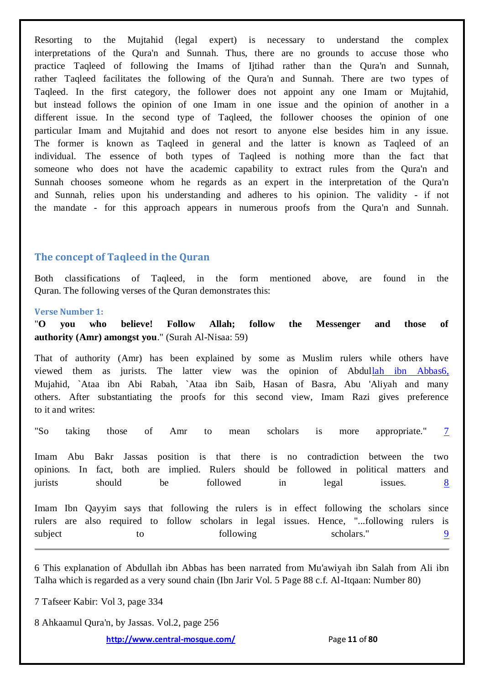Resorting to the Mujtahid (legal expert) is necessary to understand the complex interpretations of the Qura'n and Sunnah. Thus, there are no grounds to accuse those who practice Taqleed of following the Imams of Ijtihad rather than the Qura'n and Sunnah, rather Taqleed facilitates the following of the Qura'n and Sunnah. There are two types of Taqleed. In the first category, the follower does not appoint any one Imam or Mujtahid, but instead follows the opinion of one Imam in one issue and the opinion of another in a different issue. In the second type of Taqleed, the follower chooses the opinion of one particular Imam and Mujtahid and does not resort to anyone else besides him in any issue. The former is known as Taqleed in general and the latter is known as Taqleed of an individual. The essence of both types of Taqleed is nothing more than the fact that someone who does not have the academic capability to extract rules from the Qura'n and Sunnah chooses someone whom he regards as an expert in the interpretation of the Qura'n and Sunnah, relies upon his understanding and adheres to his opinion. The validity - if not the mandate - for this approach appears in numerous proofs from the Qura'n and Sunnah.

## <span id="page-10-0"></span>**The concept of Taqleed in the Quran**

Both classifications of Taqleed, in the form mentioned above, are found in the Quran. The following verses of the Quran demonstrates this:

### <span id="page-10-1"></span>**Verse Number 1:**

"**O you who believe! Follow Allah; follow the Messenger and those of authority (Amr) amongst you**." (Surah Al-Nisaa: 59)

That of authority (Amr) has been explained by some as Muslim rulers while others have viewed them as jurists. The latter view was the opinion of Abdu[llah ibn Abbas6,](LegalS.html#6)  Mujahid, `Ataa ibn Abi Rabah, `Ataa ibn Saib, Hasan of Basra, Abu 'Aliyah and many others. After substantiating the proofs for this second view, Imam Razi gives preference to it and writes:

"So taking those of Amr to mean scholars is more appropriate." [7](LegalS.html#6)

Imam Abu Bakr Jassas position is that there is no contradiction between the two opinions. In fact, both are implied. Rulers should be followed in political matters and jurists should be followed in legal issues. [8](LegalS.html#6)

Imam Ibn Qayyim says that following the rulers is in effect following the scholars since rulers are also required to follow scholars in legal issues. Hence, "...following rulers is subject to to following scholars." [9](LegalS.html#6)

6 This explanation of Abdullah ibn Abbas has been narrated from Mu'awiyah ibn Salah from Ali ibn Talha which is regarded as a very sound chain (Ibn Jarir Vol. 5 Page 88 c.f. Al-Itqaan: Number 80)

7 Tafseer Kabir: Vol 3, page 334

8 Ahkaamul Qura'n, by Jassas. Vol.2, page 256

**http://www.central-mosque.com/** Page **11** of **80**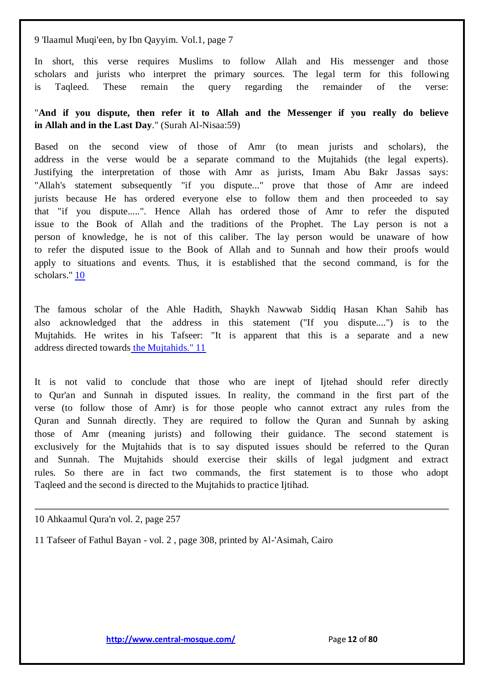9 'Ilaamul Muqi'een, by Ibn Qayyim. Vol.1, page 7

In short, this verse requires Muslims to follow Allah and His messenger and those scholars and jurists who interpret the primary sources. The legal term for this following is Taqleed. These remain the query regarding the remainder of the verse:

# "**And if you dispute, then refer it to Allah and the Messenger if you really do believe in Allah and in the Last Day**." (Surah Al-Nisaa:59)

Based on the second view of those of Amr (to mean jurists and scholars), the address in the verse would be a separate command to the Mujtahids (the legal experts). Justifying the interpretation of those with Amr as jurists, Imam Abu Bakr Jassas says: "Allah's statement subsequently "if you dispute..." prove that those of Amr are indeed jurists because He has ordered everyone else to follow them and then proceeded to say that "if you dispute.....". Hence Allah has ordered those of Amr to refer the disputed issue to the Book of Allah and the traditions of the Prophet. The Lay person is not a person of knowledge, he is not of this caliber. The lay person would be unaware of how to refer the disputed issue to the Book of Allah and to Sunnah and how their proofs would apply to situations and events. Thus, it is established that the second command, is for the scholars." [10](LegalS.html#7)

The famous scholar of the Ahle Hadith, Shaykh Nawwab Siddiq Hasan Khan Sahib has also acknowledged that the address in this statement ("If you dispute....") is to the Mujtahids. He writes in his Tafseer: "It is apparent that this is a separate and a new address directed towards [the Mujtahids." 11](LegalS.html#7)

It is not valid to conclude that those who are inept of Ijtehad should refer directly to Qur'an and Sunnah in disputed issues. In reality, the command in the first part of the verse (to follow those of Amr) is for those people who cannot extract any rules from the Quran and Sunnah directly. They are required to follow the Quran and Sunnah by asking those of Amr (meaning jurists) and following their guidance. The second statement is exclusively for the Mujtahids that is to say disputed issues should be referred to the Quran and Sunnah. The Mujtahids should exercise their skills of legal judgment and extract rules. So there are in fact two commands, the first statement is to those who adopt Taqleed and the second is directed to the Mujtahids to practice Ijtihad.

10 Ahkaamul Qura'n vol. 2, page 257

11 Tafseer of Fathul Bayan - vol. 2 , page 308, printed by Al-'Asimah, Cairo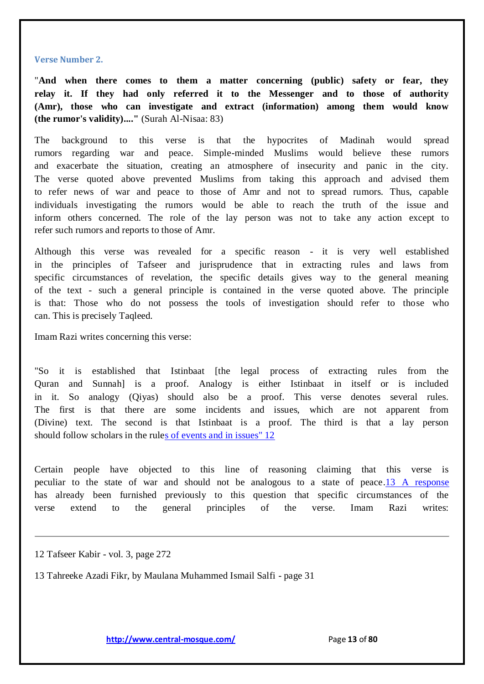### <span id="page-12-0"></span>**Verse Number 2.**

"**And when there comes to them a matter concerning (public) safety or fear, they relay it. If they had only referred it to the Messenger and to those of authority (Amr), those who can investigate and extract (information) among them would know (the rumor's validity)...."** (Surah Al-Nisaa: 83)

The background to this verse is that the hypocrites of Madinah would spread rumors regarding war and peace. Simple-minded Muslims would believe these rumors and exacerbate the situation, creating an atmosphere of insecurity and panic in the city. The verse quoted above prevented Muslims from taking this approach and advised them to refer news of war and peace to those of Amr and not to spread rumors. Thus, capable individuals investigating the rumors would be able to reach the truth of the issue and inform others concerned. The role of the lay person was not to take any action except to refer such rumors and reports to those of Amr.

Although this verse was revealed for a specific reason - it is very well established in the principles of Tafseer and jurisprudence that in extracting rules and laws from specific circumstances of revelation, the specific details gives way to the general meaning of the text - such a general principle is contained in the verse quoted above. The principle is that: Those who do not possess the tools of investigation should refer to those who can. This is precisely Taqleed.

Imam Razi writes concerning this verse:

"So it is established that Istinbaat [the legal process of extracting rules from the Quran and Sunnah] is a proof. Analogy is either Istinbaat in itself or is included in it. So analogy (Qiyas) should also be a proof. This verse denotes several rules. The first is that there are some incidents and issues, which are not apparent from (Divine) text. The second is that Istinbaat is a proof. The third is that a lay person should follow scholars in the rul[es of events and in issues" 12](LegalS.html#8)

Certain people have objected to this line of reasoning claiming that this verse is peculiar to the state of war and should not be analogous to a state of peace[.13 A response](LegalS.html#8)  has already been furnished previously to this question that specific circumstances of the verse extend to the general principles of the verse. Imam Razi writes:

12 Tafseer Kabir - vol. 3, page 272

13 Tahreeke Azadi Fikr, by Maulana Muhammed Ismail Salfi - page 31

**http://www.central-mosque.com/** Page **13** of **80**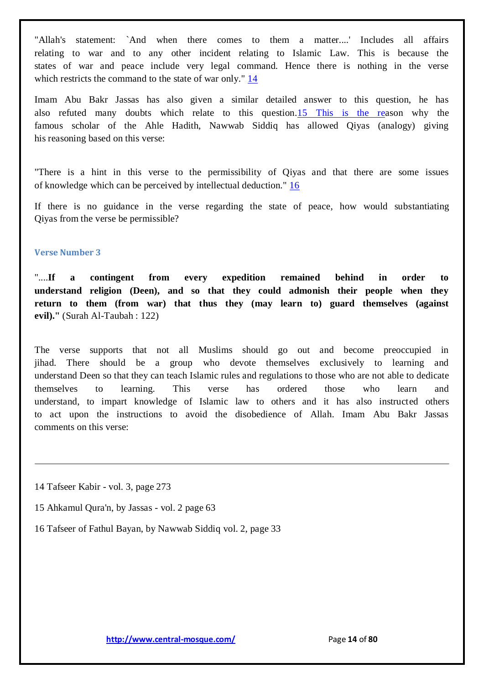"Allah's statement: `And when there comes to them a matter....' Includes all affairs relating to war and to any other incident relating to Islamic Law. This is because the states of war and peace include very legal command. Hence there is nothing in the verse which restricts the command to the state of war only." [14](LegalS.html#8)

Imam Abu Bakr Jassas has also given a similar detailed answer to this question, he has also refuted many doubts which relate to this question[.15 This is the rea](LegalS.html#8)son why the famous scholar of the Ahle Hadith, Nawwab Siddiq has allowed Qiyas (analogy) giving his reasoning based on this verse:

"There is a hint in this verse to the permissibility of Qiyas and that there are some issues of knowledge which can be perceived by intellectual deduction." [16](LegalS.html#8)

If there is no guidance in the verse regarding the state of peace, how would substantiating Qiyas from the verse be permissible?

### <span id="page-13-0"></span>**Verse Number 3**

"....**If a contingent from every expedition remained behind in order to understand religion (Deen), and so that they could admonish their people when they return to them (from war) that thus they (may learn to) guard themselves (against evil)."** (Surah Al-Taubah : 122)

The verse supports that not all Muslims should go out and become preoccupied in jihad. There should be a group who devote themselves exclusively to learning and understand Deen so that they can teach Islamic rules and regulations to those who are not able to dedicate themselves to learning. This verse has ordered those who learn and understand, to impart knowledge of Islamic law to others and it has also instructed others to act upon the instructions to avoid the disobedience of Allah. Imam Abu Bakr Jassas comments on this verse:

14 Tafseer Kabir - vol. 3, page 273

15 Ahkamul Qura'n, by Jassas - vol. 2 page 63

16 Tafseer of Fathul Bayan, by Nawwab Siddiq vol. 2, page 33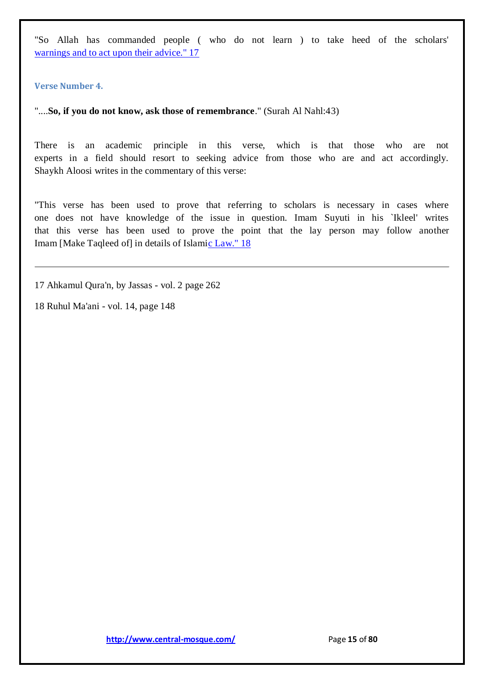"So Allah has commanded people ( who do not learn ) to take heed of the scholars' [warnings and to act upon their advice." 17](LegalS.html#9)

<span id="page-14-0"></span>**Verse Number 4.** 

"....**So, if you do not know, ask those of remembrance**." (Surah Al Nahl:43)

There is an academic principle in this verse, which is that those who are not experts in a field should resort to seeking advice from those who are and act accordingly. Shaykh Aloosi writes in the commentary of this verse:

"This verse has been used to prove that referring to scholars is necessary in cases where one does not have knowledge of the issue in question. Imam Suyuti in his `Ikleel' writes that this verse has been used to prove the point that the lay person may follow another Imam [Make Taqleed of] in details of Islam[ic Law." 18](LegalS.html#9)

17 Ahkamul Qura'n, by Jassas - vol. 2 page 262

18 Ruhul Ma'ani - vol. 14, page 148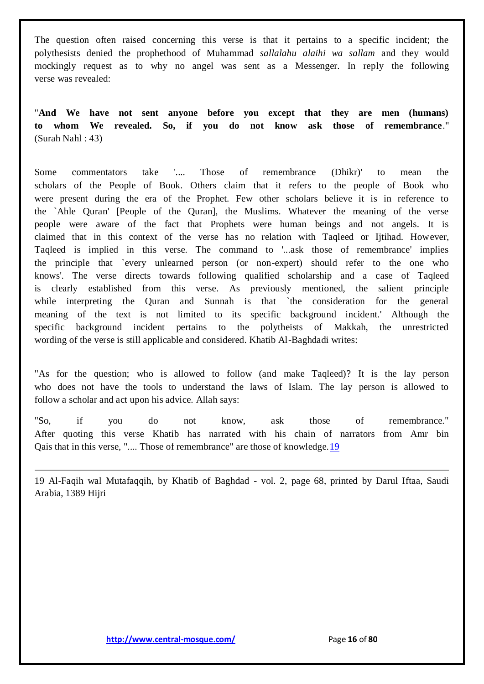The question often raised concerning this verse is that it pertains to a specific incident; the polythesists denied the prophethood of Muhammad *sallalahu alaihi wa sallam* and they would mockingly request as to why no angel was sent as a Messenger. In reply the following verse was revealed:

"**And We have not sent anyone before you except that they are men (humans) to whom We revealed. So, if you do not know ask those of remembrance**." (Surah Nahl : 43)

Some commentators take '.... Those of remembrance (Dhikr)' to mean the scholars of the People of Book. Others claim that it refers to the people of Book who were present during the era of the Prophet. Few other scholars believe it is in reference to the `Ahle Quran' [People of the Quran], the Muslims. Whatever the meaning of the verse people were aware of the fact that Prophets were human beings and not angels. It is claimed that in this context of the verse has no relation with Taqleed or Ijtihad. However, Taqleed is implied in this verse. The command to '...ask those of remembrance' implies the principle that `every unlearned person (or non-expert) should refer to the one who knows'. The verse directs towards following qualified scholarship and a case of Taqleed is clearly established from this verse. As previously mentioned, the salient principle while interpreting the Quran and Sunnah is that `the consideration for the general meaning of the text is not limited to its specific background incident.' Although the specific background incident pertains to the polytheists of Makkah, the unrestricted wording of the verse is still applicable and considered. Khatib Al-Baghdadi writes:

"As for the question; who is allowed to follow (and make Taqleed)? It is the lay person who does not have the tools to understand the laws of Islam. The lay person is allowed to follow a scholar and act upon his advice. Allah says:

"So, if you do not know, ask those of remembrance." After quoting this verse Khatib has narrated with his chain of narrators from Amr bin Qais that in this verse, ".... Those of remembrance" are those of knowledge. 19

19 Al-Faqih wal Mutafaqqih, by Khatib of Baghdad - vol. 2, page 68, printed by Darul Iftaa, Saudi Arabia, 1389 Hijri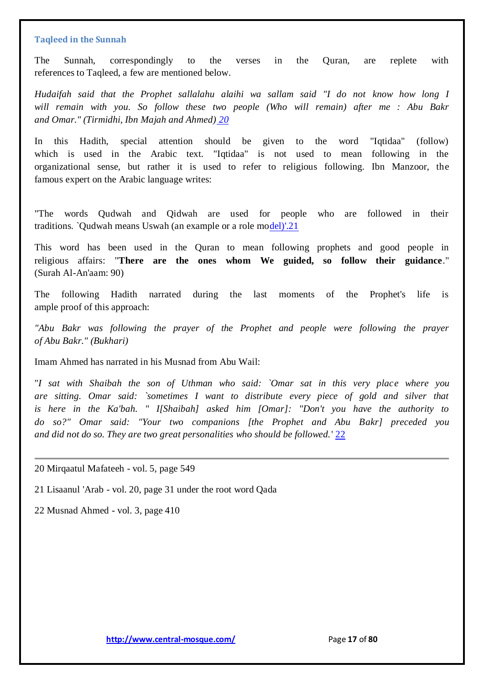### <span id="page-16-0"></span>**Taqleed in the Sunnah**

The Sunnah, correspondingly to the verses in the Quran, are replete with references to Taqleed, a few are mentioned below.

*Hudaifah said that the Prophet sallalahu alaihi wa sallam said "I do not know how long I will remain with you. So follow these two people (Who will remain) after me : Abu Bakr and Omar." (Tirmidhi, Ibn Majah and Ahmed) [20](LegalS.html#10)*

In this Hadith, special attention should be given to the word "Iqtidaa" (follow) which is used in the Arabic text. "Iqtidaa" is not used to mean following in the organizational sense, but rather it is used to refer to religious following. Ibn Manzoor, the famous expert on the Arabic language writes:

"The words Qudwah and Qidwah are used for people who are followed in their traditions. `Qudwah means Uswah (an example or a role m[odel\)'.21](LegalS.html#10)

This word has been used in the Quran to mean following prophets and good people in religious affairs: "**There are the ones whom We guided, so follow their guidance**." (Surah Al-An'aam: 90)

The following Hadith narrated during the last moments of the Prophet's life is ample proof of this approach:

*"Abu Bakr was following the prayer of the Prophet and people were following the prayer of Abu Bakr." (Bukhari)* 

Imam Ahmed has narrated in his Musnad from Abu Wail:

"*I sat with Shaibah the son of Uthman who said: `Omar sat in this very place where you are sitting. Omar said: `sometimes I want to distribute every piece of gold and silver that is here in the Ka'bah. " I[Shaibah] asked him [Omar]: "Don't you have the authority to do so?" Omar said: "Your two companions [the Prophet and Abu Bakr] preceded you and did not do so. They are two great personalities who should be followed.*' [22](LegalS.html#10)

20 Mirqaatul Mafateeh - vol. 5, page 549

21 Lisaanul 'Arab - vol. 20, page 31 under the root word Qada

22 Musnad Ahmed - vol. 3, page 410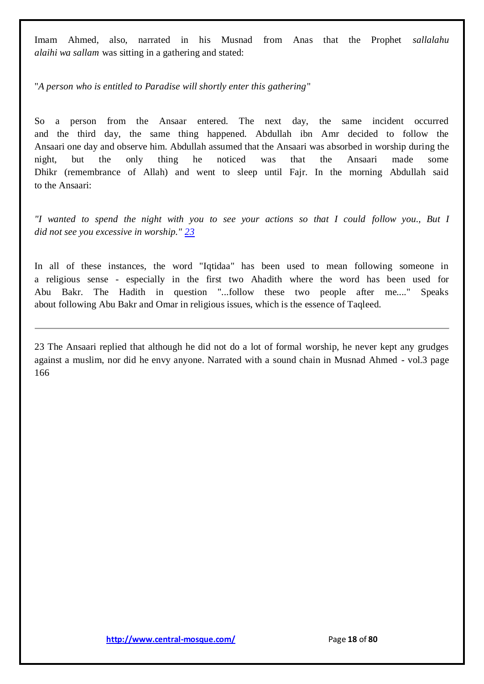Imam Ahmed, also, narrated in his Musnad from Anas that the Prophet *sallalahu alaihi wa sallam* was sitting in a gathering and stated:

"*A person who is entitled to Paradise will shortly enter this gathering*"

So a person from the Ansaar entered. The next day, the same incident occurred and the third day, the same thing happened. Abdullah ibn Amr decided to follow the Ansaari one day and observe him. Abdullah assumed that the Ansaari was absorbed in worship during the night, but the only thing he noticed was that the Ansaari made some Dhikr (remembrance of Allah) and went to sleep until Fajr. In the morning Abdullah said to the Ansaari:

*"I wanted to spend the night with you to see your actions so that I could follow you., But I did not see you excessive in worship." [23](LegalS.html#11)*

In all of these instances, the word "Iqtidaa" has been used to mean following someone in a religious sense - especially in the first two Ahadith where the word has been used for Abu Bakr. The Hadith in question "...follow these two people after me...." Speaks about following Abu Bakr and Omar in religious issues, which is the essence of Taqleed.

23 The Ansaari replied that although he did not do a lot of formal worship, he never kept any grudges against a muslim, nor did he envy anyone. Narrated with a sound chain in Musnad Ahmed - vol.3 page 166

**http://www.central-mosque.com/** Page **18** of **80**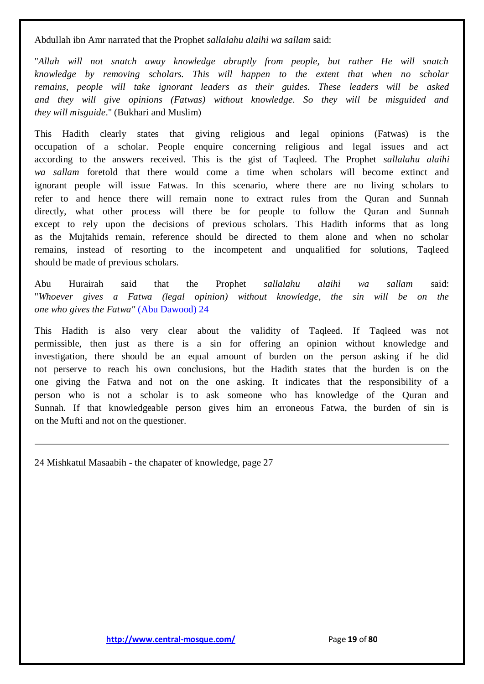Abdullah ibn Amr narrated that the Prophet *sallalahu alaihi wa sallam* said:

"*Allah will not snatch away knowledge abruptly from people, but rather He will snatch knowledge by removing scholars. This will happen to the extent that when no scholar remains, people will take ignorant leaders as their guides. These leaders will be asked and they will give opinions (Fatwas) without knowledge. So they will be misguided and they will misguide*." (Bukhari and Muslim)

This Hadith clearly states that giving religious and legal opinions (Fatwas) is the occupation of a scholar. People enquire concerning religious and legal issues and act according to the answers received. This is the gist of Taqleed. The Prophet *sallalahu alaihi wa sallam* foretold that there would come a time when scholars will become extinct and ignorant people will issue Fatwas. In this scenario, where there are no living scholars to refer to and hence there will remain none to extract rules from the Quran and Sunnah directly, what other process will there be for people to follow the Quran and Sunnah except to rely upon the decisions of previous scholars. This Hadith informs that as long as the Mujtahids remain, reference should be directed to them alone and when no scholar remains, instead of resorting to the incompetent and unqualified for solutions, Taqleed should be made of previous scholars.

Abu Hurairah said that the Prophet *sallalahu alaihi wa sallam* said: "*Whoever gives a Fatwa (legal opinion) without knowledge, the sin will be on the one who gives the Fatwa"* [\(Abu Dawood\) 24](LegalS.html#11)

This Hadith is also very clear about the validity of Taqleed. If Taqleed was not permissible, then just as there is a sin for offering an opinion without knowledge and investigation, there should be an equal amount of burden on the person asking if he did not perserve to reach his own conclusions, but the Hadith states that the burden is on the one giving the Fatwa and not on the one asking. It indicates that the responsibility of a person who is not a scholar is to ask someone who has knowledge of the Quran and Sunnah. If that knowledgeable person gives him an erroneous Fatwa, the burden of sin is on the Mufti and not on the questioner.

24 Mishkatul Masaabih - the chapater of knowledge, page 27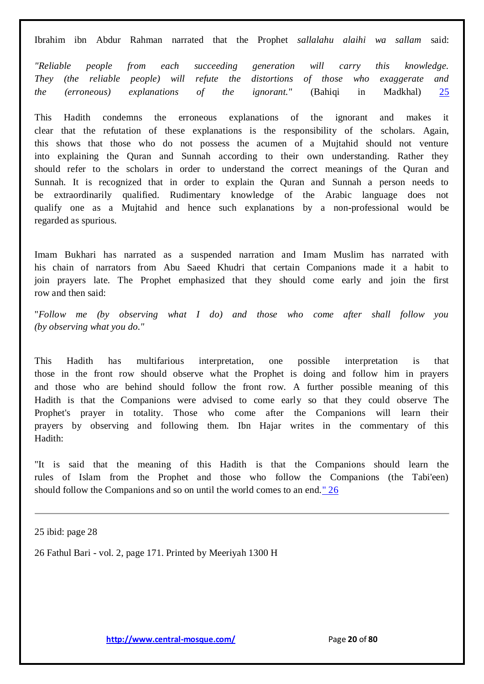Ibrahim ibn Abdur Rahman narrated that the Prophet *sallalahu alaihi wa sallam* said:

*"Reliable people from each succeeding generation will carry this knowledge. They (the reliable people) will refute the distortions of those who exaggerate and the (erroneous) explanations of the ignorant."* (Bahiqi in Madkhal) [25](LegalS.html#12)

This Hadith condemns the erroneous explanations of the ignorant and makes it clear that the refutation of these explanations is the responsibility of the scholars. Again, this shows that those who do not possess the acumen of a Mujtahid should not venture into explaining the Quran and Sunnah according to their own understanding. Rather they should refer to the scholars in order to understand the correct meanings of the Quran and Sunnah. It is recognized that in order to explain the Quran and Sunnah a person needs to be extraordinarily qualified. Rudimentary knowledge of the Arabic language does not qualify one as a Mujtahid and hence such explanations by a non-professional would be regarded as spurious.

Imam Bukhari has narrated as a suspended narration and Imam Muslim has narrated with his chain of narrators from Abu Saeed Khudri that certain Companions made it a habit to join prayers late. The Prophet emphasized that they should come early and join the first row and then said:

"*Follow me (by observing what I do) and those who come after shall follow you (by observing what you do."* 

This Hadith has multifarious interpretation, one possible interpretation is that those in the front row should observe what the Prophet is doing and follow him in prayers and those who are behind should follow the front row. A further possible meaning of this Hadith is that the Companions were advised to come early so that they could observe The Prophet's prayer in totality. Those who come after the Companions will learn their prayers by observing and following them. Ibn Hajar writes in the commentary of this Hadith:

"It is said that the meaning of this Hadith is that the Companions should learn the rules of Islam from the Prophet and those who follow the Companions (the Tabi'een) should follow the Companions and so on until the world comes to an end[." 26](LegalS.html#12)

25 ibid: page 28

26 Fathul Bari - vol. 2, page 171. Printed by Meeriyah 1300 H

**http://www.central-mosque.com/** Page **20** of **80**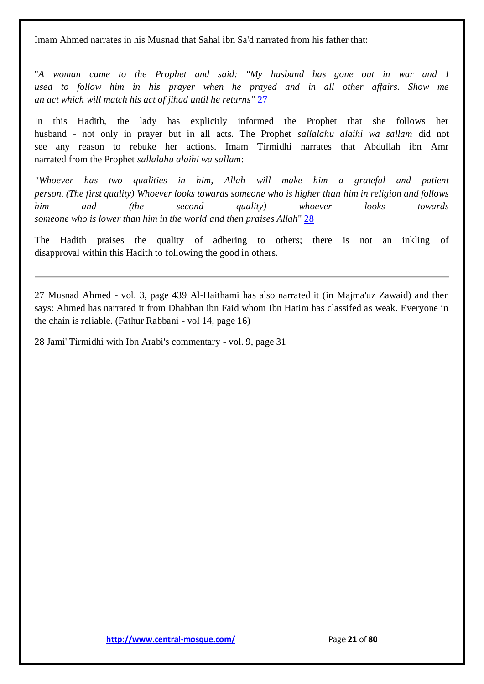Imam Ahmed narrates in his Musnad that Sahal ibn Sa'd narrated from his father that:

"*A woman came to the Prophet and said: "My husband has gone out in war and I used to follow him in his prayer when he prayed and in all other affairs. Show me an act which will match his act of jihad until he returns"* [27](LegalS.html#12)

In this Hadith, the lady has explicitly informed the Prophet that she follows her husband - not only in prayer but in all acts. The Prophet *sallalahu alaihi wa sallam* did not see any reason to rebuke her actions. Imam Tirmidhi narrates that Abdullah ibn Amr narrated from the Prophet *sallalahu alaihi wa sallam*:

*"Whoever has two qualities in him, Allah will make him a grateful and patient person. (The first quality) Whoever looks towards someone who is higher than him in religion and follows him and (the second quality) whoever looks towards someone who is lower than him in the world and then praises Allah*" [28](LegalS.html#13)

The Hadith praises the quality of adhering to others; there is not an inkling of disapproval within this Hadith to following the good in others.

27 Musnad Ahmed - vol. 3, page 439 Al-Haithami has also narrated it (in Majma'uz Zawaid) and then says: Ahmed has narrated it from Dhabban ibn Faid whom Ibn Hatim has classifed as weak. Everyone in the chain is reliable. (Fathur Rabbani - vol 14, page 16)

28 Jami' Tirmidhi with Ibn Arabi's commentary - vol. 9, page 31

**http://www.central-mosque.com/** Page **21** of **80**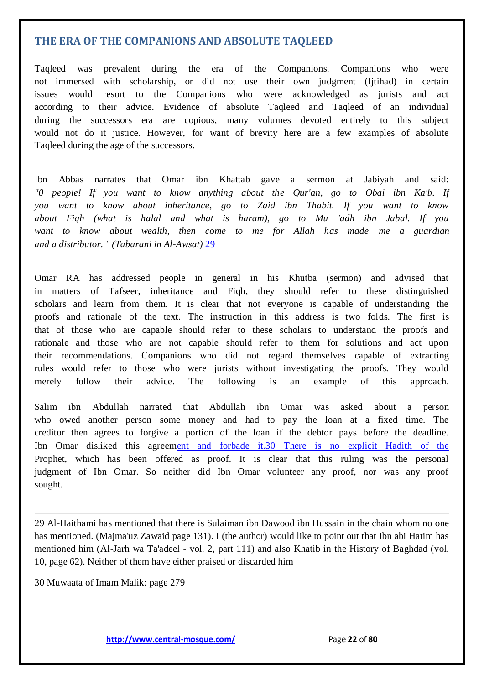# <span id="page-21-0"></span>**THE ERA OF THE COMPANIONS AND ABSOLUTE TAQLEED**

Taqleed was prevalent during the era of the Companions. Companions who were not immersed with scholarship, or did not use their own judgment (Ijtihad) in certain issues would resort to the Companions who were acknowledged as jurists and act according to their advice. Evidence of absolute Taqleed and Taqleed of an individual during the successors era are copious, many volumes devoted entirely to this subject would not do it justice. However, for want of brevity here are a few examples of absolute Taqleed during the age of the successors.

Ibn Abbas narrates that Omar ibn Khattab gave a sermon at Jabiyah and said: *"0 people! If you want to know anything about the Qur'an, go to Obai ibn Ka'b. If you want to know about inheritance, go to Zaid ibn Thabit. If you want to know about Fiqh (what is halal and what is haram), go to Mu 'adh ibn Jabal. If you*  want to know about wealth, then come to me for Allah has made me a guardian *and a distributor. " (Tabarani in Al-Awsat)* [29](LegalS.html#13)

Omar RA has addressed people in general in his Khutba (sermon) and advised that in matters of Tafseer, inheritance and Fiqh, they should refer to these distinguished scholars and learn from them. It is clear that not everyone is capable of understanding the proofs and rationale of the text. The instruction in this address is two folds. The first is that of those who are capable should refer to these scholars to understand the proofs and rationale and those who are not capable should refer to them for solutions and act upon their recommendations. Companions who did not regard themselves capable of extracting rules would refer to those who were jurists without investigating the proofs. They would merely follow their advice. The following is an example of this approach.

Salim ibn Abdullah narrated that Abdullah ibn Omar was asked about a person who owed another person some money and had to pay the loan at a fixed time. The creditor then agrees to forgive a portion of the loan if the debtor pays before the deadline. Ibn Omar disliked this agree[ment and forbade it.30 There is no explicit Hadith of the](LegalS.html#13)  Prophet, which has been offered as proof. It is clear that this ruling was the personal judgment of Ibn Omar. So neither did Ibn Omar volunteer any proof, nor was any proof sought.

29 Al-Haithami has mentioned that there is Sulaiman ibn Dawood ibn Hussain in the chain whom no one has mentioned. (Majma'uz Zawaid page 131). I (the author) would like to point out that Ibn abi Hatim has mentioned him (Al-Jarh wa Ta'adeel - vol. 2, part 111) and also Khatib in the History of Baghdad (vol. 10, page 62). Neither of them have either praised or discarded him

30 Muwaata of Imam Malik: page 279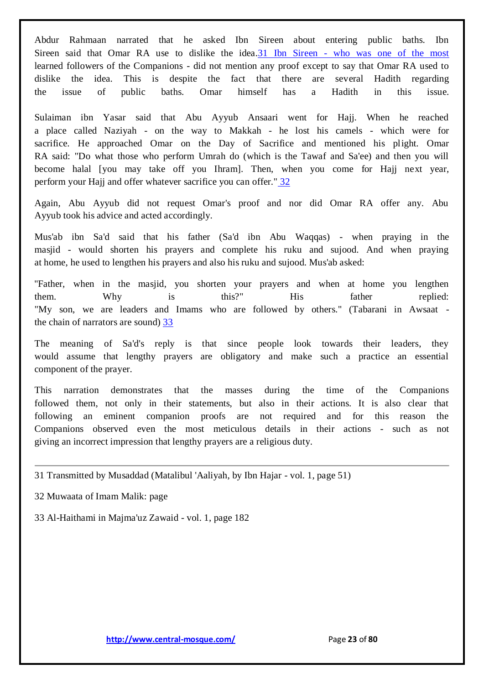Abdur Rahmaan narrated that he asked Ibn Sireen about entering public baths. Ibn Sireen said that Omar RA use to dislike the idea.31 Ibn Sireen - [who was one of the most](LegalS.html#13)  learned followers of the Companions - did not mention any proof except to say that Omar RA used to dislike the idea. This is despite the fact that there are several Hadith regarding the issue of public baths. Omar himself has a Hadith in this issue.

Sulaiman ibn Yasar said that Abu Ayyub Ansaari went for Hajj. When he reached a place called Naziyah - on the way to Makkah - he lost his camels - which were for sacrifice. He approached Omar on the Day of Sacrifice and mentioned his plight. Omar RA said: "Do what those who perform Umrah do (which is the Tawaf and Sa'ee) and then you will become halal [you may take off you Ihram]. Then, when you come for Hajj next year, perform your Hajj and offer whatever sacrifice you can offer." [32](LegalS.html#14)

Again, Abu Ayyub did not request Omar's proof and nor did Omar RA offer any. Abu Ayyub took his advice and acted accordingly.

Mus'ab ibn Sa'd said that his father (Sa'd ibn Abu Waqqas) - when praying in the masjid - would shorten his prayers and complete his ruku and sujood. And when praying at home, he used to lengthen his prayers and also his ruku and sujood. Mus'ab asked:

''Father, when in the masjid, you shorten your prayers and when at home you lengthen them. Why is this?" His father replied: "My son, we are leaders and Imams who are followed by others." (Tabarani in Awsaat the chain of narrators are sound) [33](LegalS.html#14)

The meaning of Sa'd's reply is that since people look towards their leaders, they would assume that lengthy prayers are obligatory and make such a practice an essential component of the prayer.

This narration demonstrates that the masses during the time of the Companions followed them, not only in their statements, but also in their actions. It is also clear that following an eminent companion proofs are not required and for this reason the Companions observed even the most meticulous details in their actions - such as not giving an incorrect impression that lengthy prayers are a religious duty.

32 Muwaata of Imam Malik: page

33 Al-Haithami in Majma'uz Zawaid - vol. 1, page 182

<sup>31</sup> Transmitted by Musaddad (Matalibul 'Aaliyah, by Ibn Hajar - vol. 1, page 51)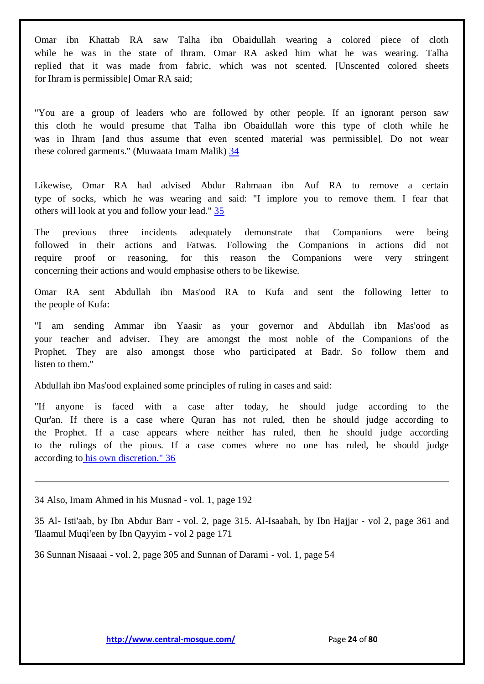Omar ibn Khattab RA saw Talha ibn Obaidullah wearing a colored piece of cloth while he was in the state of Ihram. Omar RA asked him what he was wearing. Talha replied that it was made from fabric, which was not scented. [Unscented colored sheets for Ihram is permissible] Omar RA said;

"You are a group of leaders who are followed by other people. If an ignorant person saw this cloth he would presume that Talha ibn Obaidullah wore this type of cloth while he was in Ihram [and thus assume that even scented material was permissible]. Do not wear these colored garments." (Muwaata Imam Malik) [34](LegalS.html#14)

Likewise, Omar RA had advised Abdur Rahmaan ibn Auf RA to remove a certain type of socks, which he was wearing and said: "I implore you to remove them. I fear that others will look at you and follow your lead." [35](LegalS.html#14)

The previous three incidents adequately demonstrate that Companions were being followed in their actions and Fatwas. Following the Companions in actions did not require proof or reasoning, for this reason the Companions were very stringent concerning their actions and would emphasise others to be likewise.

Omar RA sent Abdullah ibn Mas'ood RA to Kufa and sent the following letter to the people of Kufa:

"I am sending Ammar ibn Yaasir as your governor and Abdullah ibn Mas'ood as your teacher and adviser. They are amongst the most noble of the Companions of the Prophet. They are also amongst those who participated at Badr. So follow them and listen to them."

Abdullah ibn Mas'ood explained some principles of ruling in cases and said:

"If anyone is faced with a case after today, he should judge according to the Qur'an. If there is a case where Quran has not ruled, then he should judge according to the Prophet. If a case appears where neither has ruled, then he should judge according to the rulings of the pious. If a case comes where no one has ruled, he should judge according to [his own discretion." 36](LegalS.html#15)

34 Also, Imam Ahmed in his Musnad - vol. 1, page 192

35 Al- Isti'aab, by Ibn Abdur Barr - vol. 2, page 315. Al-Isaabah, by Ibn Hajjar - vol 2, page 361 and 'Ilaamul Muqi'een by Ibn Qayyim - vol 2 page 171

36 Sunnan Nisaaai - vol. 2, page 305 and Sunnan of Darami - vol. 1, page 54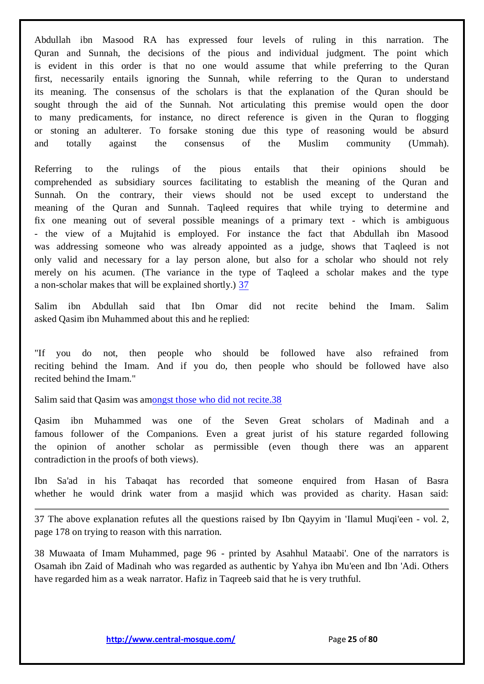Abdullah ibn Masood RA has expressed four levels of ruling in this narration. The Quran and Sunnah, the decisions of the pious and individual judgment. The point which is evident in this order is that no one would assume that while preferring to the Quran first, necessarily entails ignoring the Sunnah, while referring to the Quran to understand its meaning. The consensus of the scholars is that the explanation of the Quran should be sought through the aid of the Sunnah. Not articulating this premise would open the door to many predicaments, for instance, no direct reference is given in the Quran to flogging or stoning an adulterer. To forsake stoning due this type of reasoning would be absurd and totally against the consensus of the Muslim community (Ummah).

Referring to the rulings of the pious entails that their opinions should be comprehended as subsidiary sources facilitating to establish the meaning of the Quran and Sunnah. On the contrary, their views should not be used except to understand the meaning of the Quran and Sunnah. Taqleed requires that while trying to determine and fix one meaning out of several possible meanings of a primary text - which is ambiguous - the view of a Mujtahid is employed. For instance the fact that Abdullah ibn Masood was addressing someone who was already appointed as a judge, shows that Taqleed is not only valid and necessary for a lay person alone, but also for a scholar who should not rely merely on his acumen. (The variance in the type of Taqleed a scholar makes and the type a non-scholar makes that will be explained shortly.) [37](LegalS.html#15)

Salim ibn Abdullah said that Ibn Omar did not recite behind the Imam. Salim asked Qasim ibn Muhammed about this and he replied:

"If you do not, then people who should be followed have also refrained from reciting behind the Imam. And if you do, then people who should be followed have also recited behind the Imam."

Salim said that Qasim was a[mongst those who did not recite.38](LegalS.html#16)

Qasim ibn Muhammed was one of the Seven Great scholars of Madinah and a famous follower of the Companions. Even a great jurist of his stature regarded following the opinion of another scholar as permissible (even though there was an apparent contradiction in the proofs of both views).

Ibn Sa'ad in his Tabaqat has recorded that someone enquired from Hasan of Basra whether he would drink water from a masjid which was provided as charity. Hasan said:

37 The above explanation refutes all the questions raised by Ibn Qayyim in 'Ilamul Muqi'een - vol. 2, page 178 on trying to reason with this narration.

38 Muwaata of Imam Muhammed, page 96 - printed by Asahhul Mataabi'. One of the narrators is Osamah ibn Zaid of Madinah who was regarded as authentic by Yahya ibn Mu'een and Ibn 'Adi. Others have regarded him as a weak narrator. Hafiz in Taqreeb said that he is very truthful.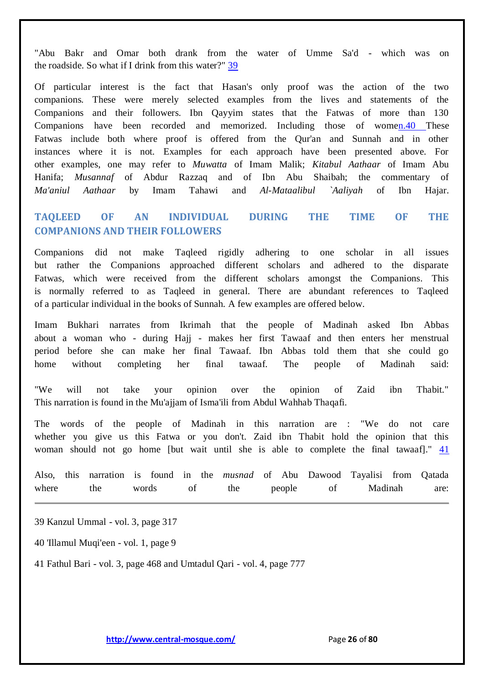"Abu Bakr and Omar both drank from the water of Umme Sa'd - which was on the roadside. So what if I drink from this water?" [39](LegalS.html#16)

Of particular interest is the fact that Hasan's only proof was the action of the two companions. These were merely selected examples from the lives and statements of the Companions and their followers. Ibn Qayyim states that the Fatwas of more than 130 Companions have been recorded and memorized. Including those of wom[en.40 T](LegalS.html#16)hese Fatwas include both where proof is offered from the Qur'an and Sunnah and in other instances where it is not. Examples for each approach have been presented above. For other examples, one may refer to *Muwatta* of Imam Malik; *Kitabul Aathaar* of Imam Abu Hanifa; *Musannaf* of Abdur Razzaq and of Ibn Abu Shaibah; the commentary of *Ma'aniul Aathaar* by Imam Tahawi and *Al-Mataalibul `Aaliyah* of Ibn Hajar.

# **TAQLEED OF AN INDIVIDUAL DURING THE TIME OF THE COMPANIONS AND THEIR FOLLOWERS**

Companions did not make Taqleed rigidly adhering to one scholar in all issues but rather the Companions approached different scholars and adhered to the disparate Fatwas, which were received from the different scholars amongst the Companions. This is normally referred to as Taqleed in general. There are abundant references to Taqleed of a particular individual in the books of Sunnah. A few examples are offered below.

Imam Bukhari narrates from Ikrimah that the people of Madinah asked Ibn Abbas about a woman who - during Hajj - makes her first Tawaaf and then enters her menstrual period before she can make her final Tawaaf. Ibn Abbas told them that she could go home without completing her final tawaaf. The people of Madinah said:

"We will not take your opinion over the opinion of Zaid ibn Thabit." This narration is found in the Mu'ajjam of Isma'ili from Abdul Wahhab Thaqafi.

The words of the people of Madinah in this narration are : "We do not care whether you give us this Fatwa or you don't. Zaid ibn Thabit hold the opinion that this woman should not go home [but wait until she is able to complete the final tawaaf]." [41](LegalS.html#16)

|       | Also, this narration is found in the <i>musnad</i> of Abu Dawood Tayalisi from Qatada |       |  |  |  |     |        |  |    |         |  |      |
|-------|---------------------------------------------------------------------------------------|-------|--|--|--|-----|--------|--|----|---------|--|------|
| where | the                                                                                   | words |  |  |  | the | people |  | of | Madinah |  | are: |

39 Kanzul Ummal - vol. 3, page 317

40 'Illamul Muqi'een - vol. 1, page 9

41 Fathul Bari - vol. 3, page 468 and Umtadul Qari - vol. 4, page 777

**http://www.central-mosque.com/** Page **26** of **80**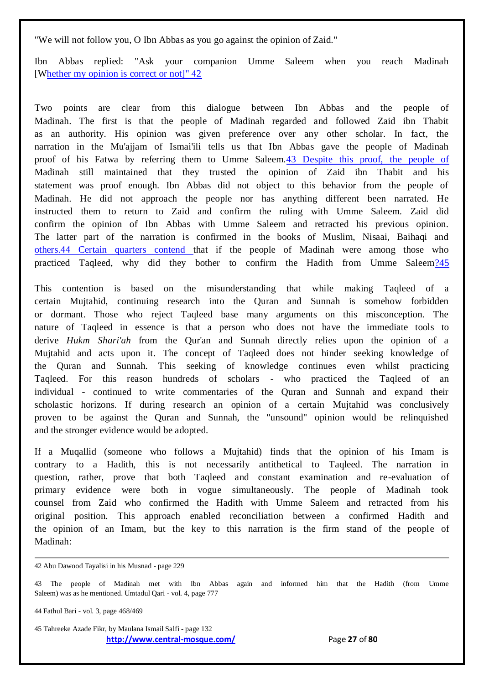"We will not follow you, O Ibn Abbas as you go against the opinion of Zaid."

Ibn Abbas replied: "Ask your companion Umme Saleem when you reach Madinah [[Whether my opinion is correct or not\]" 42](LegalS.html#17)

Two points are clear from this dialogue between Ibn Abbas and the people of Madinah. The first is that the people of Madinah regarded and followed Zaid ibn Thabit as an authority. His opinion was given preference over any other scholar. In fact, the narration in the Mu'ajjam of Ismai'ili tells us that Ibn Abbas gave the people of Madinah proof of his Fatwa by referring them to Umme Saleem[.43 Despite this proof, the people of](LegalS.html#17)  Madinah still maintained that they trusted the opinion of Zaid ibn Thabit and his statement was proof enough. Ibn Abbas did not object to this behavior from the people of Madinah. He did not approach the people nor has anything different been narrated. He instructed them to return to Zaid and confirm the ruling with Umme Saleem. Zaid did confirm the opinion of Ibn Abbas with Umme Saleem and retracted his previous opinion. The latter part of the narration is confirmed in the books of Muslim, Nisaai, Baihaqi and [others.44 Certain quarters contend t](LegalS.html#17)hat if the people of Madinah were among those who practiced Taqleed, why did they bother to confirm the Hadith from Umme Salee[m?45](LegalS.html#17)

This contention is based on the misunderstanding that while making Taqleed of a certain Mujtahid, continuing research into the Quran and Sunnah is somehow forbidden or dormant. Those who reject Taqleed base many arguments on this misconception. The nature of Taqleed in essence is that a person who does not have the immediate tools to derive *Hukm Shari'ah* from the Qur'an and Sunnah directly relies upon the opinion of a Mujtahid and acts upon it. The concept of Taqleed does not hinder seeking knowledge of the Quran and Sunnah. This seeking of knowledge continues even whilst practicing Taqleed. For this reason hundreds of scholars - who practiced the Taqleed of an individual - continued to write commentaries of the Quran and Sunnah and expand their scholastic horizons. If during research an opinion of a certain Mujtahid was conclusively proven to be against the Quran and Sunnah, the "unsound" opinion would be relinquished and the stronger evidence would be adopted.

If a Muqallid (someone who follows a Mujtahid) finds that the opinion of his Imam is contrary to a Hadith, this is not necessarily antithetical to Taqleed. The narration in question, rather, prove that both Taqleed and constant examination and re-evaluation of primary evidence were both in vogue simultaneously. The people of Madinah took counsel from Zaid who confirmed the Hadith with Umme Saleem and retracted from his original position. This approach enabled reconciliation between a confirmed Hadith and the opinion of an Imam, but the key to this narration is the firm stand of the people of Madinah:

<sup>42</sup> Abu Dawood Tayalisi in his Musnad - page 229

<sup>43</sup> The people of Madinah met with Ibn Abbas again and informed him that the Hadith (from Umme Saleem) was as he mentioned. Umtadul Qari - vol. 4, page 777

<sup>44</sup> Fathul Bari - vol. 3, page 468/469

**http://www.central-mosque.com/** Page **27** of **80** 45 Tahreeke Azade Fikr, by Maulana Ismail Salfi - page 132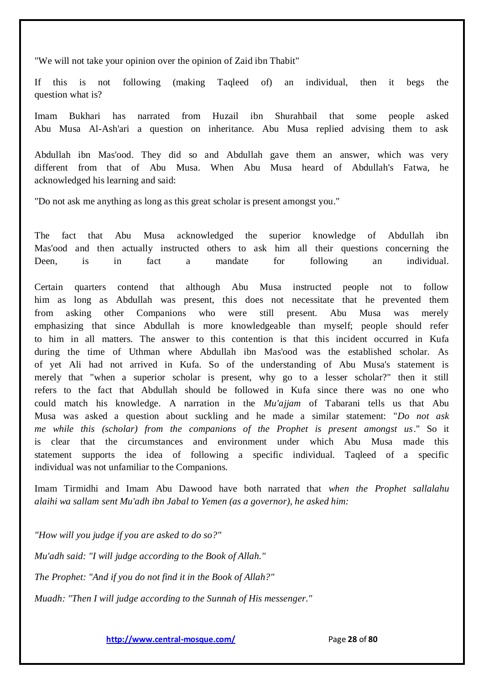"We will not take your opinion over the opinion of Zaid ibn Thabit"

If this is not following (making Taqleed of) an individual, then it begs the question what is?

Imam Bukhari has narrated from Huzail ibn Shurahbail that some people asked Abu Musa Al-Ash'ari a question on inheritance. Abu Musa replied advising them to ask

Abdullah ibn Mas'ood. They did so and Abdullah gave them an answer, which was very different from that of Abu Musa. When Abu Musa heard of Abdullah's Fatwa, he acknowledged his learning and said:

"Do not ask me anything as long as this great scholar is present amongst you."

The fact that Abu Musa acknowledged the superior knowledge of Abdullah ibn Mas'ood and then actually instructed others to ask him all their questions concerning the Deen, is in fact a mandate for following an individual.

Certain quarters contend that although Abu Musa instructed people not to follow him as long as Abdullah was present, this does not necessitate that he prevented them from asking other Companions who were still present. Abu Musa was merely emphasizing that since Abdullah is more knowledgeable than myself; people should refer to him in all matters. The answer to this contention is that this incident occurred in Kufa during the time of Uthman where Abdullah ibn Mas'ood was the established scholar. As of yet Ali had not arrived in Kufa. So of the understanding of Abu Musa's statement is merely that "when a superior scholar is present, why go to a lesser scholar?" then it still refers to the fact that Abdullah should be followed in Kufa since there was no one who could match his knowledge. A narration in the *Mu'ajjam* of Tabarani tells us that Abu Musa was asked a question about suckling and he made a similar statement: "*Do not ask me while this (scholar) from the companions of the Prophet is present amongst us*." So it is clear that the circumstances and environment under which Abu Musa made this statement supports the idea of following a specific individual. Taqleed of a specific individual was not unfamiliar to the Companions.

Imam Tirmidhi and Imam Abu Dawood have both narrated that *when the Prophet sallalahu alaihi wa sallam sent Mu'adh ibn Jabal to Yemen (as a governor), he asked him:* 

*"How will you judge if you are asked to do so?" Mu'adh said: "I will judge according to the Book of Allah." The Prophet: "And if you do not find it in the Book of Allah?" Muadh: "Then I will judge according to the Sunnah of His messenger."* 

**http://www.central-mosque.com/** Page **28** of **80**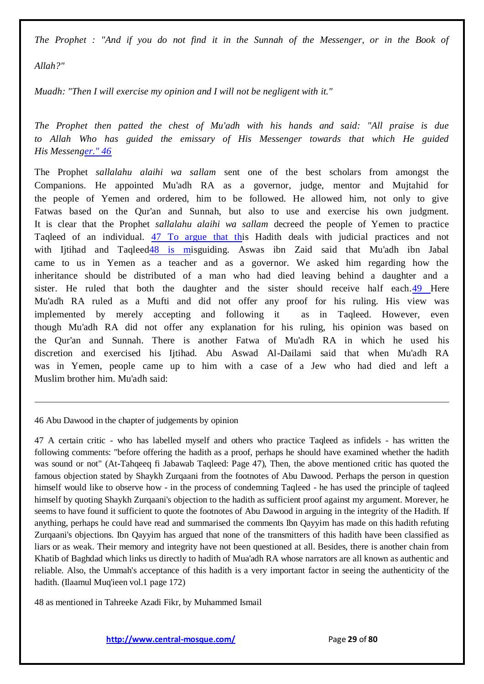*The Prophet : "And if you do not find it in the Sunnah of the Messenger, or in the Book of* 

*Allah?"* 

*Muadh: "Then I will exercise my opinion and I will not be negligent with it."* 

*The Prophet then patted the chest of Mu'adh with his hands and said: "All praise is due*  to Allah Who has guided the emissary of His Messenger towards that which He guided *His Messen[ger." 46](LegalS.html#18)*

The Prophet *sallalahu alaihi wa sallam* sent one of the best scholars from amongst the Companions. He appointed Mu'adh RA as a governor, judge, mentor and Mujtahid for the people of Yemen and ordered, him to be followed. He allowed him, not only to give Fatwas based on the Qur'an and Sunnah, but also to use and exercise his own judgment. It is clear that the Prophet *sallalahu alaihi wa sallam* decreed the people of Yemen to practice Taqleed of an individual. [47 To argue that thi](LegalS.html#19)s Hadith deals with judicial practices and not with Ijtihad and Taqlee[d48 is mi](LegalS.html#19)sguiding. Aswas ibn Zaid said that Mu'adh ibn Jabal came to us in Yemen as a teacher and as a governor. We asked him regarding how the inheritance should be distributed of a man who had died leaving behind a daughter and a sister. He ruled that both the daughter and the sister should receive half each[.49 H](LegalS.html#19)ere Mu'adh RA ruled as a Mufti and did not offer any proof for his ruling. His view was implemented by merely accepting and following it as in Taqleed. However, even though Mu'adh RA did not offer any explanation for his ruling, his opinion was based on the Qur'an and Sunnah. There is another Fatwa of Mu'adh RA in which he used his discretion and exercised his Ijtihad. Abu Aswad Al-Dailami said that when Mu'adh RA was in Yemen, people came up to him with a case of a Jew who had died and left a Muslim brother him. Mu'adh said:

46 Abu Dawood in the chapter of judgements by opinion

47 A certain critic - who has labelled myself and others who practice Taqleed as infidels - has written the following comments: "before offering the hadith as a proof, perhaps he should have examined whether the hadith was sound or not" (At-Tahqeeq fi Jabawab Taqleed: Page 47), Then, the above mentioned critic has quoted the famous objection stated by Shaykh Zurqaani from the footnotes of Abu Dawood. Perhaps the person in question himself would like to observe how - in the process of condemning Taqleed - he has used the principle of taqleed himself by quoting Shaykh Zurqaani's objection to the hadith as sufficient proof against my argument. Morever, he seems to have found it sufficient to quote the footnotes of Abu Dawood in arguing in the integrity of the Hadith. If anything, perhaps he could have read and summarised the comments Ibn Qayyim has made on this hadith refuting Zurqaani's objections. Ibn Qayyim has argued that none of the transmitters of this hadith have been classified as liars or as weak. Their memory and integrity have not been questioned at all. Besides, there is another chain from Khatib of Baghdad which links us directly to hadith of Mua'adh RA whose narrators are all known as authentic and reliable. Also, the Ummah's acceptance of this hadith is a very important factor in seeing the authenticity of the hadith. (Ilaamul Muq'ieen vol.1 page 172)

48 as mentioned in Tahreeke Azadi Fikr, by Muhammed Ismail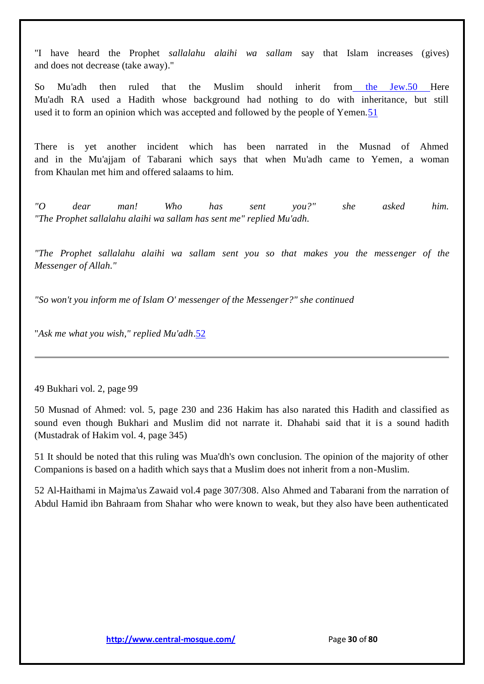"I have heard the Prophet *sallalahu alaihi wa sallam* say that Islam increases (gives) and does not decrease (take away)."

So Mu'adh then ruled that the Muslim should inherit from [the Jew.50 H](LegalS.html#19)ere Mu'adh RA used a Hadith whose background had nothing to do with inheritance, but still used it to form an opinion which was accepted and followed by the people of Yemen.<sup>51</sup>

There is yet another incident which has been narrated in the Musnad of Ahmed and in the Mu'ajjam of Tabarani which says that when Mu'adh came to Yemen, a woman from Khaulan met him and offered salaams to him.

*"O dear man! Who has sent you?" she asked him. "The Prophet sallalahu alaihi wa sallam has sent me" replied Mu'adh.* 

*"The Prophet sallalahu alaihi wa sallam sent you so that makes you the messenger of the Messenger of Allah."* 

*"So won't you inform me of Islam O' messenger of the Messenger?" she continued* 

"*Ask me what you wish," replied Mu'adh*[.52](LegalS.html#19)

49 Bukhari vol. 2, page 99

50 Musnad of Ahmed: vol. 5, page 230 and 236 Hakim has also narated this Hadith and classified as sound even though Bukhari and Muslim did not narrate it. Dhahabi said that it is a sound hadith (Mustadrak of Hakim vol. 4, page 345)

51 It should be noted that this ruling was Mua'dh's own conclusion. The opinion of the majority of other Companions is based on a hadith which says that a Muslim does not inherit from a non-Muslim.

52 Al-Haithami in Majma'us Zawaid vol.4 page 307/308. Also Ahmed and Tabarani from the narration of Abdul Hamid ibn Bahraam from Shahar who were known to weak, but they also have been authenticated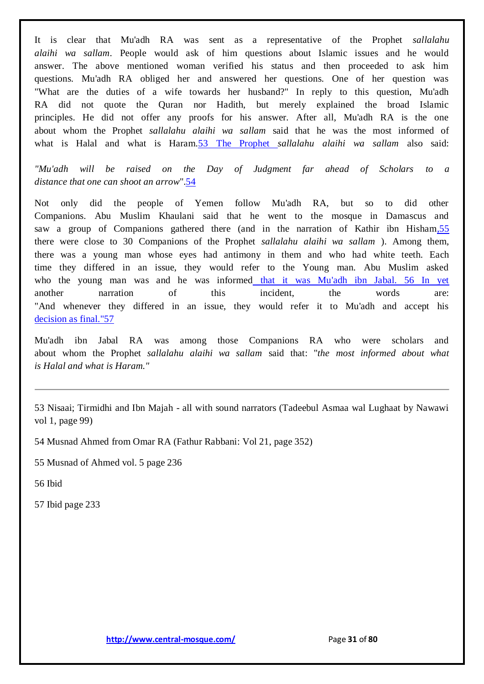It is clear that Mu'adh RA was sent as a representative of the Prophet *sallalahu alaihi wa sallam*. People would ask of him questions about Islamic issues and he would answer. The above mentioned woman verified his status and then proceeded to ask him questions. Mu'adh RA obliged her and answered her questions. One of her question was "What are the duties of a wife towards her husband?" In reply to this question, Mu'adh RA did not quote the Quran nor Hadith, but merely explained the broad Islamic principles. He did not offer any proofs for his answer. After all, Mu'adh RA is the one about whom the Prophet *sallalahu alaihi wa sallam* said that he was the most informed of what is Halal and what is Haram[.53 The Prophet](LegalS.html#20) *sallalahu alaihi wa sallam* also said:

*"Mu'adh will be raised on the Day of Judgment far ahead of Scholars to a distance that one can shoot an arrow*"[.54](LegalS.html#20)

Not only did the people of Yemen follow Mu'adh RA, but so to did other Companions. Abu Muslim Khaulani said that he went to the mosque in Damascus and saw a group of Companions gathered there (and in the narration of Kathir ibn Hisha[m,55](LegalS.html#20)  there were close to 30 Companions of the Prophet *sallalahu alaihi wa sallam* ). Among them, there was a young man whose eyes had antimony in them and who had white teeth. Each time they differed in an issue, they would refer to the Young man. Abu Muslim asked who the young man was and he was informed that it was Mu'adh ibn Jabal. 56 In yet another narration of this incident, the words are: "And whenever they differed in an issue, they would refer it to Mu'adh and accept his [decision as final."57](LegalS.html#20)

Mu'adh ibn Jabal RA was among those Companions RA who were scholars and about whom the Prophet *sallalahu alaihi wa sallam* said that: "*the most informed about what is Halal and what is Haram."* 

53 Nisaai; Tirmidhi and Ibn Majah - all with sound narrators (Tadeebul Asmaa wal Lughaat by Nawawi vol 1, page 99)

54 Musnad Ahmed from Omar RA (Fathur Rabbani: Vol 21, page 352)

55 Musnad of Ahmed vol. 5 page 236

56 Ibid

57 Ibid page 233

**http://www.central-mosque.com/** Page **31** of **80**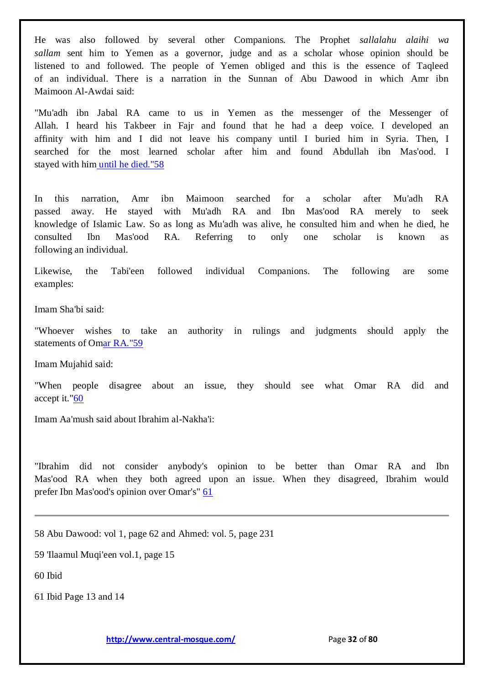He was also followed by several other Companions. The Prophet *sallalahu alaihi wa sallam* sent him to Yemen as a governor, judge and as a scholar whose opinion should be listened to and followed. The people of Yemen obliged and this is the essence of Taqleed of an individual. There is a narration in the Sunnan of Abu Dawood in which Amr ibn Maimoon Al-Awdai said:

"Mu'adh ibn Jabal RA came to us in Yemen as the messenger of the Messenger of Allah. I heard his Takbeer in Fajr and found that he had a deep voice. I developed an affinity with him and I did not leave his company until I buried him in Syria. Then, I searched for the most learned scholar after him and found Abdullah ibn Mas'ood. I stayed with him [until he died."58](LegalS.html#20)

In this narration, Amr ibn Maimoon searched for a scholar after Mu'adh RA passed away. He stayed with Mu'adh RA and Ibn Mas'ood RA merely to seek knowledge of Islamic Law. So as long as Mu'adh was alive, he consulted him and when he died, he consulted Ibn Mas'ood RA. Referring to only one scholar is known as following an individual.

Likewise, the Tabi'een followed individual Companions. The following are some examples:

Imam Sha'bi said:

"Whoever wishes to take an authority in rulings and judgments should apply the statements of O[mar RA."59](LegalS.html#21)

Imam Mujahid said:

"When people disagree about an issue, they should see what Omar RA did and accept it.["60](LegalS.html#21)

Imam Aa'mush said about Ibrahim al-Nakha'i:

"Ibrahim did not consider anybody's opinion to be better than Omar RA and Ibn Mas'ood RA when they both agreed upon an issue. When they disagreed, Ibrahim would prefer Ibn Mas'ood's opinion over Omar's" [61](LegalS.html#21)

58 Abu Dawood: vol 1, page 62 and Ahmed: vol. 5, page 231

59 'Ilaamul Muqi'een vol.1, page 15

60 Ibid

61 Ibid Page 13 and 14

**http://www.central-mosque.com/** Page **32** of **80**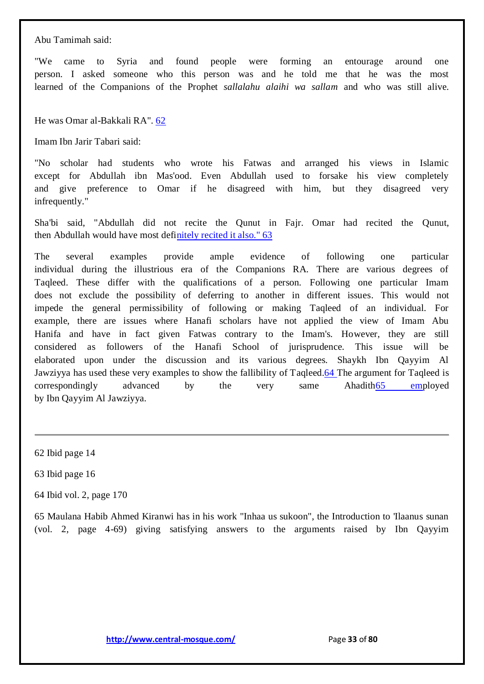Abu Tamimah said:

"We came to Syria and found people were forming an entourage around one person. I asked someone who this person was and he told me that he was the most learned of the Companions of the Prophet *sallalahu alaihi wa sallam* and who was still alive.

He was Omar al-Bakkali RA". [62](LegalS.html#21)

Imam Ibn Jarir Tabari said:

"No scholar had students who wrote his Fatwas and arranged his views in Islamic except for Abdullah ibn Mas'ood. Even Abdullah used to forsake his view completely and give preference to Omar if he disagreed with him, but they disagreed very infrequently."

Sha'bi said, "Abdullah did not recite the Qunut in Fajr. Omar had recited the Qunut, then Abdullah would have most def[initely recited it also." 63](LegalS.html#21)

The several examples provide ample evidence of following one particular individual during the illustrious era of the Companions RA. There are various degrees of Taqleed. These differ with the qualifications of a person. Following one particular Imam does not exclude the possibility of deferring to another in different issues. This would not impede the general permissibility of following or making Taqleed of an individual. For example, there are issues where Hanafi scholars have not applied the view of Imam Abu Hanifa and have in fact given Fatwas contrary to the Imam's. However, they are still considered as followers of the Hanafi School of jurisprudence. This issue will be elaborated upon under the discussion and its various degrees. Shaykh Ibn Qayyim Al Jawziyya has used these very examples to show the fallibility of Taqleed[.64 T](LegalS.html#21)he argument for Taqleed is correspondingly advanced by the very same Ahadit[h65 emp](LegalS.html#22)loyed by Ibn Qayyim Al Jawziyya.

62 Ibid page 14

63 Ibid page 16

64 Ibid vol. 2, page 170

65 Maulana Habib Ahmed Kiranwi has in his work "Inhaa us sukoon", the Introduction to 'Ilaanus sunan (vol. 2, page 4-69) giving satisfying answers to the arguments raised by Ibn Qayyim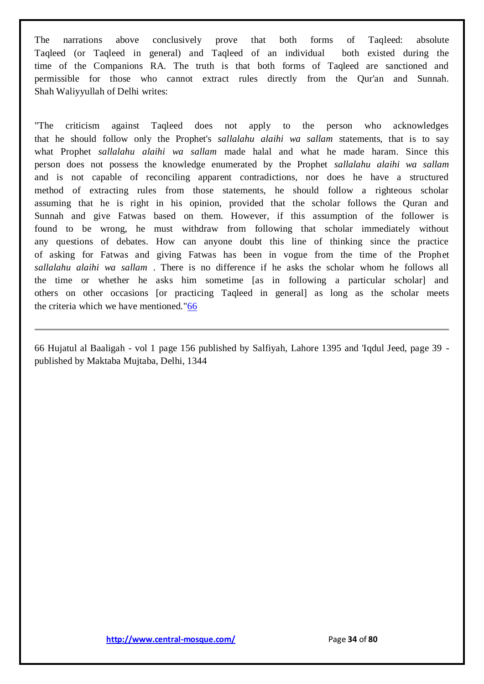The narrations above conclusively prove that both forms of Taqleed: absolute Taqleed (or Taqleed in general) and Taqleed of an individual both existed during the time of the Companions RA. The truth is that both forms of Taqleed are sanctioned and permissible for those who cannot extract rules directly from the Qur'an and Sunnah. Shah Waliyyullah of Delhi writes:

"The criticism against Taqleed does not apply to the person who acknowledges that he should follow only the Prophet's *sallalahu alaihi wa sallam* statements, that is to say what Prophet *sallalahu alaihi wa sallam* made halal and what he made haram. Since this person does not possess the knowledge enumerated by the Prophet *sallalahu alaihi wa sallam* and is not capable of reconciling apparent contradictions, nor does he have a structured method of extracting rules from those statements, he should follow a righteous scholar assuming that he is right in his opinion, provided that the scholar follows the Quran and Sunnah and give Fatwas based on them. However, if this assumption of the follower is found to be wrong, he must withdraw from following that scholar immediately without any questions of debates. How can anyone doubt this line of thinking since the practice of asking for Fatwas and giving Fatwas has been in vogue from the time of the Prophet *sallalahu alaihi wa sallam* . There is no difference if he asks the scholar whom he follows all the time or whether he asks him sometime [as in following a particular scholar] and others on other occasions [or practicing Taqleed in general] as long as the scholar meets the criteria which we have mentioned."<sup>66</sup>

66 Hujatul al Baaligah - vol 1 page 156 published by Salfiyah, Lahore 1395 and 'Iqdul Jeed, page 39 published by Maktaba Mujtaba, Delhi, 1344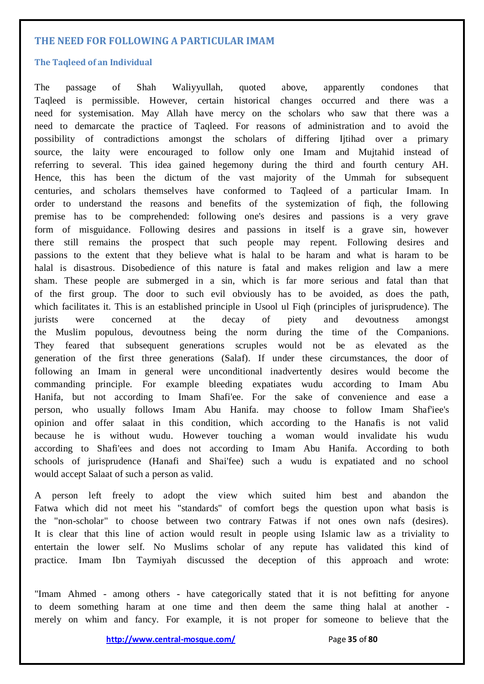# <span id="page-34-0"></span>**THE NEED FOR FOLLOWING A PARTICULAR IMAM**

### <span id="page-34-1"></span>**The Taqleed of an Individual**

The passage of Shah Waliyyullah, quoted above, apparently condones that Taqleed is permissible. However, certain historical changes occurred and there was a need for systemisation. May Allah have mercy on the scholars who saw that there was a need to demarcate the practice of Taqleed. For reasons of administration and to avoid the possibility of contradictions amongst the scholars of differing Ijtihad over a primary source, the laity were encouraged to follow only one Imam and Mujtahid instead of referring to several. This idea gained hegemony during the third and fourth century AH. Hence, this has been the dictum of the vast majority of the Ummah for subsequent centuries, and scholars themselves have conformed to Taqleed of a particular Imam. In order to understand the reasons and benefits of the systemization of fiqh, the following premise has to be comprehended: following one's desires and passions is a very grave form of misguidance. Following desires and passions in itself is a grave sin, however there still remains the prospect that such people may repent. Following desires and passions to the extent that they believe what is halal to be haram and what is haram to be halal is disastrous. Disobedience of this nature is fatal and makes religion and law a mere sham. These people are submerged in a sin, which is far more serious and fatal than that of the first group. The door to such evil obviously has to be avoided, as does the path, which facilitates it. This is an established principle in Usool ul Fiqh (principles of jurisprudence). The jurists were concerned at the decay of piety and devoutness amongst the Muslim populous, devoutness being the norm during the time of the Companions. They feared that subsequent generations scruples would not be as elevated as the generation of the first three generations (Salaf). If under these circumstances, the door of following an Imam in general were unconditional inadvertently desires would become the commanding principle. For example bleeding expatiates wudu according to Imam Abu Hanifa, but not according to Imam Shafi'ee. For the sake of convenience and ease a person, who usually follows Imam Abu Hanifa. may choose to follow Imam Shaf'iee's opinion and offer salaat in this condition, which according to the Hanafis is not valid because he is without wudu. However touching a woman would invalidate his wudu according to Shafi'ees and does not according to Imam Abu Hanifa. According to both schools of jurisprudence (Hanafi and Shai'fee) such a wudu is expatiated and no school would accept Salaat of such a person as valid.

A person left freely to adopt the view which suited him best and abandon the Fatwa which did not meet his "standards" of comfort begs the question upon what basis is the "non-scholar" to choose between two contrary Fatwas if not ones own nafs (desires). It is clear that this line of action would result in people using Islamic law as a triviality to entertain the lower self. No Muslims scholar of any repute has validated this kind of practice. Imam Ibn Taymiyah discussed the deception of this approach and wrote:

"Imam Ahmed - among others - have categorically stated that it is not befitting for anyone to deem something haram at one time and then deem the same thing halal at another merely on whim and fancy. For example, it is not proper for someone to believe that the

**http://www.central-mosque.com/** Page **35** of **80**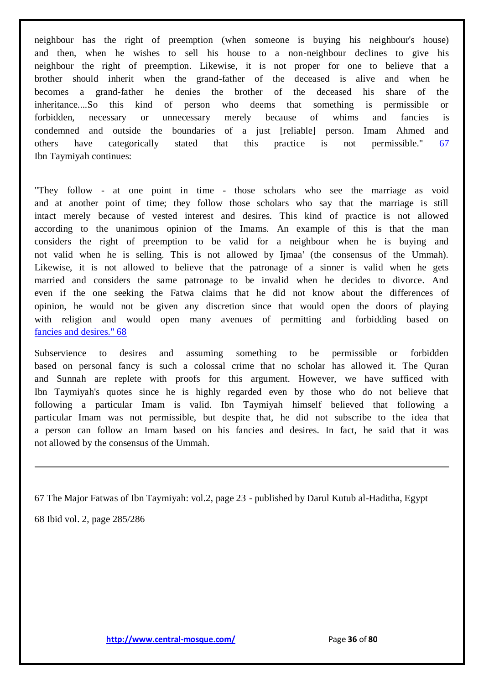neighbour has the right of preemption (when someone is buying his neighbour's house) and then, when he wishes to sell his house to a non-neighbour declines to give his neighbour the right of preemption. Likewise, it is not proper for one to believe that a brother should inherit when the grand-father of the deceased is alive and when he becomes a grand-father he denies the brother of the deceased his share of the inheritance....So this kind of person who deems that something is permissible or forbidden, necessary or unnecessary merely because of whims and fancies is condemned and outside the boundaries of a just [reliable] person. Imam Ahmed and others have categorically stated that this practice is not permissible." [67](LegalS.html#23)  Ibn Taymiyah continues:

"They follow - at one point in time - those scholars who see the marriage as void and at another point of time; they follow those scholars who say that the marriage is still intact merely because of vested interest and desires. This kind of practice is not allowed according to the unanimous opinion of the Imams. An example of this is that the man considers the right of preemption to be valid for a neighbour when he is buying and not valid when he is selling. This is not allowed by Ijmaa' (the consensus of the Ummah). Likewise, it is not allowed to believe that the patronage of a sinner is valid when he gets married and considers the same patronage to be invalid when he decides to divorce. And even if the one seeking the Fatwa claims that he did not know about the differences of opinion, he would not be given any discretion since that would open the doors of playing with religion and would open many avenues of permitting and forbidding based on [fancies and desires." 68](LegalS.html#23)

Subservience to desires and assuming something to be permissible or forbidden based on personal fancy is such a colossal crime that no scholar has allowed it. The Quran and Sunnah are replete with proofs for this argument. However, we have sufficed with Ibn Taymiyah's quotes since he is highly regarded even by those who do not believe that following a particular Imam is valid. Ibn Taymiyah himself believed that following a particular Imam was not permissible, but despite that, he did not subscribe to the idea that a person can follow an Imam based on his fancies and desires. In fact, he said that it was not allowed by the consensus of the Ummah.

67 The Major Fatwas of Ibn Taymiyah: vol.2, page 23 - published by Darul Kutub al-Haditha, Egypt

68 Ibid vol. 2, page 285/286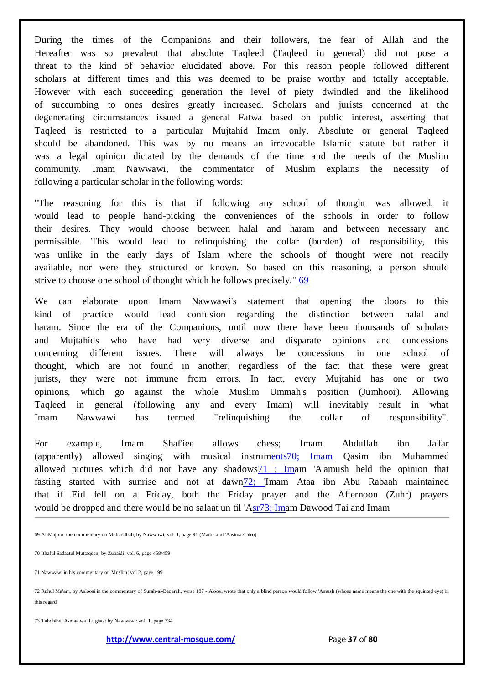During the times of the Companions and their followers, the fear of Allah and the Hereafter was so prevalent that absolute Taqleed (Taqleed in general) did not pose a threat to the kind of behavior elucidated above. For this reason people followed different scholars at different times and this was deemed to be praise worthy and totally acceptable. However with each succeeding generation the level of piety dwindled and the likelihood of succumbing to ones desires greatly increased. Scholars and jurists concerned at the degenerating circumstances issued a general Fatwa based on public interest, asserting that Taqleed is restricted to a particular Mujtahid Imam only. Absolute or general Taqleed should be abandoned. This was by no means an irrevocable Islamic statute but rather it was a legal opinion dictated by the demands of the time and the needs of the Muslim community. Imam Nawwawi, the commentator of Muslim explains the necessity of following a particular scholar in the following words:

"The reasoning for this is that if following any school of thought was allowed, it would lead to people hand-picking the conveniences of the schools in order to follow their desires. They would choose between halal and haram and between necessary and permissible. This would lead to relinquishing the collar (burden) of responsibility, this was unlike in the early days of Islam where the schools of thought were not readily available, nor were they structured or known. So based on this reasoning, a person should strive to choose one school of thought which he follows precisely." [69](LegalS.html#24)

We can elaborate upon Imam Nawwawi's statement that opening the doors to this kind of practice would lead confusion regarding the distinction between halal and haram. Since the era of the Companions, until now there have been thousands of scholars and Mujtahids who have had very diverse and disparate opinions and concessions concerning different issues. There will always be concessions in one school of thought, which are not found in another, regardless of the fact that these were great jurists, they were not immune from errors. In fact, every Mujtahid has one or two opinions, which go against the whole Muslim Ummah's position (Jumhoor). Allowing Taqleed in general (following any and every Imam) will inevitably result in what Imam Nawwawi has termed "relinquishing the collar of responsibility".

For example, Imam Shaf'iee allows chess; Imam Abdullah ibn Ja'far (apparently) allowed singing with musical instru[ments70; Imam](LegalS.html#24) Qasim ibn Muhammed allowed pictures which did not have any shadow[s71 ; Ima](LegalS.html#24)m 'A'amush held the opinion that fasting started with sunrise and not at daw[n72; 'I](LegalS.html#24)mam Ataa ibn Abu Rabaah maintained that if Eid fell on a Friday, both the Friday prayer and the Afternoon (Zuhr) prayers would be dropped and there would be no salaat un til '[Asr73; Ima](LegalS.html#24)m Dawood Tai and Imam

73 Tahdhibul Asmaa wal Lughaat by Nawwawi: vol. 1, page 334

**http://www.central-mosque.com/** Page **37** of **80**

<sup>69</sup> Al-Majmu: the commentary on Muhaddhab, by Nawwawi, vol. 1, page 91 (Matba'atul 'Aasima Cairo)

<sup>70</sup> Ithaful Sadaatul Muttaqeen, by Zubaidi: vol. 6, page 458/459

<sup>71</sup> Nawwawi in his commentary on Muslim: vol 2, page 199

<sup>72</sup> Ruhul Ma'ani, by Aaloosi in the commentary of Surah-al-Baqarah, verse 187 - Aloosi wrote that only a blind person would follow 'Amush (whose name means the one with the squinted eye) in this regard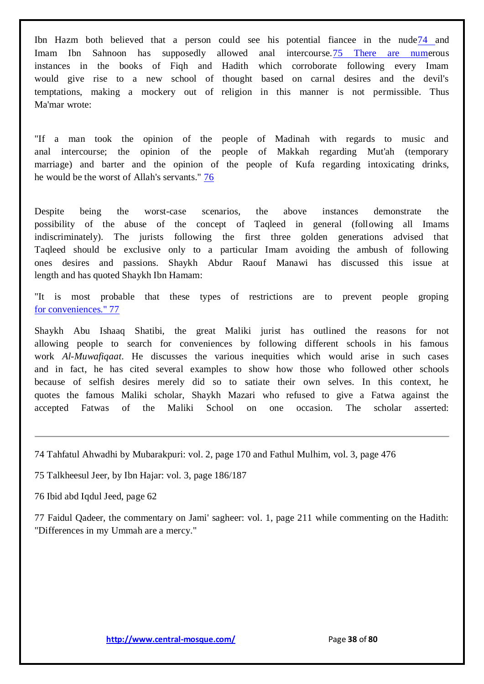Ibn Hazm both believed that a person could see his potential fiancee in the nud[e74 a](LegalS.html#25)nd Imam Ibn Sahnoon has supposedly allowed anal intercourse[.75 There are nume](LegalS.html#25)rous instances in the books of Fiqh and Hadith which corroborate following every Imam would give rise to a new school of thought based on carnal desires and the devil's temptations, making a mockery out of religion in this manner is not permissible. Thus Ma'mar wrote:

"If a man took the opinion of the people of Madinah with regards to music and anal intercourse; the opinion of the people of Makkah regarding Mut'ah (temporary marriage) and barter and the opinion of the people of Kufa regarding intoxicating drinks, he would be the worst of Allah's servants." [76](LegalS.html#25)

Despite being the worst-case scenarios, the above instances demonstrate the possibility of the abuse of the concept of Taqleed in general (following all Imams indiscriminately). The jurists following the first three golden generations advised that Taqleed should be exclusive only to a particular Imam avoiding the ambush of following ones desires and passions. Shaykh Abdur Raouf Manawi has discussed this issue at length and has quoted Shaykh Ibn Hamam:

"It is most probable that these types of restrictions are to prevent people groping [for conveniences." 77](LegalS.html#25)

Shaykh Abu Ishaaq Shatibi, the great Maliki jurist has outlined the reasons for not allowing people to search for conveniences by following different schools in his famous work *Al-Muwafiqaat*. He discusses the various inequities which would arise in such cases and in fact, he has cited several examples to show how those who followed other schools because of selfish desires merely did so to satiate their own selves. In this context, he quotes the famous Maliki scholar, Shaykh Mazari who refused to give a Fatwa against the accepted Fatwas of the Maliki School on one occasion. The scholar asserted:

74 Tahfatul Ahwadhi by Mubarakpuri: vol. 2, page 170 and Fathul Mulhim, vol. 3, page 476

75 Talkheesul Jeer, by Ibn Hajar: vol. 3, page 186/187

76 Ibid abd Iqdul Jeed, page 62

77 Faidul Qadeer, the commentary on Jami' sagheer: vol. 1, page 211 while commenting on the Hadith: "Differences in my Ummah are a mercy."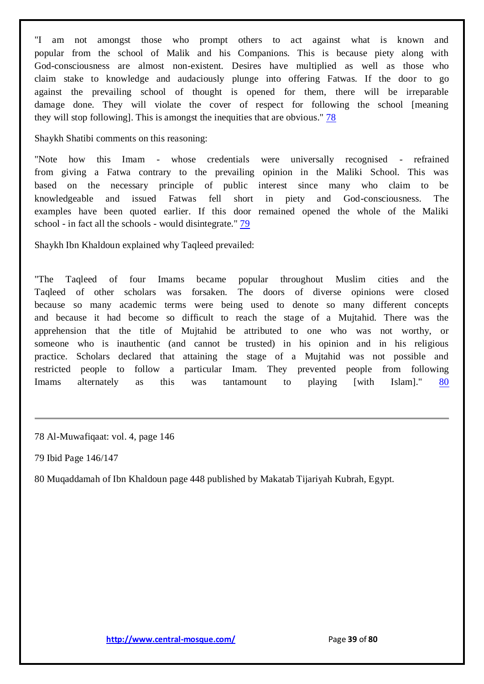"I am not amongst those who prompt others to act against what is known and popular from the school of Malik and his Companions. This is because piety along with God-consciousness are almost non-existent. Desires have multiplied as well as those who claim stake to knowledge and audaciously plunge into offering Fatwas. If the door to go against the prevailing school of thought is opened for them, there will be irreparable damage done. They will violate the cover of respect for following the school [meaning they will stop following]. This is amongst the inequities that are obvious." [78](LegalS.html#25)

Shaykh Shatibi comments on this reasoning:

"Note how this Imam - whose credentials were universally recognised - refrained from giving a Fatwa contrary to the prevailing opinion in the Maliki School. This was based on the necessary principle of public interest since many who claim to be knowledgeable and issued Fatwas fell short in piety and God-consciousness. The examples have been quoted earlier. If this door remained opened the whole of the Maliki school - in fact all the schools - would disintegrate." **79** 

Shaykh Ibn Khaldoun explained why Taqleed prevailed:

"The Taqleed of four Imams became popular throughout Muslim cities and the Taqleed of other scholars was forsaken. The doors of diverse opinions were closed because so many academic terms were being used to denote so many different concepts and because it had become so difficult to reach the stage of a Mujtahid. There was the apprehension that the title of Mujtahid be attributed to one who was not worthy, or someone who is inauthentic (and cannot be trusted) in his opinion and in his religious practice. Scholars declared that attaining the stage of a Mujtahid was not possible and restricted people to follow a particular Imam. They prevented people from following Imams alternately as this was tantamount to playing [with Islam]." [80](LegalS.html#26)

78 Al-Muwafiqaat: vol. 4, page 146

79 Ibid Page 146/147

80 Muqaddamah of Ibn Khaldoun page 448 published by Makatab Tijariyah Kubrah, Egypt.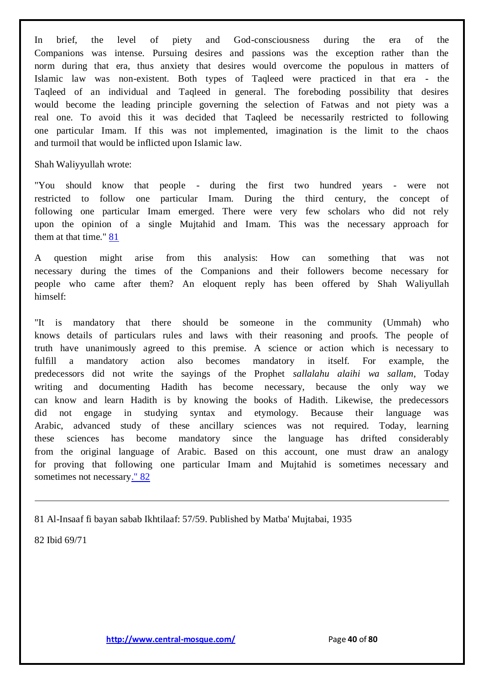In brief, the level of piety and God-consciousness during the era of the Companions was intense. Pursuing desires and passions was the exception rather than the norm during that era, thus anxiety that desires would overcome the populous in matters of Islamic law was non-existent. Both types of Taqleed were practiced in that era - the Taqleed of an individual and Taqleed in general. The foreboding possibility that desires would become the leading principle governing the selection of Fatwas and not piety was a real one. To avoid this it was decided that Taqleed be necessarily restricted to following one particular Imam. If this was not implemented, imagination is the limit to the chaos and turmoil that would be inflicted upon Islamic law.

Shah Waliyyullah wrote:

"You should know that people - during the first two hundred years - were not restricted to follow one particular Imam. During the third century, the concept of following one particular Imam emerged. There were very few scholars who did not rely upon the opinion of a single Mujtahid and Imam. This was the necessary approach for them at that time." [81](LegalS.html#26)

A question might arise from this analysis: How can something that was not necessary during the times of the Companions and their followers become necessary for people who came after them? An eloquent reply has been offered by Shah Waliyullah himself:

"It is mandatory that there should be someone in the community (Ummah) who knows details of particulars rules and laws with their reasoning and proofs. The people of truth have unanimously agreed to this premise. A science or action which is necessary to fulfill a mandatory action also becomes mandatory in itself. For example, the predecessors did not write the sayings of the Prophet *sallalahu alaihi wa sallam*, Today writing and documenting Hadith has become necessary, because the only way we can know and learn Hadith is by knowing the books of Hadith. Likewise, the predecessors did not engage in studying syntax and etymology. Because their language was Arabic, advanced study of these ancillary sciences was not required. Today, learning these sciences has become mandatory since the language has drifted considerably from the original language of Arabic. Based on this account, one must draw an analogy for proving that following one particular Imam and Mujtahid is sometimes necessary and sometimes not necessar[y." 82](LegalS.html#26)

81 Al-Insaaf fi bayan sabab Ikhtilaaf: 57/59. Published by Matba' Mujtabai, 1935

82 Ibid 69/71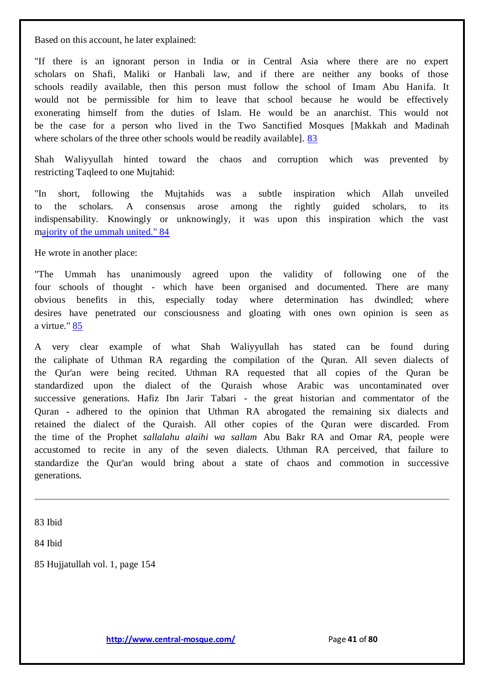Based on this account, he later explained:

"If there is an ignorant person in India or in Central Asia where there are no expert scholars on Shafi, Maliki or Hanbali law, and if there are neither any books of those schools readily available, then this person must follow the school of Imam Abu Hanifa. It would not be permissible for him to leave that school because he would be effectively exonerating himself from the duties of Islam. He would be an anarchist. This would not be the case for a person who lived in the Two Sanctified Mosques [Makkah and Madinah where scholars of the three other schools would be readily available]. [83](LegalS.html#27)

Shah Waliyyullah hinted toward the chaos and corruption which was prevented by restricting Taqleed to one Mujtahid:

"In short, following the Mujtahids was a subtle inspiration which Allah unveiled to the scholars. A consensus arose among the rightly guided scholars, to its indispensability. Knowingly or unknowingly, it was upon this inspiration which the vast [majority of the ummah united." 84](LegalS.html#27)

He wrote in another place:

"The Ummah has unanimously agreed upon the validity of following one of the four schools of thought - which have been organised and documented. There are many obvious benefits in this, especially today where determination has dwindled; where desires have penetrated our consciousness and gloating with ones own opinion is seen as a virtue." [85](LegalS.html#27)

A very clear example of what Shah Waliyyullah has stated can be found during the caliphate of Uthman RA regarding the compilation of the Quran. All seven dialects of the Qur'an were being recited. Uthman RA requested that all copies of the Quran be standardized upon the dialect of the Quraish whose Arabic was uncontaminated over successive generations. Hafiz Ibn Jarir Tabari - the great historian and commentator of the Quran - adhered to the opinion that Uthman RA abrogated the remaining six dialects and retained the dialect of the Quraish. All other copies of the Quran were discarded. From the time of the Prophet *sallalahu alaihi wa sallam* Abu Bakr RA and Omar *RA,* people were accustomed to recite in any of the seven dialects. Uthman RA perceived, that failure to standardize the Qur'an would bring about a state of chaos and commotion in successive generations.

83 Ibid

84 Ibid

85 Hujjatullah vol. 1, page 154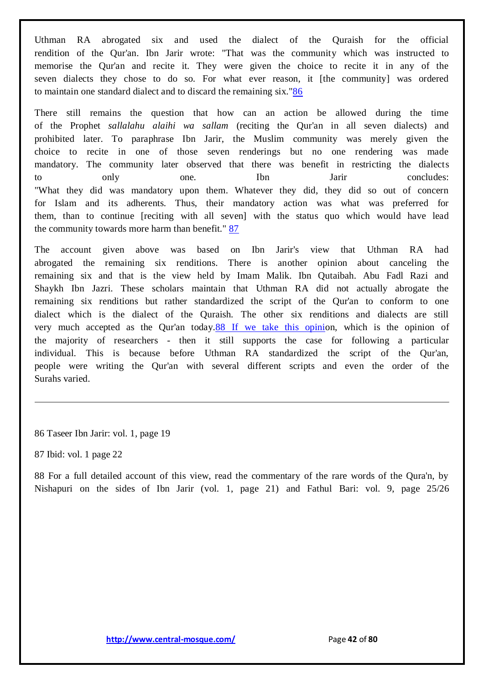Uthman RA abrogated six and used the dialect of the Quraish for the official rendition of the Qur'an. Ibn Jarir wrote: "That was the community which was instructed to memorise the Qur'an and recite it. They were given the choice to recite it in any of the seven dialects they chose to do so. For what ever reason, it [the community] was ordered to maintain one standard dialect and to discard the remaining six.["86](LegalS.html#27)

There still remains the question that how can an action be allowed during the time of the Prophet *sallalahu alaihi wa sallam* (reciting the Qur'an in all seven dialects) and prohibited later. To paraphrase Ibn Jarir, the Muslim community was merely given the choice to recite in one of those seven renderings but no one rendering was made mandatory. The community later observed that there was benefit in restricting the dialects to only one. Ibn Jarir concludes: "What they did was mandatory upon them. Whatever they did, they did so out of concern for Islam and its adherents. Thus, their mandatory action was what was preferred for them, than to continue [reciting with all seven] with the status quo which would have lead the community towards more harm than benefit." [87](LegalS.html#27)

The account given above was based on Ibn Jarir's view that Uthman RA had abrogated the remaining six renditions. There is another opinion about canceling the remaining six and that is the view held by Imam Malik. Ibn Qutaibah. Abu Fadl Razi and Shaykh Ibn Jazri. These scholars maintain that Uthman RA did not actually abrogate the remaining six renditions but rather standardized the script of the Qur'an to conform to one dialect which is the dialect of the Quraish. The other six renditions and dialects are still very much accepted as the Qur'an today[.88 If we take this opinio](LegalS.html#28)n, which is the opinion of the majority of researchers - then it still supports the case for following a particular individual. This is because before Uthman RA standardized the script of the Qur'an, people were writing the Qur'an with several different scripts and even the order of the Surahs varied.

86 Taseer Ibn Jarir: vol. 1, page 19

87 Ibid: vol. 1 page 22

88 For a full detailed account of this view, read the commentary of the rare words of the Qura'n, by Nishapuri on the sides of Ibn Jarir (vol. 1, page 21) and Fathul Bari: vol. 9, page 25/26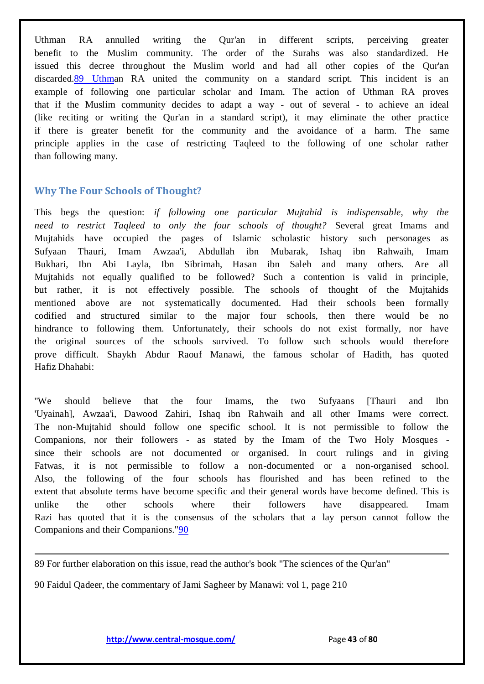Uthman RA annulled writing the Qur'an in different scripts, perceiving greater benefit to the Muslim community. The order of the Surahs was also standardized. He issued this decree throughout the Muslim world and had all other copies of the Qur'an discarded[.89 Uthma](LegalS.html#28)n RA united the community on a standard script. This incident is an example of following one particular scholar and Imam. The action of Uthman RA proves that if the Muslim community decides to adapt a way - out of several - to achieve an ideal (like reciting or writing the Qur'an in a standard script), it may eliminate the other practice if there is greater benefit for the community and the avoidance of a harm. The same principle applies in the case of restricting Taqleed to the following of one scholar rather than following many.

## **Why The Four Schools of Thought?**

This begs the question: *if following one particular Mujtahid is indispensable, why the need to restrict Taqleed to only the four schools of thought?* Several great Imams and Mujtahids have occupied the pages of Islamic scholastic history such personages as Sufyaan Thauri, Imam Awzaa'i, Abdullah ibn Mubarak, Ishaq ibn Rahwaih, Imam Bukhari, Ibn Abi Layla, Ibn Sibrimah, Hasan ibn Saleh and many others. Are all Mujtahids not equally qualified to be followed? Such a contention is valid in principle, but rather, it is not effectively possible. The schools of thought of the Mujtahids mentioned above are not systematically documented. Had their schools been formally codified and structured similar to the major four schools, then there would be no hindrance to following them. Unfortunately, their schools do not exist formally, nor have the original sources of the schools survived. To follow such schools would therefore prove difficult. Shaykh Abdur Raouf Manawi, the famous scholar of Hadith, has quoted Hafiz Dhahabi:

''We should believe that the four Imams, the two Sufyaans [Thauri and Ibn 'Uyainah], Awzaa'i, Dawood Zahiri, Ishaq ibn Rahwaih and all other Imams were correct. The non-Mujtahid should follow one specific school. It is not permissible to follow the Companions, nor their followers - as stated by the Imam of the Two Holy Mosques since their schools are not documented or organised. In court rulings and in giving Fatwas, it is not permissible to follow a non-documented or a non-organised school. Also, the following of the four schools has flourished and has been refined to the extent that absolute terms have become specific and their general words have become defined. This is unlike the other schools where their followers have disappeared. Imam Razi has quoted that it is the consensus of the scholars that a lay person cannot follow the Companions and their Companions.["90](LegalS.html#29)

89 For further elaboration on this issue, read the author's book "The sciences of the Qur'an"

90 Faidul Qadeer, the commentary of Jami Sagheer by Manawi: vol 1, page 210

**http://www.central-mosque.com/** Page **43** of **80**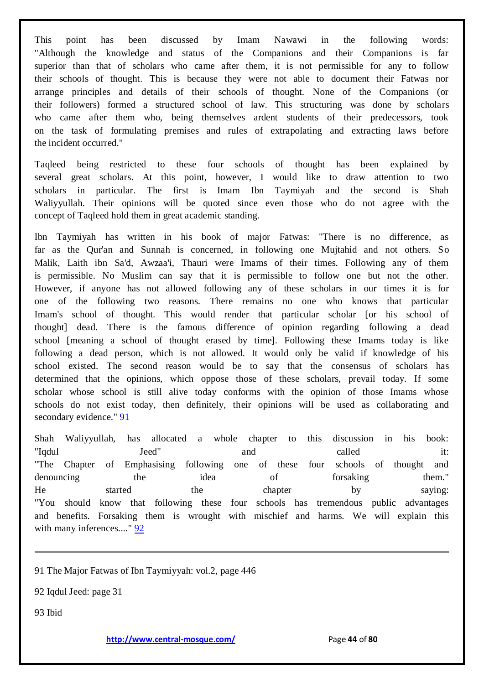This point has been discussed by Imam Nawawi in the following words: "Although the knowledge and status of the Companions and their Companions is far superior than that of scholars who came after them, it is not permissible for any to follow their schools of thought. This is because they were not able to document their Fatwas nor arrange principles and details of their schools of thought. None of the Companions (or their followers) formed a structured school of law. This structuring was done by scholars who came after them who, being themselves ardent students of their predecessors, took on the task of formulating premises and rules of extrapolating and extracting laws before the incident occurred."

Taqleed being restricted to these four schools of thought has been explained by several great scholars. At this point, however, I would like to draw attention to two scholars in particular. The first is Imam Ibn Taymiyah and the second is Shah Waliyyullah. Their opinions will be quoted since even those who do not agree with the concept of Taqleed hold them in great academic standing.

Ibn Taymiyah has written in his book of major Fatwas: "There is no difference, as far as the Qur'an and Sunnah is concerned, in following one Mujtahid and not others. So Malik, Laith ibn Sa'd, Awzaa'i, Thauri were Imams of their times. Following any of them is permissible. No Muslim can say that it is permissible to follow one but not the other. However, if anyone has not allowed following any of these scholars in our times it is for one of the following two reasons. There remains no one who knows that particular Imam's school of thought. This would render that particular scholar [or his school of thought] dead. There is the famous difference of opinion regarding following a dead school [meaning a school of thought erased by time]. Following these Imams today is like following a dead person, which is not allowed. It would only be valid if knowledge of his school existed. The second reason would be to say that the consensus of scholars has determined that the opinions, which oppose those of these scholars, prevail today. If some scholar whose school is still alive today conforms with the opinion of those Imams whose schools do not exist today, then definitely, their opinions will be used as collaborating and secondary evidence." [91](LegalS.html#29)

Shah Waliyyullah, has allocated a whole chapter to this discussion in his book: "Iqdul Jeed" and called it: "The Chapter of Emphasising following one of these four schools of thought and denouncing the idea of forsaking them." He started the chapter by saying: "You should know that following these four schools has tremendous public advantages and benefits. Forsaking them is wrought with mischief and harms. We will explain this with many inferences...."  $92$ 

91 The Major Fatwas of Ibn Taymiyyah: vol.2, page 446

92 Iqdul Jeed: page 31

93 Ibid

**http://www.central-mosque.com/** Page **44** of **80**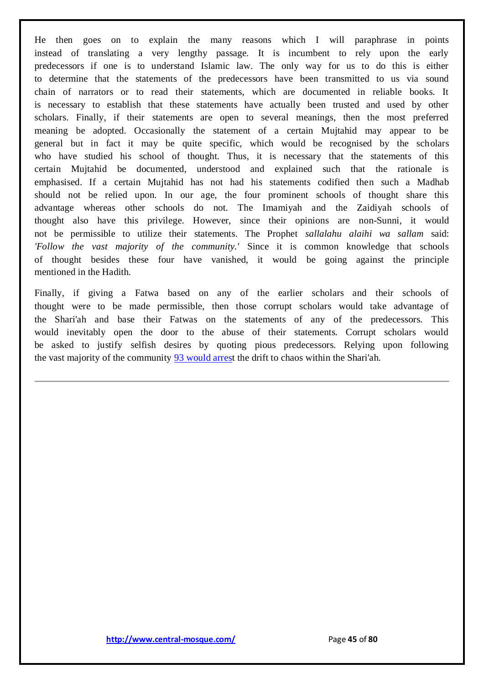He then goes on to explain the many reasons which I will paraphrase in points instead of translating a very lengthy passage. It is incumbent to rely upon the early predecessors if one is to understand Islamic law. The only way for us to do this is either to determine that the statements of the predecessors have been transmitted to us via sound chain of narrators or to read their statements, which are documented in reliable books. It is necessary to establish that these statements have actually been trusted and used by other scholars. Finally, if their statements are open to several meanings, then the most preferred meaning be adopted. Occasionally the statement of a certain Mujtahid may appear to be general but in fact it may be quite specific, which would be recognised by the scholars who have studied his school of thought. Thus, it is necessary that the statements of this certain Mujtahid be documented, understood and explained such that the rationale is emphasised. If a certain Mujtahid has not had his statements codified then such a Madhab should not be relied upon. In our age, the four prominent schools of thought share this advantage whereas other schools do not. The Imamiyah and the Zaidiyah schools of thought also have this privilege. However, since their opinions are non-Sunni, it would not be permissible to utilize their statements. The Prophet *sallalahu alaihi wa sallam* said: *'Follow the vast majority of the community.'* Since it is common knowledge that schools of thought besides these four have vanished, it would be going against the principle mentioned in the Hadith.

Finally, if giving a Fatwa based on any of the earlier scholars and their schools of thought were to be made permissible, then those corrupt scholars would take advantage of the Shari'ah and base their Fatwas on the statements of any of the predecessors. This would inevitably open the door to the abuse of their statements. Corrupt scholars would be asked to justify selfish desires by quoting pious predecessors. Relying upon following the vast majority of the community [93 would arrest](LegalS.html#30) the drift to chaos within the Shari'ah.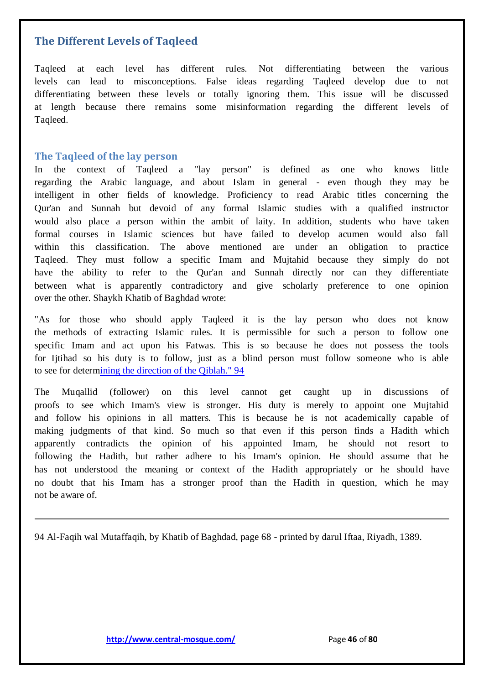# **The Different Levels of Taqleed**

Taqleed at each level has different rules. Not differentiating between the various levels can lead to misconceptions. False ideas regarding Taqleed develop due to not differentiating between these levels or totally ignoring them. This issue will be discussed at length because there remains some misinformation regarding the different levels of Taqleed.

#### **The Taqleed of the lay person**

In the context of Taqleed a "lay person" is defined as one who knows little regarding the Arabic language, and about Islam in general - even though they may be intelligent in other fields of knowledge. Proficiency to read Arabic titles concerning the Qur'an and Sunnah but devoid of any formal Islamic studies with a qualified instructor would also place a person within the ambit of laity. In addition, students who have taken formal courses in Islamic sciences but have failed to develop acumen would also fall within this classification. The above mentioned are under an obligation to practice Taqleed. They must follow a specific Imam and Mujtahid because they simply do not have the ability to refer to the Qur'an and Sunnah directly nor can they differentiate between what is apparently contradictory and give scholarly preference to one opinion over the other. Shaykh Khatib of Baghdad wrote:

"As for those who should apply Taqleed it is the lay person who does not know the methods of extracting Islamic rules. It is permissible for such a person to follow one specific Imam and act upon his Fatwas. This is so because he does not possess the tools for Ijtihad so his duty is to follow, just as a blind person must follow someone who is able to see for deter[mining the direction of the Qiblah." 94](LegalS.html#30)

The Muqallid (follower) on this level cannot get caught up in discussions of proofs to see which Imam's view is stronger. His duty is merely to appoint one Mujtahid and follow his opinions in all matters. This is because he is not academically capable of making judgments of that kind. So much so that even if this person finds a Hadith which apparently contradicts the opinion of his appointed Imam, he should not resort to following the Hadith, but rather adhere to his Imam's opinion. He should assume that he has not understood the meaning or context of the Hadith appropriately or he should have no doubt that his Imam has a stronger proof than the Hadith in question, which he may not be aware of.

94 Al-Faqih wal Mutaffaqih, by Khatib of Baghdad, page 68 - printed by darul Iftaa, Riyadh, 1389.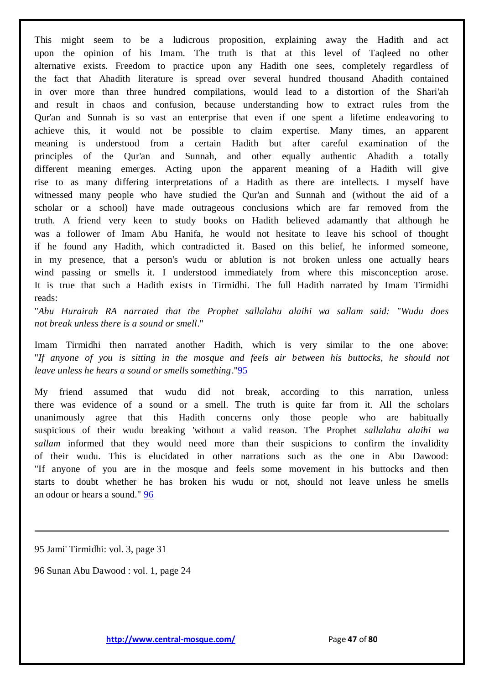This might seem to be a ludicrous proposition, explaining away the Hadith and act upon the opinion of his Imam. The truth is that at this level of Taqleed no other alternative exists. Freedom to practice upon any Hadith one sees, completely regardless of the fact that Ahadith literature is spread over several hundred thousand Ahadith contained in over more than three hundred compilations, would lead to a distortion of the Shari'ah and result in chaos and confusion, because understanding how to extract rules from the Qur'an and Sunnah is so vast an enterprise that even if one spent a lifetime endeavoring to achieve this, it would not be possible to claim expertise. Many times, an apparent meaning is understood from a certain Hadith but after careful examination of the principles of the Qur'an and Sunnah, and other equally authentic Ahadith a totally different meaning emerges. Acting upon the apparent meaning of a Hadith will give rise to as many differing interpretations of a Hadith as there are intellects. I myself have witnessed many people who have studied the Qur'an and Sunnah and (without the aid of a scholar or a school) have made outrageous conclusions which are far removed from the truth. A friend very keen to study books on Hadith believed adamantly that although he was a follower of Imam Abu Hanifa, he would not hesitate to leave his school of thought if he found any Hadith, which contradicted it. Based on this belief, he informed someone, in my presence, that a person's wudu or ablution is not broken unless one actually hears wind passing or smells it. I understood immediately from where this misconception arose. It is true that such a Hadith exists in Tirmidhi. The full Hadith narrated by Imam Tirmidhi reads:

"*Abu Hurairah RA narrated that the Prophet sallalahu alaihi wa sallam said: "Wudu does not break unless there is a sound or smell*."

Imam Tirmidhi then narrated another Hadith, which is very similar to the one above: "*If anyone of you is sitting in the mosque and feels air between his buttocks, he should not leave unless he hears a sound or smells something*.["95](LegalS.html#31)

My friend assumed that wudu did not break, according to this narration, unless there was evidence of a sound or a smell. The truth is quite far from it. All the scholars unanimously agree that this Hadith concerns only those people who are habitually suspicious of their wudu breaking 'without a valid reason. The Prophet *sallalahu alaihi wa sallam* informed that they would need more than their suspicions to confirm the invalidity of their wudu. This is elucidated in other narrations such as the one in Abu Dawood: "If anyone of you are in the mosque and feels some movement in his buttocks and then starts to doubt whether he has broken his wudu or not, should not leave unless he smells an odour or hears a sound." [96](LegalS.html#31)

95 Jami' Tirmidhi: vol. 3, page 31

96 Sunan Abu Dawood : vol. 1, page 24

**http://www.central-mosque.com/** Page **47** of **80**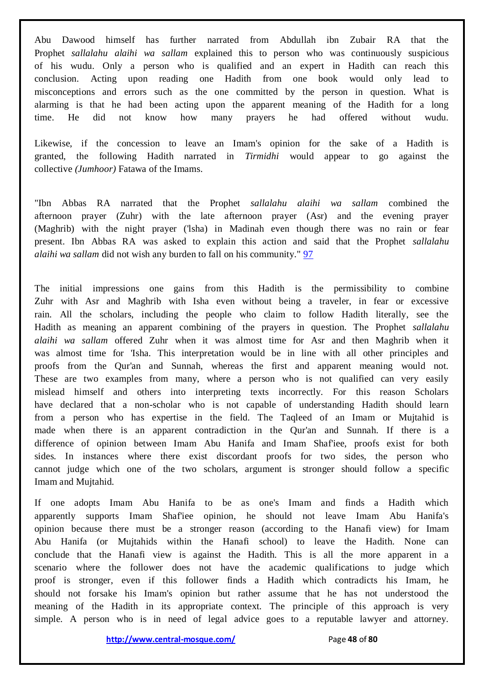Abu Dawood himself has further narrated from Abdullah ibn Zubair RA that the Prophet *sallalahu alaihi wa sallam* explained this to person who was continuously suspicious of his wudu. Only a person who is qualified and an expert in Hadith can reach this conclusion. Acting upon reading one Hadith from one book would only lead to misconceptions and errors such as the one committed by the person in question. What is alarming is that he had been acting upon the apparent meaning of the Hadith for a long time. He did not know how many prayers he had offered without wudu.

Likewise, if the concession to leave an Imam's opinion for the sake of a Hadith is granted, the following Hadith narrated in *Tirmidhi* would appear to go against the collective *(Jumhoor)* Fatawa of the Imams.

"Ibn Abbas RA narrated that the Prophet *sallalahu alaihi wa sallam* combined the afternoon prayer (Zuhr) with the late afternoon prayer (Asr) and the evening prayer (Maghrib) with the night prayer ('lsha) in Madinah even though there was no rain or fear present. Ibn Abbas RA was asked to explain this action and said that the Prophet *sallalahu alaihi wa sallam* did not wish any burden to fall on his community." [97](LegalS.html#32)

The initial impressions one gains from this Hadith is the permissibility to combine Zuhr with Asr and Maghrib with Isha even without being a traveler, in fear or excessive rain. All the scholars, including the people who claim to follow Hadith literally, see the Hadith as meaning an apparent combining of the prayers in question. The Prophet *sallalahu alaihi wa sallam* offered Zuhr when it was almost time for Asr and then Maghrib when it was almost time for 'Isha. This interpretation would be in line with all other principles and proofs from the Qur'an and Sunnah, whereas the first and apparent meaning would not. These are two examples from many, where a person who is not qualified can very easily mislead himself and others into interpreting texts incorrectly. For this reason Scholars have declared that a non-scholar who is not capable of understanding Hadith should learn from a person who has expertise in the field. The Taqleed of an Imam or Mujtahid is made when there is an apparent contradiction in the Qur'an and Sunnah. If there is a difference of opinion between Imam Abu Hanifa and Imam Shaf'iee, proofs exist for both sides. In instances where there exist discordant proofs for two sides, the person who cannot judge which one of the two scholars, argument is stronger should follow a specific Imam and Mujtahid.

If one adopts Imam Abu Hanifa to be as one's Imam and finds a Hadith which apparently supports Imam Shaf'iee opinion, he should not leave Imam Abu Hanifa's opinion because there must be a stronger reason (according to the Hanafi view) for Imam Abu Hanifa (or Mujtahids within the Hanafi school) to leave the Hadith. None can conclude that the Hanafi view is against the Hadith. This is all the more apparent in a scenario where the follower does not have the academic qualifications to judge which proof is stronger, even if this follower finds a Hadith which contradicts his Imam, he should not forsake his Imam's opinion but rather assume that he has not understood the meaning of the Hadith in its appropriate context. The principle of this approach is very simple. A person who is in need of legal advice goes to a reputable lawyer and attorney.

**http://www.central-mosque.com/** Page **48** of **80**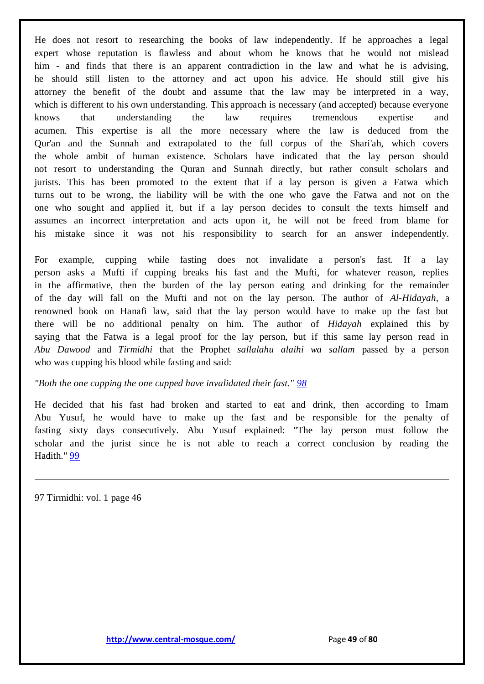He does not resort to researching the books of law independently. If he approaches a legal expert whose reputation is flawless and about whom he knows that he would not mislead him - and finds that there is an apparent contradiction in the law and what he is advising, he should still listen to the attorney and act upon his advice. He should still give his attorney the benefit of the doubt and assume that the law may be interpreted in a way, which is different to his own understanding. This approach is necessary (and accepted) because everyone knows that understanding the law requires tremendous expertise and acumen. This expertise is all the more necessary where the law is deduced from the Qur'an and the Sunnah and extrapolated to the full corpus of the Shari'ah, which covers the whole ambit of human existence. Scholars have indicated that the lay person should not resort to understanding the Quran and Sunnah directly, but rather consult scholars and jurists. This has been promoted to the extent that if a lay person is given a Fatwa which turns out to be wrong, the liability will be with the one who gave the Fatwa and not on the one who sought and applied it, but if a lay person decides to consult the texts himself and assumes an incorrect interpretation and acts upon it, he will not be freed from blame for his mistake since it was not his responsibility to search for an answer independently.

For example, cupping while fasting does not invalidate a person's fast. If a lay person asks a Mufti if cupping breaks his fast and the Mufti, for whatever reason, replies in the affirmative, then the burden of the lay person eating and drinking for the remainder of the day will fall on the Mufti and not on the lay person. The author of *Al-Hidayah,* a renowned book on Hanafi law, said that the lay person would have to make up the fast but there will be no additional penalty on him. The author of *Hidayah* explained this by saying that the Fatwa is a legal proof for the lay person, but if this same lay person read in *Abu Dawood* and *Tirmidhi* that the Prophet *sallalahu alaihi wa sallam* passed by a person who was cupping his blood while fasting and said:

### *"Both the one cupping the one cupped have invalidated their fast." [98](LegalS.html#33)*

He decided that his fast had broken and started to eat and drink, then according to Imam Abu Yusuf, he would have to make up the fast and be responsible for the penalty of fasting sixty days consecutively. Abu Yusuf explained: "The lay person must follow the scholar and the jurist since he is not able to reach a correct conclusion by reading the Hadith." **99** 

97 Tirmidhi: vol. 1 page 46

**http://www.central-mosque.com/** Page **49** of **80**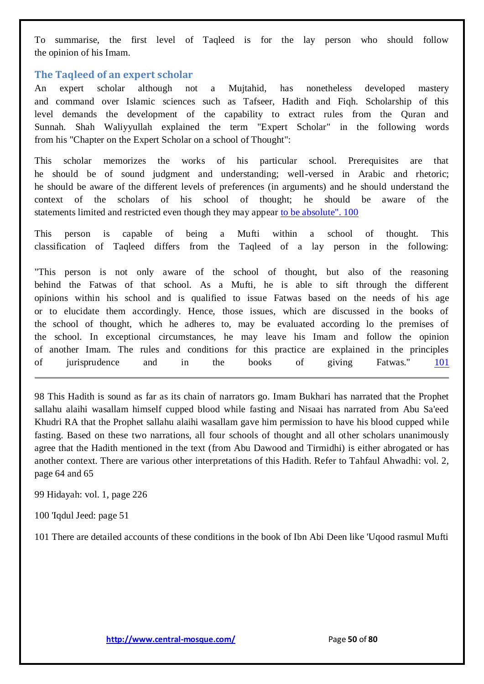To summarise, the first level of Taqleed is for the lay person who should follow the opinion of his Imam.

### **The Taqleed of an expert scholar**

An expert scholar although not a Mujtahid, has nonetheless developed mastery and command over Islamic sciences such as Tafseer, Hadith and Fiqh. Scholarship of this level demands the development of the capability to extract rules from the Quran and Sunnah. Shah Waliyyullah explained the term "Expert Scholar" in the following words from his "Chapter on the Expert Scholar on a school of Thought":

This scholar memorizes the works of his particular school. Prerequisites are that he should be of sound judgment and understanding; well-versed in Arabic and rhetoric; he should be aware of the different levels of preferences (in arguments) and he should understand the context of the scholars of his school of thought; he should be aware of the statements limited and restricted even though they may appear [to be absolute". 100](LegalS.html#34)

This person is capable of being a Mufti within a school of thought. This classification of Taqleed differs from the Taqleed of a lay person in the following:

"This person is not only aware of the school of thought, but also of the reasoning behind the Fatwas of that school. As a Mufti, he is able to sift through the different opinions within his school and is qualified to issue Fatwas based on the needs of his age or to elucidate them accordingly. Hence, those issues, which are discussed in the books of the school of thought, which he adheres to, may be evaluated according lo the premises of the school. In exceptional circumstances, he may leave his Imam and follow the opinion of another Imam. The rules and conditions for this practice are explained in the principles of jurisprudence and in the books of giving Fatwas." [101](LegalS.html#34)

98 This Hadith is sound as far as its chain of narrators go. Imam Bukhari has narrated that the Prophet sallahu alaihi wasallam himself cupped blood while fasting and Nisaai has narrated from Abu Sa'eed Khudri RA that the Prophet sallahu alaihi wasallam gave him permission to have his blood cupped while fasting. Based on these two narrations, all four schools of thought and all other scholars unanimously agree that the Hadith mentioned in the text (from Abu Dawood and Tirmidhi) is either abrogated or has another context. There are various other interpretations of this Hadith. Refer to Tahfaul Ahwadhi: vol. 2, page 64 and 65

99 Hidayah: vol. 1, page 226

100 'Iqdul Jeed: page 51

101 There are detailed accounts of these conditions in the book of Ibn Abi Deen like 'Uqood rasmul Mufti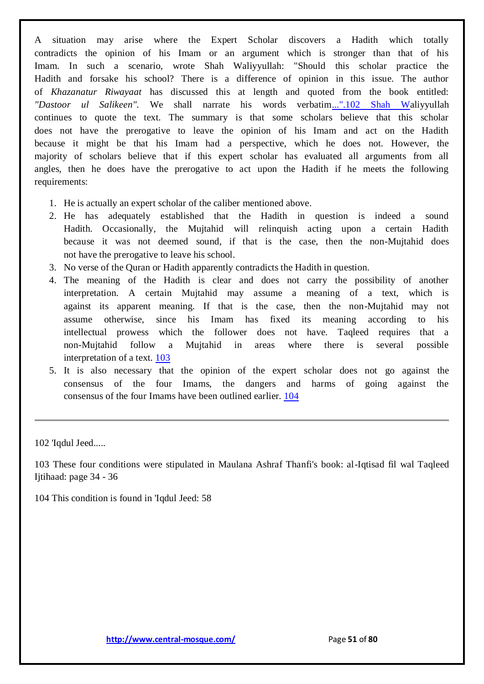A situation may arise where the Expert Scholar discovers a Hadith which totally contradicts the opinion of his Imam or an argument which is stronger than that of his Imam. In such a scenario, wrote Shah Waliyyullah: "Should this scholar practice the Hadith and forsake his school? There is a difference of opinion in this issue. The author of *Khazanatur Riwayaat* has discussed this at length and quoted from the book entitled: *"Dastoor ul Salikeen".* We shall narrate his words verbati[m...".102 Shah Wa](LegalS.html#34)liyyullah continues to quote the text. The summary is that some scholars believe that this scholar does not have the prerogative to leave the opinion of his Imam and act on the Hadith because it might be that his Imam had a perspective, which he does not. However, the majority of scholars believe that if this expert scholar has evaluated all arguments from all angles, then he does have the prerogative to act upon the Hadith if he meets the following requirements:

- 1. He is actually an expert scholar of the caliber mentioned above.
- 2. He has adequately established that the Hadith in question is indeed a sound Hadith. Occasionally, the Mujtahid will relinquish acting upon a certain Hadith because it was not deemed sound, if that is the case, then the non-Mujtahid does not have the prerogative to leave his school.
- 3. No verse of the Quran or Hadith apparently contradicts the Hadith in question.
- 4. The meaning of the Hadith is clear and does not carry the possibility of another interpretation. A certain Mujtahid may assume a meaning of a text, which is against its apparent meaning. If that is the case, then the non-Mujtahid may not assume otherwise, since his Imam has fixed its meaning according to his intellectual prowess which the follower does not have. Taqleed requires that a non-Mujtahid follow a Mujtahid in areas where there is several possible interpretation of a text. [103](LegalS.html#34)
- 5. It is also necessary that the opinion of the expert scholar does not go against the consensus of the four Imams, the dangers and harms of going against the consensus of the four Imams have been outlined earlier. [104](LegalS.html#34)

102 'Iqdul Jeed.....

103 These four conditions were stipulated in Maulana Ashraf Thanfi's book: al-Iqtisad fil wal Taqleed Ijtihaad: page 34 - 36

104 This condition is found in 'Iqdul Jeed: 58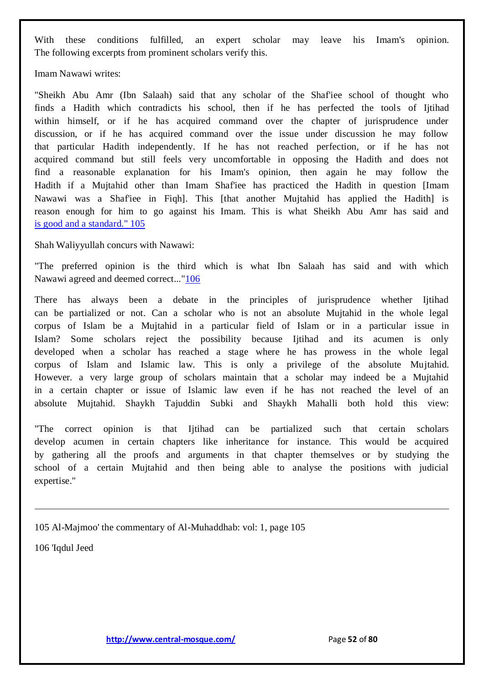With these conditions fulfilled, an expert scholar may leave his Imam's opinion. The following excerpts from prominent scholars verify this.

Imam Nawawi writes:

"Sheikh Abu Amr (Ibn Salaah) said that any scholar of the Shaf'iee school of thought who finds a Hadith which contradicts his school, then if he has perfected the tools of Ijtihad within himself, or if he has acquired command over the chapter of jurisprudence under discussion, or if he has acquired command over the issue under discussion he may follow that particular Hadith independently. If he has not reached perfection, or if he has not acquired command but still feels very uncomfortable in opposing the Hadith and does not find a reasonable explanation for his Imam's opinion, then again he may follow the Hadith if a Mujtahid other than Imam Shaf'iee has practiced the Hadith in question [Imam Nawawi was a Shaf'iee in Fiqh]. This [that another Mujtahid has applied the Hadith] is reason enough for him to go against his Imam. This is what Sheikh Abu Amr has said and [is good and a standard." 105](LegalS.html#35)

Shah Waliyyullah concurs with Nawawi:

"The preferred opinion is the third which is what Ibn Salaah has said and with which Nawawi agreed and deemed correct...["106](LegalS.html#35)

There has always been a debate in the principles of jurisprudence whether Ijtihad can be partialized or not. Can a scholar who is not an absolute Mujtahid in the whole legal corpus of Islam be a Mujtahid in a particular field of Islam or in a particular issue in Islam? Some scholars reject the possibility because Ijtihad and its acumen is only developed when a scholar has reached a stage where he has prowess in the whole legal corpus of Islam and Islamic law. This is only a privilege of the absolute Mujtahid. However. a very large group of scholars maintain that a scholar may indeed be a Mujtahid in a certain chapter or issue of Islamic law even if he has not reached the level of an absolute Mujtahid. Shaykh Tajuddin Subki and Shaykh Mahalli both hold this view:

"The correct opinion is that Ijtihad can be partialized such that certain scholars develop acumen in certain chapters like inheritance for instance. This would be acquired by gathering all the proofs and arguments in that chapter themselves or by studying the school of a certain Mujtahid and then being able to analyse the positions with judicial expertise."

|  | 105 Al-Majmoo' the commentary of Al-Muhaddhab: vol: 1, page 105 |  |
|--|-----------------------------------------------------------------|--|
|--|-----------------------------------------------------------------|--|

106 'Iqdul Jeed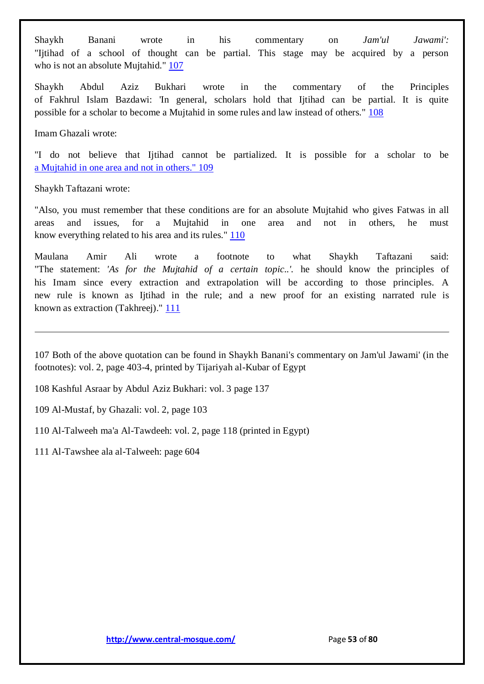Shaykh Banani wrote in his commentary on *Jam'ul Jawami':*  "Ijtihad of a school of thought can be partial. This stage may be acquired by a person who is not an absolute Mujtahid." [107](LegalS.html#35)

Shaykh Abdul Aziz Bukhari wrote in the commentary of the Principles of Fakhrul Islam Bazdawi: 'In general, scholars hold that Ijtihad can be partial. It is quite possible for a scholar to become a Mujtahid in some rules and law instead of others." [108](LegalS.html#35)

Imam Ghazali wrote:

"I do not believe that Ijtihad cannot be partialized. It is possible for a scholar to be [a Mujtahid in one area and not in others." 109](LegalS.html#35)

Shaykh Taftazani wrote:

"Also, you must remember that these conditions are for an absolute Mujtahid who gives Fatwas in all areas and issues, for a Mujtahid in one area and not in others, he must know everything related to his area and its rules." [110](LegalS.html#36)

Maulana Amir Ali wrote a footnote to what Shaykh Taftazani said: "The statement: *'As for the Mujtahid of a certain topic..'.* he should know the principles of his Imam since every extraction and extrapolation will be according to those principles. A new rule is known as Ijtihad in the rule; and a new proof for an existing narrated rule is known as extraction (Takhreej)."  $111$ 

107 Both of the above quotation can be found in Shaykh Banani's commentary on Jam'ul Jawami' (in the footnotes): vol. 2, page 403-4, printed by Tijariyah al-Kubar of Egypt

108 Kashful Asraar by Abdul Aziz Bukhari: vol. 3 page 137

109 Al-Mustaf, by Ghazali: vol. 2, page 103

110 Al-Talweeh ma'a Al-Tawdeeh: vol. 2, page 118 (printed in Egypt)

111 Al-Tawshee ala al-Talweeh: page 604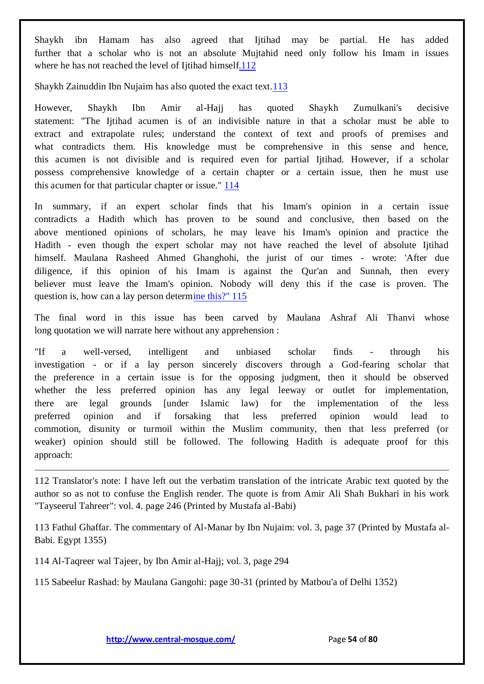Shaykh ibn Hamam has also agreed that Ijtihad may be partial. He has added further that a scholar who is not an absolute Mujtahid need only follow his Imam in issues where he has not reached the level of Ijtihad himself.112

Shaykh Zainuddin Ibn Nujaim has also quoted the exact text[.113](LegalS.html#36)

However, Shaykh Ibn Amir al-Hajj has quoted Shaykh Zumulkani's decisive statement: "The Ijtihad acumen is of an indivisible nature in that a scholar must be able to extract and extrapolate rules; understand the context of text and proofs of premises and what contradicts them. His knowledge must be comprehensive in this sense and hence, this acumen is not divisible and is required even for partial Ijtihad. However, if a scholar possess comprehensive knowledge of a certain chapter or a certain issue, then he must use this acumen for that particular chapter or issue." [114](LegalS.html#36)

In summary, if an expert scholar finds that his Imam's opinion in a certain issue contradicts a Hadith which has proven to be sound and conclusive, then based on the above mentioned opinions of scholars, he may leave his Imam's opinion and practice the Hadith - even though the expert scholar may not have reached the level of absolute Ijtihad himself. Maulana Rasheed Ahmed Ghanghohi, the jurist of our times - wrote: 'After due diligence, if this opinion of his Imam is against the Qur'an and Sunnah, then every believer must leave the Imam's opinion. Nobody will deny this if the case is proven. The question is, how can a lay person deter[mine this?" 115](LegalS.html#36)

The final word in this issue has been carved by Maulana Ashraf Ali Thanvi whose long quotation we will narrate here without any apprehension :

"If a well-versed, intelligent and unbiased scholar finds - through his investigation - or if a lay person sincerely discovers through a God-fearing scholar that the preference in a certain issue is for the opposing judgment, then it should be observed whether the less preferred opinion has any legal leeway or outlet for implementation, there are legal grounds [under Islamic law) for the implementation of the less preferred opinion and if forsaking that less preferred opinion would lead to commotion, disunity or turmoil within the Muslim community, then that less preferred (or weaker) opinion should still be followed. The following Hadith is adequate proof for this approach:

112 Translator's note: I have left out the verbatim translation of the intricate Arabic text quoted by the author so as not to confuse the English render. The quote is from Amir Ali Shah Bukhari in his work "Tayseerul Tahreer": vol. 4. page 246 (Printed by Mustafa al-Babi)

113 Fathul Ghaffar. The commentary of Al-Manar by Ibn Nujaim: vol. 3, page 37 (Printed by Mustafa al-Babi. Egypt 1355)

114 Al-Taqreer wal Tajeer, by Ibn Amir al-Hajj; vol. 3, page 294

115 Sabeelur Rashad: by Maulana Gangohi: page 30-31 (printed by Matbou'a of Delhi 1352)

**http://www.central-mosque.com/** Page **54** of **80**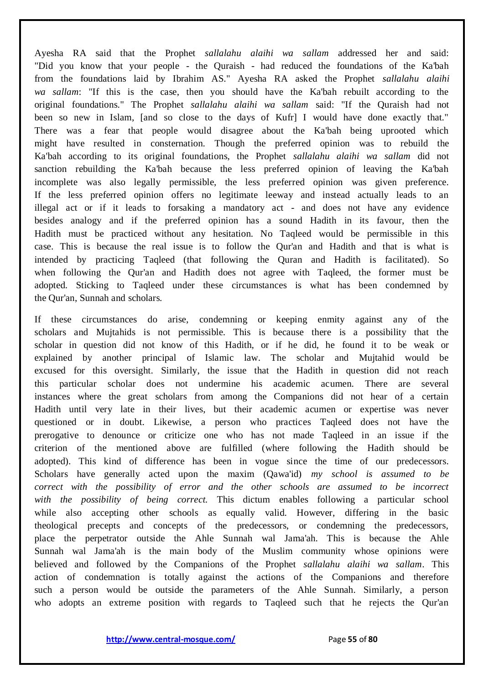Ayesha RA said that the Prophet *sallalahu alaihi wa sallam* addressed her and said: "Did you know that your people - the Quraish - had reduced the foundations of the Ka'bah from the foundations laid by Ibrahim AS." Ayesha RA asked the Prophet *sallalahu alaihi wa sallam*: "If this is the case, then you should have the Ka'bah rebuilt according to the original foundations." The Prophet *sallalahu alaihi wa sallam* said: "If the Quraish had not been so new in Islam, [and so close to the days of Kufr] I would have done exactly that." There was a fear that people would disagree about the Ka'bah being uprooted which might have resulted in consternation. Though the preferred opinion was to rebuild the Ka'bah according to its original foundations, the Prophet *sallalahu alaihi wa sallam* did not sanction rebuilding the Ka'bah because the less preferred opinion of leaving the Ka'bah incomplete was also legally permissible, the less preferred opinion was given preference. If the less preferred opinion offers no legitimate leeway and instead actually leads to an illegal act or if it leads to forsaking a mandatory act - and does not have any evidence besides analogy and if the preferred opinion has a sound Hadith in its favour, then the Hadith must be practiced without any hesitation. No Taqleed would be permissible in this case. This is because the real issue is to follow the Qur'an and Hadith and that is what is intended by practicing Taqleed (that following the Quran and Hadith is facilitated). So when following the Qur'an and Hadith does not agree with Taqleed, the former must be adopted. Sticking to Taqleed under these circumstances is what has been condemned by the Qur'an, Sunnah and scholars.

If these circumstances do arise, condemning or keeping enmity against any of the scholars and Mujtahids is not permissible. This is because there is a possibility that the scholar in question did not know of this Hadith, or if he did, he found it to be weak or explained by another principal of Islamic law. The scholar and Mujtahid would be excused for this oversight. Similarly, the issue that the Hadith in question did not reach this particular scholar does not undermine his academic acumen. There are several instances where the great scholars from among the Companions did not hear of a certain Hadith until very late in their lives, but their academic acumen or expertise was never questioned or in doubt. Likewise, a person who practices Taqleed does not have the prerogative to denounce or criticize one who has not made Taqleed in an issue if the criterion of the mentioned above are fulfilled (where following the Hadith should be adopted). This kind of difference has been in vogue since the time of our predecessors. Scholars have generally acted upon the maxim (Qawa'id) *my school is assumed to be correct with the possibility of error and the other schools are assumed to be incorrect with the possibility of being correct.* This dictum enables following a particular school while also accepting other schools as equally valid. However, differing in the basic theological precepts and concepts of the predecessors, or condemning the predecessors, place the perpetrator outside the Ahle Sunnah wal Jama'ah. This is because the Ahle Sunnah wal Jama'ah is the main body of the Muslim community whose opinions were believed and followed by the Companions of the Prophet *sallalahu alaihi wa sallam*. This action of condemnation is totally against the actions of the Companions and therefore such a person would be outside the parameters of the Ahle Sunnah. Similarly, a person who adopts an extreme position with regards to Taqleed such that he rejects the Qur'an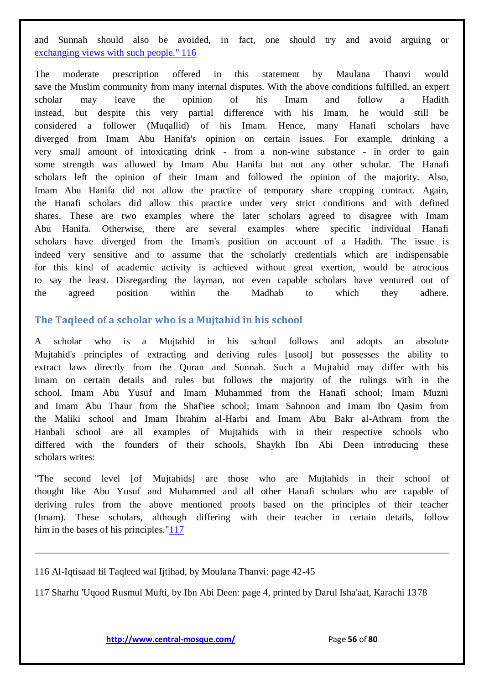and Sunnah should also be avoided, in fact, one should try and avoid arguing or [exchanging views with such people." 116](LegalS.html#37)

The moderate prescription offered in this statement by Maulana Thanvi would save the Muslim community from many internal disputes. With the above conditions fulfilled, an expert scholar may leave the opinion of his Imam and follow a Hadith instead, but despite this very partial difference with his Imam, he would still be considered a follower (Muqallid) of his Imam. Hence, many Hanafi scholars have diverged from Imam Abu Hanifa's opinion on certain issues. For example, drinking a very small amount of intoxicating drink - from a non-wine substance - in order to gain some strength was allowed by Imam Abu Hanifa but not any other scholar. The Hanafi scholars left the opinion of their Imam and followed the opinion of the majority. Also, Imam Abu Hanifa did not allow the practice of temporary share cropping contract. Again, the Hanafi scholars did allow this practice under very strict conditions and with defined shares. These are two examples where the later scholars agreed to disagree with Imam Abu Hanifa. Otherwise, there are several examples where specific individual Hanafi scholars have diverged from the Imam's position on account of a Hadith. The issue is indeed very sensitive and to assume that the scholarly credentials which are indispensable for this kind of academic activity is achieved without great exertion, would be atrocious to say the least. Disregarding the layman, not even capable scholars have ventured out of the agreed position within the Madhab to which they adhere.

### **The Taqleed of a scholar who is a Mujtahid in his school**

A scholar who is a Mujtahid in his school follows and adopts an absolute Mujtahid's principles of extracting and deriving rules [usool] but possesses the ability to extract laws directly from the Quran and Sunnah. Such a Mujtahid may differ with his Imam on certain details and rules but follows the majority of the rulings with in the school. Imam Abu Yusuf and Imam Muhammed from the Hanafi school; Imam Muzni and Imam Abu Thaur from the Shaf'iee school; Imam Sahnoon and Imam Ibn Qasim from the Maliki school and Imam Ibrahim al-Harbi and Imam Abu Bakr al-Athram from the Hanbali school are all examples of Mujtahids with in their respective schools who differed with the founders of their schools, Shaykh Ibn Abi Deen introducing these scholars writes:

"The second level [of Mujtahids] are those who are Mujtahids in their school of thought like Abu Yusuf and Muhammed and all other Hanafi scholars who are capable of deriving rules from the above mentioned proofs based on the principles of their teacher (Imam). These scholars, although differing with their teacher in certain details, follow him in the bases of his principles.["117](LegalS.html#38)

116 Al-Iqtisaad fil Taqleed wal Ijtihad, by Moulana Thanvi: page 42-45

117 Sharhu 'Uqood Rusmul Mufti, by Ibn Abi Deen: page 4, printed by Darul Isha'aat, Karachi 1378

**http://www.central-mosque.com/** Page **56** of **80**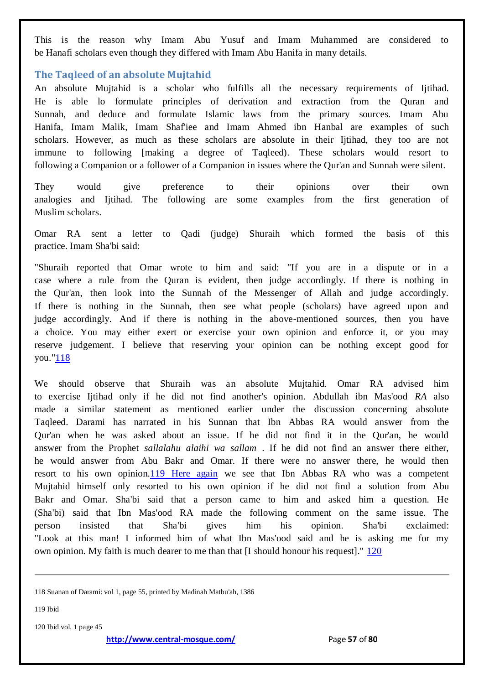This is the reason why Imam Abu Yusuf and Imam Muhammed are considered to be Hanafi scholars even though they differed with Imam Abu Hanifa in many details.

#### **The Taqleed of an absolute Mujtahid**

An absolute Mujtahid is a scholar who fulfills all the necessary requirements of Ijtihad. He is able lo formulate principles of derivation and extraction from the Quran and Sunnah, and deduce and formulate Islamic laws from the primary sources. Imam Abu Hanifa, Imam Malik, Imam Shaf'iee and Imam Ahmed ibn Hanbal are examples of such scholars. However, as much as these scholars are absolute in their Ijtihad, they too are not immune to following [making a degree of Taqleed). These scholars would resort to following a Companion or a follower of a Companion in issues where the Qur'an and Sunnah were silent.

They would give preference to their opinions over their own analogies and Ijtihad. The following are some examples from the first generation of Muslim scholars.

Omar RA sent a letter to Qadi (judge) Shuraih which formed the basis of this practice. Imam Sha'bi said:

"Shuraih reported that Omar wrote to him and said: "If you are in a dispute or in a case where a rule from the Quran is evident, then judge accordingly. If there is nothing in the Qur'an, then look into the Sunnah of the Messenger of Allah and judge accordingly. If there is nothing in the Sunnah, then see what people (scholars) have agreed upon and judge accordingly. And if there is nothing in the above-mentioned sources, then you have a choice. You may either exert or exercise your own opinion and enforce it, or you may reserve judgement. I believe that reserving your opinion can be nothing except good for you.["118](LegalS.html#39)

We should observe that Shuraih was an absolute Mujtahid. Omar RA advised him to exercise Ijtihad only if he did not find another's opinion. Abdullah ibn Mas'ood *RA* also made a similar statement as mentioned earlier under the discussion concerning absolute Taqleed. Darami has narrated in his Sunnan that Ibn Abbas RA would answer from the Qur'an when he was asked about an issue. If he did not find it in the Qur'an, he would answer from the Prophet *sallalahu alaihi wa sallam* . If he did not find an answer there either, he would answer from Abu Bakr and Omar. If there were no answer there, he would then resort to his own opinion[.119 Here again](LegalS.html#39) we see that Ibn Abbas RA who was a competent Mujtahid himself only resorted to his own opinion if he did not find a solution from Abu Bakr and Omar. Sha'bi said that a person came to him and asked him a question. He (Sha'bi) said that Ibn Mas'ood RA made the following comment on the same issue. The person insisted that Sha'bi gives him his opinion. Sha'bi exclaimed: "Look at this man! I informed him of what Ibn Mas'ood said and he is asking me for my own opinion. My faith is much dearer to me than that [I should honour his request]." [120](LegalS.html#39)

118 Suanan of Darami: vol 1, page 55, printed by Madinah Matbu'ah, 1386

119 Ibid

120 Ibid vol. 1 page 45

**http://www.central-mosque.com/** Page **57** of **80**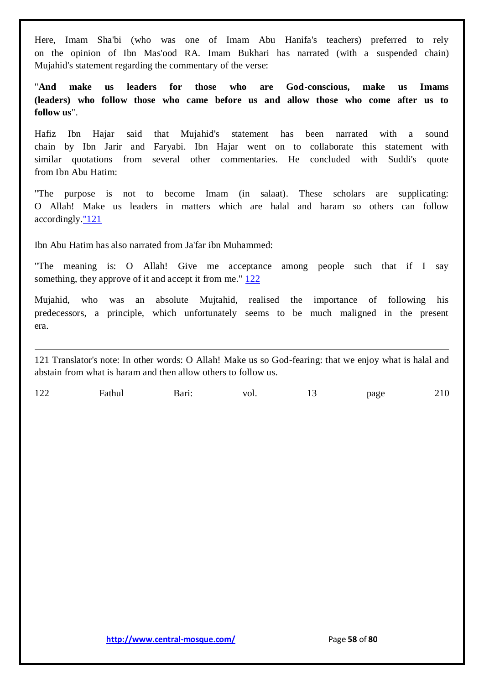Here, Imam Sha'bi (who was one of Imam Abu Hanifa's teachers) preferred to rely on the opinion of Ibn Mas'ood RA. Imam Bukhari has narrated (with a suspended chain) Mujahid's statement regarding the commentary of the verse:

"**And make us leaders for those who are God-conscious, make us Imams (leaders) who follow those who came before us and allow those who come after us to follow us**".

Hafiz Ibn Hajar said that Mujahid's statement has been narrated with a sound chain by Ibn Jarir and Faryabi. Ibn Hajar went on to collaborate this statement with similar quotations from several other commentaries. He concluded with Suddi's quote from Ibn Abu Hatim:

"The purpose is not to become Imam (in salaat). These scholars are supplicating: O Allah! Make us leaders in matters which are halal and haram so others can follow accordingly[."121](LegalS.html#39)

Ibn Abu Hatim has also narrated from Ja'far ibn Muhammed:

"The meaning is: O Allah! Give me acceptance among people such that if I say something, they approve of it and accept it from me." [122](LegalS.html#40)

Mujahid, who was an absolute Mujtahid, realised the importance of following his predecessors, a principle, which unfortunately seems to be much maligned in the present era.

121 Translator's note: In other words: O Allah! Make us so God-fearing: that we enjoy what is halal and abstain from what is haram and then allow others to follow us.

122 Fathul Bari: vol. 13 page 210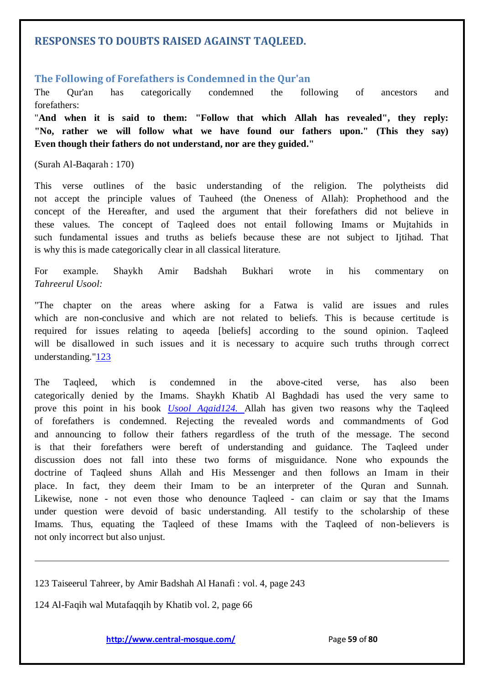# **RESPONSES TO DOUBTS RAISED AGAINST TAQLEED.**

### **The Following of Forefathers is Condemned in the Qur'an**

The Qur'an has categorically condemned the following of ancestors and forefathers:

"**And when it is said to them: "Follow that which Allah has revealed", they reply: "No, rather we will follow what we have found our fathers upon." (This they say) Even though their fathers do not understand, nor are they guided."**

(Surah Al-Baqarah : 170)

This verse outlines of the basic understanding of the religion. The polytheists did not accept the principle values of Tauheed (the Oneness of Allah): Prophethood and the concept of the Hereafter, and used the argument that their forefathers did not believe in these values. The concept of Taqleed does not entail following Imams or Mujtahids in such fundamental issues and truths as beliefs because these are not subject to Ijtihad. That is why this is made categorically clear in all classical literature.

For example. Shaykh Amir Badshah Bukhari wrote in his commentary on *Tahreerul Usool:*

"The chapter on the areas where asking for a Fatwa is valid are issues and rules which are non-conclusive and which are not related to beliefs. This is because certitude is required for issues relating to aqeeda [beliefs] according to the sound opinion. Taqleed will be disallowed in such issues and it is necessary to acquire such truths through correct understanding.["123](LegalS.html#40)

The Taqleed, which is condemned in the above-cited verse, has also been categorically denied by the Imams. Shaykh Khatib Al Baghdadi has used the very same to prove this point in his book *[Usool Aqaid124.](LegalS.html#40)* Allah has given two reasons why the Taqleed of forefathers is condemned. Rejecting the revealed words and commandments of God and announcing to follow their fathers regardless of the truth of the message. The second is that their forefathers were bereft of understanding and guidance. The Taqleed under discussion does not fall into these two forms of misguidance. None who expounds the doctrine of Taqleed shuns Allah and His Messenger and then follows an Imam in their place. In fact, they deem their Imam to be an interpreter of the Quran and Sunnah. Likewise, none - not even those who denounce Taqleed - can claim or say that the Imams under question were devoid of basic understanding. All testify to the scholarship of these Imams. Thus, equating the Taqleed of these Imams with the Taqleed of non-believers is not only incorrect but also unjust.

123 Taiseerul Tahreer, by Amir Badshah Al Hanafi : vol. 4, page 243

124 Al-Faqih wal Mutafaqqih by Khatib vol. 2, page 66

**http://www.central-mosque.com/** Page **59** of **80**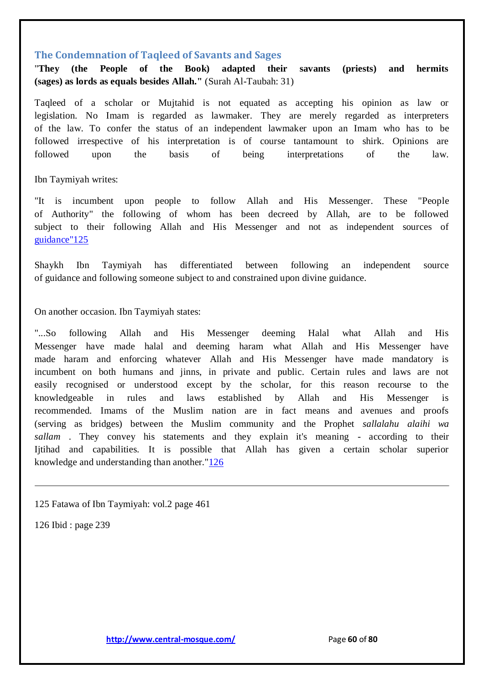### **The Condemnation of Taqleed of Savants and Sages**

"**They (the People of the Book) adapted their savants (priests) and hermits (sages) as lords as equals besides Allah."** (Surah Al-Taubah: 31)

Taqleed of a scholar or Mujtahid is not equated as accepting his opinion as law or legislation. No Imam is regarded as lawmaker. They are merely regarded as interpreters of the law. To confer the status of an independent lawmaker upon an Imam who has to be followed irrespective of his interpretation is of course tantamount to shirk. Opinions are followed upon the basis of being interpretations of the law.

Ibn Taymiyah writes:

"It is incumbent upon people to follow Allah and His Messenger. These "People of Authority" the following of whom has been decreed by Allah, are to be followed subject to their following Allah and His Messenger and not as independent sources of [guidance"125](LegalS.html#41)

Shaykh Ibn Taymiyah has differentiated between following an independent source of guidance and following someone subject to and constrained upon divine guidance.

On another occasion. Ibn Taymiyah states:

"...So following Allah and His Messenger deeming Halal what Allah and His Messenger have made halal and deeming haram what Allah and His Messenger have made haram and enforcing whatever Allah and His Messenger have made mandatory is incumbent on both humans and jinns, in private and public. Certain rules and laws are not easily recognised or understood except by the scholar, for this reason recourse to the knowledgeable in rules and laws established by Allah and His Messenger is recommended. Imams of the Muslim nation are in fact means and avenues and proofs (serving as bridges) between the Muslim community and the Prophet *sallalahu alaihi wa sallam* . They convey his statements and they explain it's meaning - according to their Ijtihad and capabilities. It is possible that Allah has given a certain scholar superior knowledge and understanding than another.["126](LegalS.html#41)

125 Fatawa of Ibn Taymiyah: vol.2 page 461

126 Ibid : page 239

**http://www.central-mosque.com/** Page **60** of **80**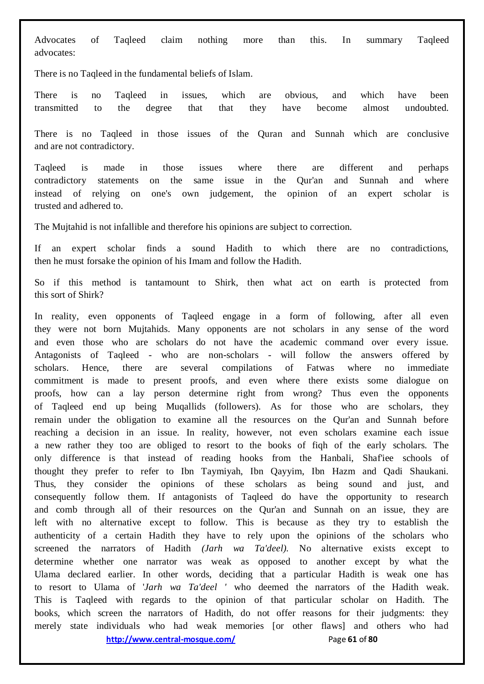Advocates of Taqleed claim nothing more than this. In summary Taqleed advocates:

There is no Taqleed in the fundamental beliefs of Islam.

There is no Taqleed in issues, which are obvious, and which have been transmitted to the degree that that they have become almost undoubted.

There is no Taqleed in those issues of the Quran and Sunnah which are conclusive and are not contradictory.

Taqleed is made in those issues where there are different and perhaps contradictory statements on the same issue in the Qur'an and Sunnah and where instead of relying on one's own judgement, the opinion of an expert scholar is trusted and adhered to.

The Mujtahid is not infallible and therefore his opinions are subject to correction.

If an expert scholar finds a sound Hadith to which there are no contradictions, then he must forsake the opinion of his Imam and follow the Hadith.

So if this method is tantamount to Shirk, then what act on earth is protected from this sort of Shirk?

**http://www.central-mosque.com/** Page **61** of **80** In reality, even opponents of Taqleed engage in a form of following, after all even they were not born Mujtahids. Many opponents are not scholars in any sense of the word and even those who are scholars do not have the academic command over every issue. Antagonists of Taqleed - who are non-scholars - will follow the answers offered by scholars. Hence, there are several compilations of Fatwas where no immediate commitment is made to present proofs, and even where there exists some dialogue on proofs, how can a lay person determine right from wrong? Thus even the opponents of Taqleed end up being Muqallids (followers). As for those who are scholars, they remain under the obligation to examine all the resources on the Qur'an and Sunnah before reaching a decision in an issue. In reality, however, not even scholars examine each issue a new rather they too are obliged to resort to the books of fiqh of the early scholars. The only difference is that instead of reading hooks from the Hanbali, Shaf'iee schools of thought they prefer to refer to Ibn Taymiyah, Ibn Qayyim, Ibn Hazm and Qadi Shaukani. Thus, they consider the opinions of these scholars as being sound and just, and consequently follow them. If antagonists of Taqleed do have the opportunity to research and comb through all of their resources on the Qur'an and Sunnah on an issue, they are left with no alternative except to follow. This is because as they try to establish the authenticity of a certain Hadith they have to rely upon the opinions of the scholars who screened the narrators of Hadith *(Jarh wa Ta'deel).* No alternative exists except to determine whether one narrator was weak as opposed to another except by what the Ulama declared earlier. In other words, deciding that a particular Hadith is weak one has to resort to Ulama of '*Jarh wa Ta'deel '* who deemed the narrators of the Hadith weak. This is Taqleed with regards to the opinion of that particular scholar on Hadith. The books, which screen the narrators of Hadith, do not offer reasons for their judgments: they merely state individuals who had weak memories [or other flaws] and others who had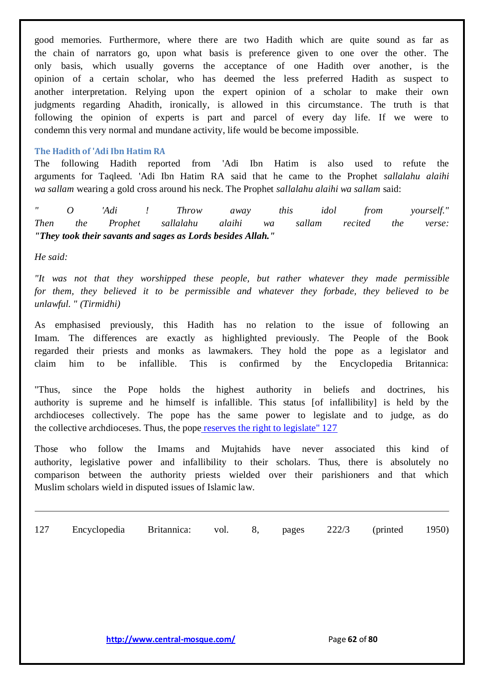good memories. Furthermore, where there are two Hadith which are quite sound as far as the chain of narrators go, upon what basis is preference given to one over the other. The only basis, which usually governs the acceptance of one Hadith over another, is the opinion of a certain scholar, who has deemed the less preferred Hadith as suspect to another interpretation. Relying upon the expert opinion of a scholar to make their own judgments regarding Ahadith, ironically, is allowed in this circumstance. The truth is that following the opinion of experts is part and parcel of every day life. If we were to condemn this very normal and mundane activity, life would be become impossible.

### **The Hadith of 'Adi Ibn Hatim RA**

The following Hadith reported from 'Adi Ibn Hatim is also used to refute the arguments for Taqleed. 'Adi Ibn Hatim RA said that he came to the Prophet *sallalahu alaihi wa sallam* wearing a gold cross around his neck. The Prophet *sallalahu alaihi wa sallam* said:

*" O 'Adi ! Throw away this idol from yourself." Then the Prophet sallalahu alaihi wa sallam recited the verse: "They took their savants and sages as Lords besides Allah."* 

*He said:*

*"It was not that they worshipped these people, but rather whatever they made permissible for them, they believed it to be permissible and whatever they forbade, they believed to be unlawful. " (Tirmidhi)* 

As emphasised previously, this Hadith has no relation to the issue of following an Imam. The differences are exactly as highlighted previously. The People of the Book regarded their priests and monks as lawmakers. They hold the pope as a legislator and claim him to be infallible. This is confirmed by the Encyclopedia Britannica:

"Thus, since the Pope holds the highest authority in beliefs and doctrines, his authority is supreme and he himself is infallible. This status [of infallibility] is held by the archdioceses collectively. The pope has the same power to legislate and to judge, as do the collective archdioceses. Thus, the pope [reserves the right to legislate" 127](LegalS.html#43)

Those who follow the Imams and Mujtahids have never associated this kind of authority, legislative power and infallibility to their scholars. Thus, there is absolutely no comparison between the authority priests wielded over their parishioners and that which Muslim scholars wield in disputed issues of Islamic law.

|  | 127 Encyclopedia Britannica: vol. 8, pages 222/3 (printed 1950) |  |  |  |  |  |  |  |
|--|-----------------------------------------------------------------|--|--|--|--|--|--|--|
|--|-----------------------------------------------------------------|--|--|--|--|--|--|--|

**http://www.central-mosque.com/** Page **62** of **80**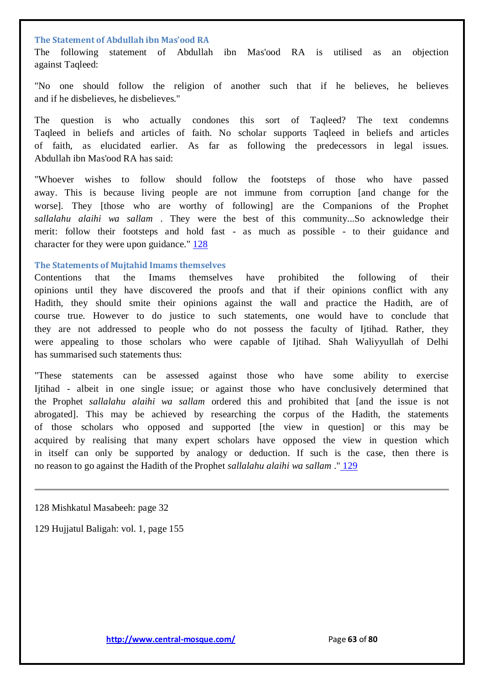#### **The Statement of Abdullah ibn Mas'ood RA**

The following statement of Abdullah ibn Mas'ood RA is utilised as an objection against Taqleed:

"No one should follow the religion of another such that if he believes, he believes and if he disbelieves, he disbelieves."

The question is who actually condones this sort of Taqleed? The text condemns Taqleed in beliefs and articles of faith. No scholar supports Taqleed in beliefs and articles of faith, as elucidated earlier. As far as following the predecessors in legal issues. Abdullah ibn Mas'ood RA has said:

"Whoever wishes to follow should follow the footsteps of those who have passed away. This is because living people are not immune from corruption [and change for the worse]. They [those who are worthy of following] are the Companions of the Prophet *sallalahu alaihi wa sallam* . They were the best of this community...So acknowledge their merit: follow their footsteps and hold fast - as much as possible - to their guidance and character for they were upon guidance." [128](LegalS.html#43)

### **The Statements of Mujtahid Imams themselves**

Contentions that the Imams themselves have prohibited the following of their opinions until they have discovered the proofs and that if their opinions conflict with any Hadith, they should smite their opinions against the wall and practice the Hadith, are of course true. However to do justice to such statements, one would have to conclude that they are not addressed to people who do not possess the faculty of Ijtihad. Rather, they were appealing to those scholars who were capable of Ijtihad. Shah Waliyyullah of Delhi has summarised such statements thus:

"These statements can be assessed against those who have some ability to exercise Ijtihad - albeit in one single issue; or against those who have conclusively determined that the Prophet *sallalahu alaihi wa sallam* ordered this and prohibited that [and the issue is not abrogated]. This may be achieved by researching the corpus of the Hadith, the statements of those scholars who opposed and supported [the view in question] or this may be acquired by realising that many expert scholars have opposed the view in question which in itself can only be supported by analogy or deduction. If such is the case, then there is no reason to go against the Hadith of the Prophet *sallalahu alaihi wa sallam* ." [129](LegalS.html#44)

128 Mishkatul Masabeeh: page 32

129 Hujjatul Baligah: vol. 1, page 155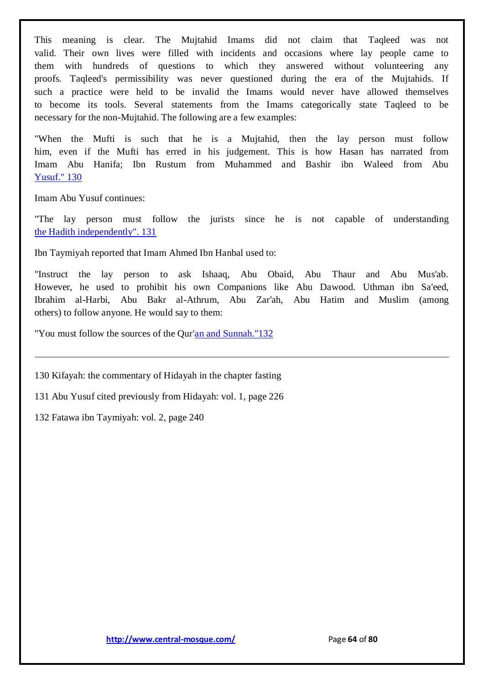This meaning is clear. The Mujtahid Imams did not claim that Taqleed was not valid. Their own lives were filled with incidents and occasions where lay people came to them with hundreds of questions to which they answered without volunteering any proofs. Taqleed's permissibility was never questioned during the era of the Mujtahids. If such a practice were held to be invalid the Imams would never have allowed themselves to become its tools. Several statements from the Imams categorically state Taqleed to be necessary for the non-Mujtahid. The following are a few examples:

"When the Mufti is such that he is a Mujtahid, then the lay person must follow him, even if the Mufti has erred in his judgement. This is how Hasan has narrated from Imam Abu Hanifa; Ibn Rustum from Muhammed and Bashir ibn Waleed from Abu [Yusuf." 130](LegalS.html#44)

Imam Abu Yusuf continues:

"The lay person must follow the jurists since he is not capable of understanding [the Hadith independently". 131](LegalS.html#44)

Ibn Taymiyah reported that Imam Ahmed Ibn Hanbal used to:

"Instruct the lay person to ask Ishaaq, Abu Obaid, Abu Thaur and Abu Mus'ab. However, he used to prohibit his own Companions like Abu Dawood. Uthman ibn Sa'eed, Ibrahim al-Harbi, Abu Bakr al-Athrum, Abu Zar'ah, Abu Hatim and Muslim (among others) to follow anyone. He would say to them:

"You must follow the sources of the Qur['an and Sunnah."132](LegalS.html#44)

130 Kifayah: the commentary of Hidayah in the chapter fasting

131 Abu Yusuf cited previously from Hidayah: vol. 1, page 226

132 Fatawa ibn Taymiyah: vol. 2, page 240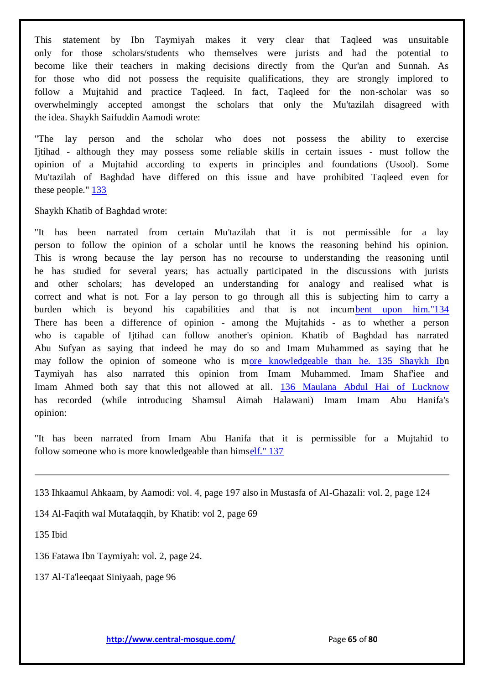This statement by Ibn Taymiyah makes it very clear that Taqleed was unsuitable only for those scholars/students who themselves were jurists and had the potential to become like their teachers in making decisions directly from the Qur'an and Sunnah. As for those who did not possess the requisite qualifications, they are strongly implored to follow a Mujtahid and practice Taqleed. In fact, Taqleed for the non-scholar was so overwhelmingly accepted amongst the scholars that only the Mu'tazilah disagreed with the idea. Shaykh Saifuddin Aamodi wrote:

"The lay person and the scholar who does not possess the ability to exercise Ijtihad - although they may possess some reliable skills in certain issues - must follow the opinion of a Mujtahid according to experts in principles and foundations (Usool). Some Mu'tazilah of Baghdad have differed on this issue and have prohibited Taqleed even for these people." [133](LegalS.html#44)

Shaykh Khatib of Baghdad wrote:

"It has been narrated from certain Mu'tazilah that it is not permissible for a lay person to follow the opinion of a scholar until he knows the reasoning behind his opinion. This is wrong because the lay person has no recourse to understanding the reasoning until he has studied for several years; has actually participated in the discussions with jurists and other scholars; has developed an understanding for analogy and realised what is correct and what is not. For a lay person to go through all this is subjecting him to carry a burden which is beyond his capabilities and that is not incu[mbent upon him."134](LegalS.html#45) There has been a difference of opinion - among the Mujtahids - as to whether a person who is capable of Ijtihad can follow another's opinion. Khatib of Baghdad has narrated Abu Sufyan as saying that indeed he may do so and Imam Muhammed as saying that he may follow the opinion of someone who is [more knowledgeable than he. 135 Shaykh Ibn](LegalS.html#45) Taymiyah has also narrated this opinion from Imam Muhammed. Imam Shaf'iee and Imam Ahmed both say that this not allowed at all. [136 Maulana Abdul Hai of Lucknow](LegalS.html#45) has recorded (while introducing Shamsul Aimah Halawani) Imam Imam Abu Hanifa's opinion:

"It has been narrated from Imam Abu Hanifa that it is permissible for a Mujtahid to follow someone who is more knowledgeable than him[self." 137](LegalS.html#45)

133 Ihkaamul Ahkaam, by Aamodi: vol. 4, page 197 also in Mustasfa of Al-Ghazali: vol. 2, page 124

134 Al-Faqith wal Mutafaqqih, by Khatib: vol 2, page 69

135 Ibid

136 Fatawa Ibn Taymiyah: vol. 2, page 24.

137 Al-Ta'leeqaat Siniyaah, page 96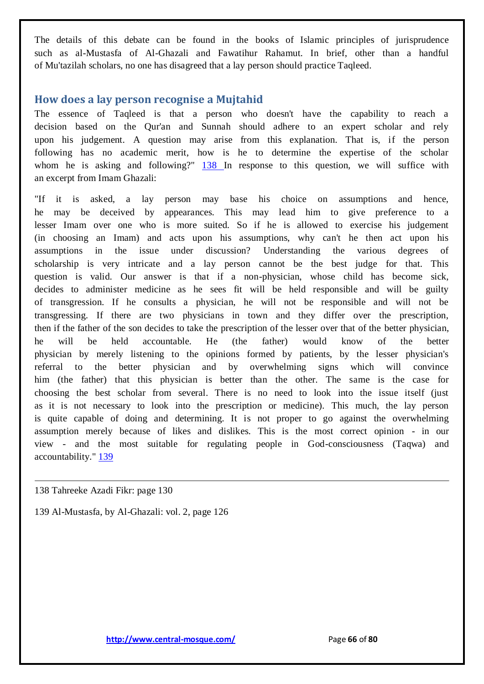The details of this debate can be found in the books of Islamic principles of jurisprudence such as al-Mustasfa of Al-Ghazali and Fawatihur Rahamut. In brief, other than a handful of Mu'tazilah scholars, no one has disagreed that a lay person should practice Taqleed.

## **How does a lay person recognise a Mujtahid**

The essence of Taqleed is that a person who doesn't have the capability to reach a decision based on the Qur'an and Sunnah should adhere to an expert scholar and rely upon his judgement. A question may arise from this explanation. That is, if the person following has no academic merit, how is he to determine the expertise of the scholar whom he is asking and following?"  $\frac{138}{138}$  In response to this question, we will suffice with an excerpt from Imam Ghazali:

"If it is asked, a lay person may base his choice on assumptions and hence, he may be deceived by appearances. This may lead him to give preference to a lesser Imam over one who is more suited. So if he is allowed to exercise his judgement (in choosing an Imam) and acts upon his assumptions, why can't he then act upon his assumptions in the issue under discussion? Understanding the various degrees of scholarship is very intricate and a lay person cannot be the best judge for that. This question is valid. Our answer is that if a non-physician, whose child has become sick, decides to administer medicine as he sees fit will be held responsible and will be guilty of transgression. If he consults a physician, he will not be responsible and will not be transgressing. If there are two physicians in town and they differ over the prescription, then if the father of the son decides to take the prescription of the lesser over that of the better physician, he will be held accountable. He (the father) would know of the better physician by merely listening to the opinions formed by patients, by the lesser physician's referral to the better physician and by overwhelming signs which will convince him (the father) that this physician is better than the other. The same is the case for choosing the best scholar from several. There is no need to look into the issue itself (just as it is not necessary to look into the prescription or medicine). This much, the lay person is quite capable of doing and determining. It is not proper to go against the overwhelming assumption merely because of likes and dislikes. This is the most correct opinion - in our view - and the most suitable for regulating people in God-consciousness (Taqwa) and accountability." [139](LegalS.html#46)

138 Tahreeke Azadi Fikr: page 130

139 Al-Mustasfa, by Al-Ghazali: vol. 2, page 126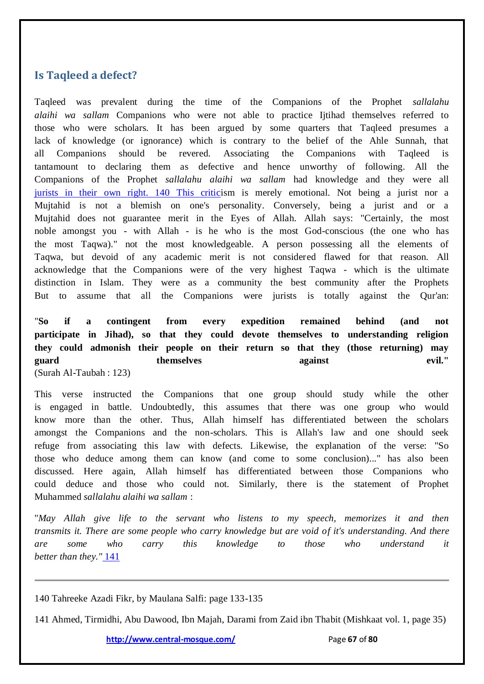# **Is Taqleed a defect?**

Taqleed was prevalent during the time of the Companions of the Prophet *sallalahu alaihi wa sallam* Companions who were not able to practice Ijtihad themselves referred to those who were scholars. It has been argued by some quarters that Taqleed presumes a lack of knowledge (or ignorance) which is contrary to the belief of the Ahle Sunnah, that all Companions should be revered. Associating the Companions with Taqleed is tantamount to declaring them as defective and hence unworthy of following. All the Companions of the Prophet *sallalahu alaihi wa sallam* had knowledge and they were all [jurists in their own right. 140 This critici](LegalS.html#46)sm is merely emotional. Not being a jurist nor a Mujtahid is not a blemish on one's personality. Conversely, being a jurist and or a Mujtahid does not guarantee merit in the Eyes of Allah. Allah says: "Certainly, the most noble amongst you - with Allah - is he who is the most God-conscious (the one who has the most Taqwa)." not the most knowledgeable. A person possessing all the elements of Taqwa, but devoid of any academic merit is not considered flawed for that reason. All acknowledge that the Companions were of the very highest Taqwa - which is the ultimate distinction in Islam. They were as a community the best community after the Prophets But to assume that all the Companions were jurists is totally against the Qur'an:

# "**So if a contingent from every expedition remained behind (and not participate in Jihad), so that they could devote themselves to understanding religion they could admonish their people on their return so that they (those returning) may guard themselves against evil."** (Surah Al-Taubah : 123)

This verse instructed the Companions that one group should study while the other is engaged in battle. Undoubtedly, this assumes that there was one group who would know more than the other. Thus, Allah himself has differentiated between the scholars amongst the Companions and the non-scholars. This is Allah's law and one should seek refuge from associating this law with defects. Likewise, the explanation of the verse: "So those who deduce among them can know (and come to some conclusion)..." has also been discussed. Here again, Allah himself has differentiated between those Companions who could deduce and those who could not. Similarly, there is the statement of Prophet Muhammed *sallalahu alaihi wa sallam* :

"*May Allah give life to the servant who listens to my speech, memorizes it and then transmits it. There are some people who carry knowledge but are void of it's understanding. And there are some who carry this knowledge to those who understand it better than they."* [141](LegalS.html#47)

140 Tahreeke Azadi Fikr, by Maulana Salfi: page 133-135

141 Ahmed, Tirmidhi, Abu Dawood, Ibn Majah, Darami from Zaid ibn Thabit (Mishkaat vol. 1, page 35)

**http://www.central-mosque.com/** Page **67** of **80**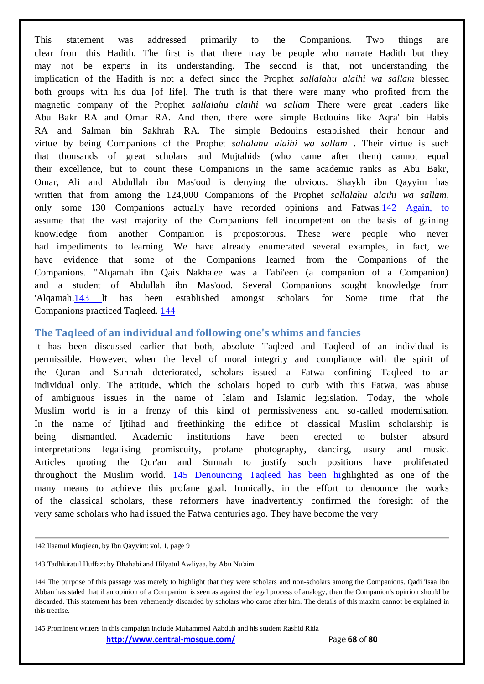This statement was addressed primarily to the Companions. Two things are clear from this Hadith. The first is that there may be people who narrate Hadith but they may not be experts in its understanding. The second is that, not understanding the implication of the Hadith is not a defect since the Prophet *sallalahu alaihi wa sallam* blessed both groups with his dua [of life]. The truth is that there were many who profited from the magnetic company of the Prophet *sallalahu alaihi wa sallam* There were great leaders like Abu Bakr RA and Omar RA. And then, there were simple Bedouins like Aqra' bin Habis RA and Salman bin Sakhrah RA. The simple Bedouins established their honour and virtue by being Companions of the Prophet *sallalahu alaihi wa sallam* . Their virtue is such that thousands of great scholars and Mujtahids (who came after them) cannot equal their excellence, but to count these Companions in the same academic ranks as Abu Bakr, Omar, Ali and Abdullah ibn Mas'ood is denying the obvious. Shaykh ibn Qayyim has written that from among the 124,000 Companions of the Prophet *sallalahu alaihi wa sallam*, only some 130 Companions actually have recorded opinions and Fatwas[.142 Again, to](LegalS.html#47)  assume that the vast majority of the Companions fell incompetent on the basis of gaining knowledge from another Companion is prepostorous. These were people who never had impediments to learning. We have already enumerated several examples, in fact, we have evidence that some of the Companions learned from the Companions of the Companions. "Alqamah ibn Qais Nakha'ee was a Tabi'een (a companion of a Companion) and a student of Abdullah ibn Mas'ood. Several Companions sought knowledge from 'Alqamah[.143 l](LegalS.html#47)t has been established amongst scholars for Some time that the Companions practiced Taqleed. [144](LegalS.html#47)

## **The Taqleed of an individual and following one's whims and fancies**

It has been discussed earlier that both, absolute Taqleed and Taqleed of an individual is permissible. However, when the level of moral integrity and compliance with the spirit of the Quran and Sunnah deteriorated, scholars issued a Fatwa confining Taqleed to an individual only. The attitude, which the scholars hoped to curb with this Fatwa, was abuse of ambiguous issues in the name of Islam and Islamic legislation. Today, the whole Muslim world is in a frenzy of this kind of permissiveness and so-called modernisation. In the name of Ijtihad and freethinking the edifice of classical Muslim scholarship is being dismantled. Academic institutions have been erected to bolster absurd interpretations legalising promiscuity, profane photography, dancing, usury and music. Articles quoting the Qur'an and Sunnah to justify such positions have proliferated throughout the Muslim world. [145 Denouncing Taqleed has been hig](LegalS.html#47)hlighted as one of the many means to achieve this profane goal. Ironically, in the effort to denounce the works of the classical scholars, these reformers have inadvertently confirmed the foresight of the very same scholars who had issued the Fatwa centuries ago. They have become the very

142 Ilaamul Muqi'een, by Ibn Qayyim: vol. 1, page 9

<sup>143</sup> Tadhkiratul Huffaz: by Dhahabi and Hilyatul Awliyaa, by Abu Nu'aim

<sup>144</sup> The purpose of this passage was merely to highlight that they were scholars and non-scholars among the Companions. Qadi 'Isaa ibn Abban has staled that if an opinion of a Companion is seen as against the legal process of analogy, then the Companion's opinion should be discarded. This statement has been vehemently discarded by scholars who came after him. The details of this maxim cannot be explained in this treatise.

**http://www.central-mosque.com/** Page **68** of **80** 145 Prominent writers in this campaign include Muhammed Aabduh and his student Rashid Rida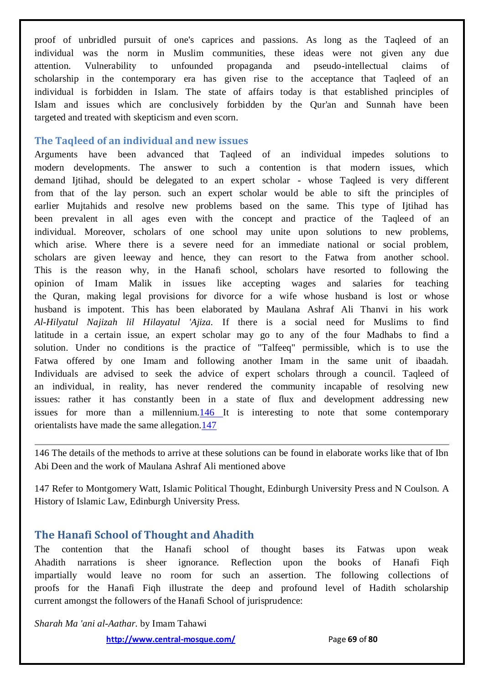proof of unbridled pursuit of one's caprices and passions. As long as the Taqleed of an individual was the norm in Muslim communities, these ideas were not given any due attention. Vulnerability to unfounded propaganda and pseudo-intellectual claims of scholarship in the contemporary era has given rise to the acceptance that Taqleed of an individual is forbidden in Islam. The state of affairs today is that established principles of Islam and issues which are conclusively forbidden by the Qur'an and Sunnah have been targeted and treated with skepticism and even scorn.

## **The Taqleed of an individual and new issues**

Arguments have been advanced that Taqleed of an individual impedes solutions to modern developments. The answer to such a contention is that modern issues, which demand Ijtihad, should be delegated to an expert scholar - whose Taqleed is very different from that of the lay person. such an expert scholar would be able to sift the principles of earlier Mujtahids and resolve new problems based on the same. This type of Ijtihad has been prevalent in all ages even with the concept and practice of the Taqleed of an individual. Moreover, scholars of one school may unite upon solutions to new problems, which arise. Where there is a severe need for an immediate national or social problem, scholars are given leeway and hence, they can resort to the Fatwa from another school. This is the reason why, in the Hanafi school, scholars have resorted to following the opinion of Imam Malik in issues like accepting wages and salaries for teaching the Quran, making legal provisions for divorce for a wife whose husband is lost or whose husband is impotent. This has been elaborated by Maulana Ashraf Ali Thanvi in his work *Al-Hilyatul Najizah lil Hilayatul 'Ajiza.* If there is a social need for Muslims to find latitude in a certain issue, an expert scholar may go to any of the four Madhabs to find a solution. Under no conditions is the practice of "Talfeeq" permissible, which is to use the Fatwa offered by one Imam and following another Imam in the same unit of ibaadah. Individuals are advised to seek the advice of expert scholars through a council. Taqleed of an individual, in reality, has never rendered the community incapable of resolving new issues: rather it has constantly been in a state of flux and development addressing new issues for more than a millennium[.146](LegalS.html#48) It is interesting to note that some contemporary orientalists have made the same allegation[.147](LegalS.html#48)

146 The details of the methods to arrive at these solutions can be found in elaborate works like that of Ibn Abi Deen and the work of Maulana Ashraf Ali mentioned above

147 Refer to Montgomery Watt, Islamic Political Thought, Edinburgh University Press and N Coulson. A History of Islamic Law, Edinburgh University Press.

# **The Hanafi School of Thought and Ahadith**

The contention that the Hanafi school of thought bases its Fatwas upon weak Ahadith narrations is sheer ignorance. Reflection upon the books of Hanafi Fiqh impartially would leave no room for such an assertion. The following collections of proofs for the Hanafi Fiqh illustrate the deep and profound level of Hadith scholarship current amongst the followers of the Hanafi School of jurisprudence:

*Sharah Ma 'ani al-Aathar.* by Imam Tahawi

**http://www.central-mosque.com/** Page **69** of **80**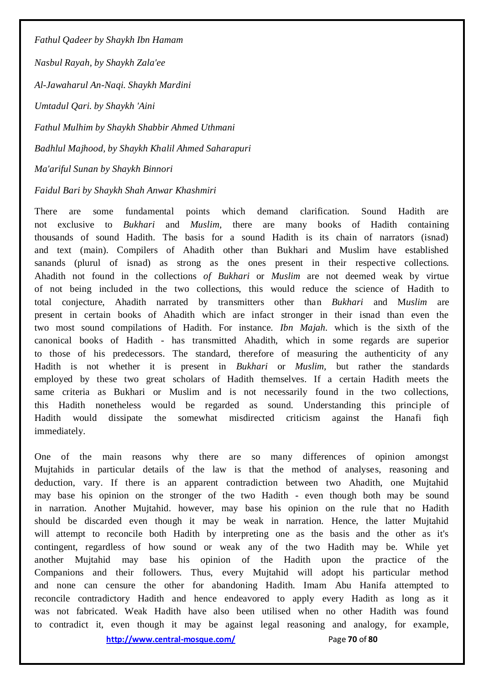*Fathul Qadeer by Shaykh Ibn Hamam*

*Nasbul Rayah, by Shaykh Zala'ee*

*Al-Jawaharul An-Naqi. Shaykh Mardini*

*Umtadul Qari. by Shaykh 'Aini*

*Fathul Mulhim by Shaykh Shabbir Ahmed Uthmani*

*Badhlul Majhood, by Shaykh Khalil Ahmed Saharapuri*

*Ma'ariful Sunan by Shaykh Binnori*

*Faidul Bari by Shaykh Shah Anwar Khashmiri* 

There are some fundamental points which demand clarification. Sound Hadith are not exclusive to *Bukhari* and *Muslim,* there are many books of Hadith containing thousands of sound Hadith. The basis for a sound Hadith is its chain of narrators (isnad) and text (main). Compilers of Ahadith other than Bukhari and Muslim have established sanands (plurul of isnad) as strong as the ones present in their respective collections. Ahadith not found in the collections *of Bukhari* or *Muslim* are not deemed weak by virtue of not being included in the two collections, this would reduce the science of Hadith to total conjecture, Ahadith narrated by transmitters other than *Bukhari* and M*uslim* are present in certain books of Ahadith which are infact stronger in their isnad than even the two most sound compilations of Hadith. For instance. *Ibn Majah.* which is the sixth of the canonical books of Hadith - has transmitted Ahadith, which in some regards are superior to those of his predecessors. The standard, therefore of measuring the authenticity of any Hadith is not whether it is present in *Bukhari* or *Muslim,* but rather the standards employed by these two great scholars of Hadith themselves. If a certain Hadith meets the same criteria as Bukhari or Muslim and is not necessarily found in the two collections, this Hadith nonetheless would be regarded as sound. Understanding this principle of Hadith would dissipate the somewhat misdirected criticism against the Hanafi fiqh immediately.

One of the main reasons why there are so many differences of opinion amongst Mujtahids in particular details of the law is that the method of analyses, reasoning and deduction, vary. If there is an apparent contradiction between two Ahadith, one Mujtahid may base his opinion on the stronger of the two Hadith - even though both may be sound in narration. Another Mujtahid. however, may base his opinion on the rule that no Hadith should be discarded even though it may be weak in narration. Hence, the latter Mujtahid will attempt to reconcile both Hadith by interpreting one as the basis and the other as it's contingent, regardless of how sound or weak any of the two Hadith may be. While yet another Mujtahid may base his opinion of the Hadith upon the practice of the Companions and their followers. Thus, every Mujtahid will adopt his particular method and none can censure the other for abandoning Hadith. Imam Abu Hanifa attempted to reconcile contradictory Hadith and hence endeavored to apply every Hadith as long as it was not fabricated. Weak Hadith have also been utilised when no other Hadith was found to contradict it, even though it may be against legal reasoning and analogy, for example,

**http://www.central-mosque.com/** Page **70** of **80**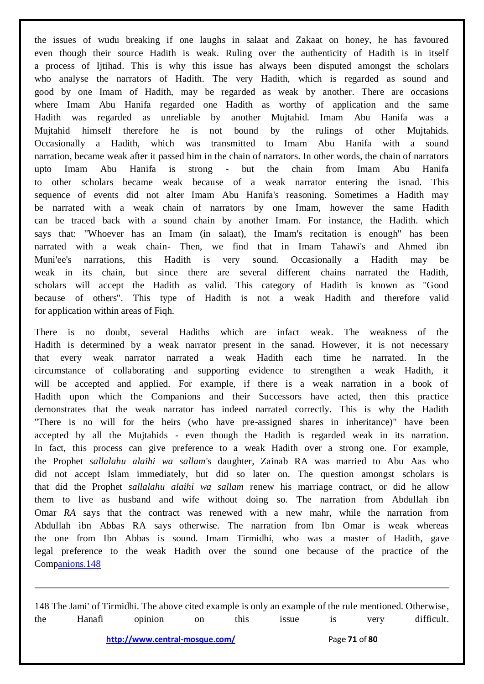the issues of wudu breaking if one laughs in salaat and Zakaat on honey, he has favoured even though their source Hadith is weak. Ruling over the authenticity of Hadith is in itself a process of Ijtihad. This is why this issue has always been disputed amongst the scholars who analyse the narrators of Hadith. The very Hadith, which is regarded as sound and good by one Imam of Hadith, may be regarded as weak by another. There are occasions where Imam Abu Hanifa regarded one Hadith as worthy of application and the same Hadith was regarded as unreliable by another Mujtahid. Imam Abu Hanifa was a Mujtahid himself therefore he is not bound by the rulings of other Mujtahids. Occasionally a Hadith, which was transmitted to Imam Abu Hanifa with a sound narration, became weak after it passed him in the chain of narrators. In other words, the chain of narrators upto Imam Abu Hanifa is strong - but the chain from Imam Abu Hanifa to other scholars became weak because of a weak narrator entering the isnad. This sequence of events did not alter Imam Abu Hanifa's reasoning. Sometimes a Hadith may be narrated with a weak chain of narrators by one Imam, however the same Hadith can be traced back with a sound chain by another Imam. For instance, the Hadith. which says that: "Whoever has an Imam (in salaat), the Imam's recitation is enough" has been narrated with a weak chain- Then, we find that in Imam Tahawi's and Ahmed ibn Muni'ee's narrations, this Hadith is very sound. Occasionally a Hadith may be weak in its chain, but since there are several different chains narrated the Hadith, scholars will accept the Hadith as valid. This category of Hadith is known as "Good because of others". This type of Hadith is not a weak Hadith and therefore valid for application within areas of Fiqh.

There is no doubt, several Hadiths which are infact weak. The weakness of the Hadith is determined by a weak narrator present in the sanad. However, it is not necessary that every weak narrator narrated a weak Hadith each time he narrated. In circumstance of collaborating and supporting evidence to strengthen a weak Hadith, it will be accepted and applied. For example, if there is a weak narration in a book of Hadith upon which the Companions and their Successors have acted, then this practice demonstrates that the weak narrator has indeed narrated correctly. This is why the Hadith "There is no will for the heirs (who have pre-assigned shares in inheritance)" have been accepted by all the Mujtahids - even though the Hadith is regarded weak in its narration. In fact, this process can give preference to a weak Hadith over a strong one. For example, the Prophet *sallalahu alaihi wa sallam*'s daughter, Zainab RA was married to Abu Aas who did not accept Islam immediately, but did so later on. The question amongst scholars is that did the Prophet *sallalahu alaihi wa sallam* renew his marriage contract, or did he allow them to live as husband and wife without doing so. The narration from Abdullah ibn Omar *RA* says that the contract was renewed with a new mahr, while the narration from Abdullah ibn Abbas RA says otherwise. The narration from Ibn Omar is weak whereas the one from Ibn Abbas is sound. Imam Tirmidhi, who was a master of Hadith, gave legal preference to the weak Hadith over the sound one because of the practice of the Com[panions.148](LegalS.html#50)

148 The Jami' of Tirmidhi. The above cited example is only an example of the rule mentioned. Otherwise, the Hanafi opinion on this issue is very difficult.

**http://www.central-mosque.com/** Page **71** of **80**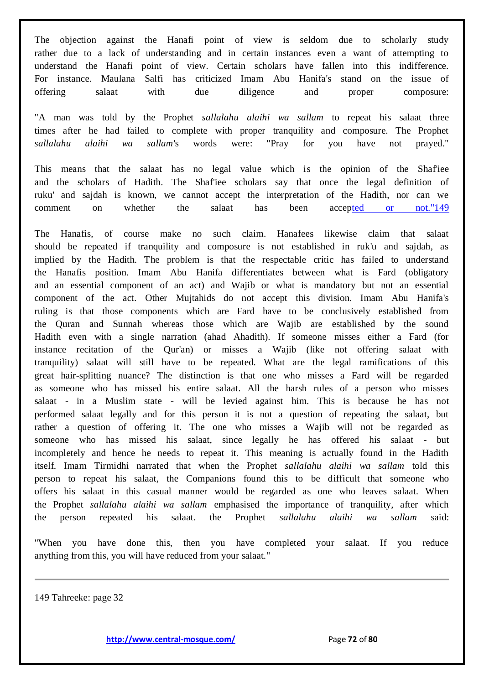The objection against the Hanafi point of view is seldom due to scholarly study rather due to a lack of understanding and in certain instances even a want of attempting to understand the Hanafi point of view. Certain scholars have fallen into this indifference. For instance. Maulana Salfi has criticized Imam Abu Hanifa's stand on the issue of offering salaat with due diligence and proper composure:

"A man was told by the Prophet *sallalahu alaihi wa sallam* to repeat his salaat three times after he had failed to complete with proper tranquility and composure. The Prophet *sallalahu alaihi wa sallam*'s words were: "Pray for you have not prayed."

This means that the salaat has no legal value which is the opinion of the Shaf'iee and the scholars of Hadith. The Shaf'iee scholars say that once the legal definition of ruku' and sajdah is known, we cannot accept the interpretation of the Hadith, nor can we comment on whether the salaat has been acce[pted or not."149](LegalS.html#50)

The Hanafis, of course make no such claim. Hanafees likewise claim that salaat should be repeated if tranquility and composure is not established in ruk'u and sajdah, as implied by the Hadith. The problem is that the respectable critic has failed to understand the Hanafis position. Imam Abu Hanifa differentiates between what is Fard (obligatory and an essential component of an act) and Wajib or what is mandatory but not an essential component of the act. Other Mujtahids do not accept this division. Imam Abu Hanifa's ruling is that those components which are Fard have to be conclusively established from the Quran and Sunnah whereas those which are Wajib are established by the sound Hadith even with a single narration (ahad Ahadith). If someone misses either a Fard (for instance recitation of the Qur'an) or misses a Wajib (like not offering salaat with tranquility) salaat will still have to be repeated. What are the legal ramifications of this great hair-splitting nuance? The distinction is that one who misses a Fard will be regarded as someone who has missed his entire salaat. All the harsh rules of a person who misses salaat - in a Muslim state - will be levied against him. This is because he has not performed salaat legally and for this person it is not a question of repeating the salaat, but rather a question of offering it. The one who misses a Wajib will not be regarded as someone who has missed his salaat, since legally he has offered his salaat - but incompletely and hence he needs to repeat it. This meaning is actually found in the Hadith itself. Imam Tirmidhi narrated that when the Prophet *sallalahu alaihi wa sallam* told this person to repeat his salaat, the Companions found this to be difficult that someone who offers his salaat in this casual manner would be regarded as one who leaves salaat. When the Prophet *sallalahu alaihi wa sallam* emphasised the importance of tranquility, after which the person repeated his salaat. the Prophet *sallalahu alaihi wa sallam* said:

"When you have done this, then you have completed your salaat. If you reduce anything from this, you will have reduced from your salaat."

149 Tahreeke: page 32

**http://www.central-mosque.com/** Page **72** of **80**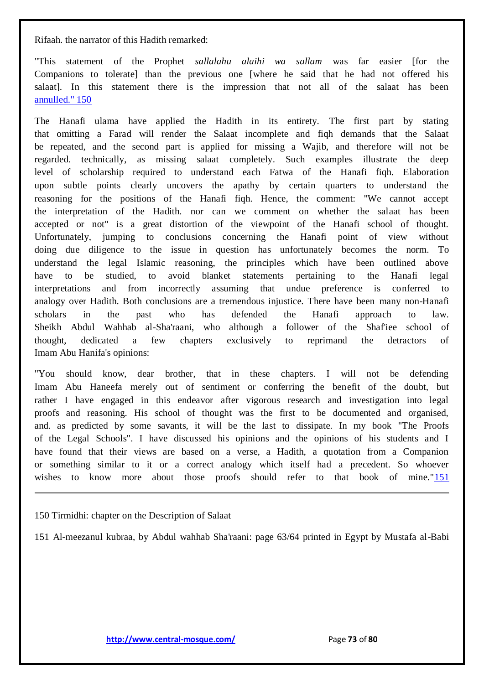Rifaah. the narrator of this Hadith remarked:

"This statement of the Prophet *sallalahu alaihi wa sallam* was far easier [for the Companions to tolerate] than the previous one [where he said that he had not offered his salaat]. In this statement there is the impression that not all of the salaat has been [annulled." 150](LegalS.html#51)

The Hanafi ulama have applied the Hadith in its entirety. The first part by stating that omitting a Farad will render the Salaat incomplete and fiqh demands that the Salaat be repeated, and the second part is applied for missing a Wajib, and therefore will not be regarded. technically, as missing salaat completely. Such examples illustrate the deep level of scholarship required to understand each Fatwa of the Hanafi fiqh. Elaboration upon subtle points clearly uncovers the apathy by certain quarters to understand the reasoning for the positions of the Hanafi fiqh. Hence, the comment: "We cannot accept the interpretation of the Hadith. nor can we comment on whether the salaat has been accepted or not" is a great distortion of the viewpoint of the Hanafi school of thought. Unfortunately, jumping to conclusions concerning the Hanafi point of view without doing due diligence to the issue in question has unfortunately becomes the norm. To understand the legal Islamic reasoning, the principles which have been outlined above have to be studied, to avoid blanket statements pertaining to the Hanafi legal interpretations and from incorrectly assuming that undue preference is conferred to analogy over Hadith. Both conclusions are a tremendous injustice. There have been many non-Hanafi scholars in the past who has defended the Hanafi approach to law. Sheikh Abdul Wahhab al-Sha'raani, who although a follower of the Shaf'iee school of thought, dedicated a few chapters exclusively to reprimand the detractors of Imam Abu Hanifa's opinions:

"You should know, dear brother, that in these chapters. I will not be defending Imam Abu Haneefa merely out of sentiment or conferring the benefit of the doubt, but rather I have engaged in this endeavor after vigorous research and investigation into legal proofs and reasoning. His school of thought was the first to be documented and organised, and. as predicted by some savants, it will be the last to dissipate. In my book "The Proofs of the Legal Schools". I have discussed his opinions and the opinions of his students and I have found that their views are based on a verse, a Hadith, a quotation from a Companion or something similar to it or a correct analogy which itself had a precedent. So whoever wishes to know more about those proofs should refer to that book of mine.["151](LegalS.html#52)

150 Tirmidhi: chapter on the Description of Salaat

151 Al-meezanul kubraa, by Abdul wahhab Sha'raani: page 63/64 printed in Egypt by Mustafa al-Babi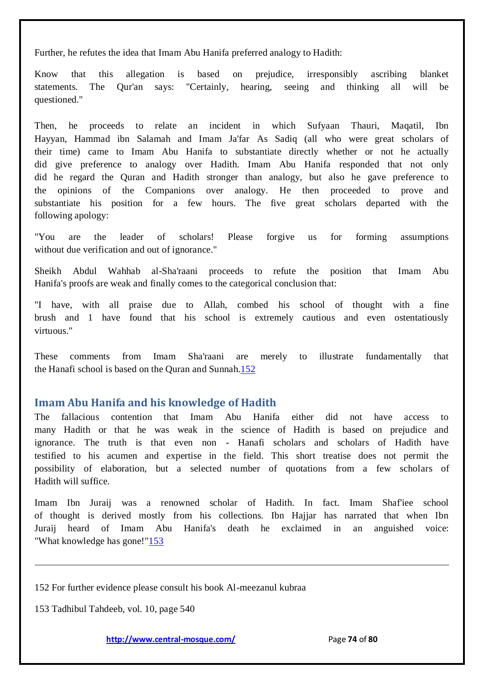Further, he refutes the idea that Imam Abu Hanifa preferred analogy to Hadith:

Know that this allegation is based on prejudice, irresponsibly ascribing blanket statements. The Qur'an says: "Certainly, hearing, seeing and thinking all will be questioned."

Then, he proceeds to relate an incident in which Sufyaan Thauri, Maqatil, Ibn Hayyan, Hammad ibn Salamah and Imam Ja'far As Sadiq (all who were great scholars of their time) came to Imam Abu Hanifa to substantiate directly whether or not he actually did give preference to analogy over Hadith. Imam Abu Hanifa responded that not only did he regard the Quran and Hadith stronger than analogy, but also he gave preference to the opinions of the Companions over analogy. He then proceeded to prove and substantiate his position for a few hours. The five great scholars departed with the following apology:

"You are the leader of scholars! Please forgive us for forming assumptions without due verification and out of ignorance."

Sheikh Abdul Wahhab al-Sha'raani proceeds to refute the position that Imam Abu Hanifa's proofs are weak and finally comes to the categorical conclusion that:

"I have, with all praise due to Allah, combed his school of thought with a fine brush and 1 have found that his school is extremely cautious and even ostentatiously virtuous."

These comments from Imam Sha'raani are merely to illustrate fundamentally that the Hanafi school is based on the Quran and Sunnah[.152](LegalS.html#52)

## **Imam Abu Hanifa and his knowledge of Hadith**

The fallacious contention that Imam Abu Hanifa either did not have access to many Hadith or that he was weak in the science of Hadith is based on prejudice and ignorance. The truth is that even non - Hanafi scholars and scholars of Hadith have testified to his acumen and expertise in the field. This short treatise does not permit the possibility of elaboration, but a selected number of quotations from a few scholars of Hadith will suffice.

Imam Ibn Juraij was a renowned scholar of Hadith. In fact. Imam Shaf'iee school of thought is derived mostly from his collections. Ibn Hajjar has narrated that when Ibn Juraij heard of Imam Abu Hanifa's death he exclaimed in an anguished voice: "What knowledge has gone!["153](LegalS.html#53)

152 For further evidence please consult his book Al-meezanul kubraa

153 Tadhibul Tahdeeb, vol. 10, page 540

**http://www.central-mosque.com/** Page **74** of **80**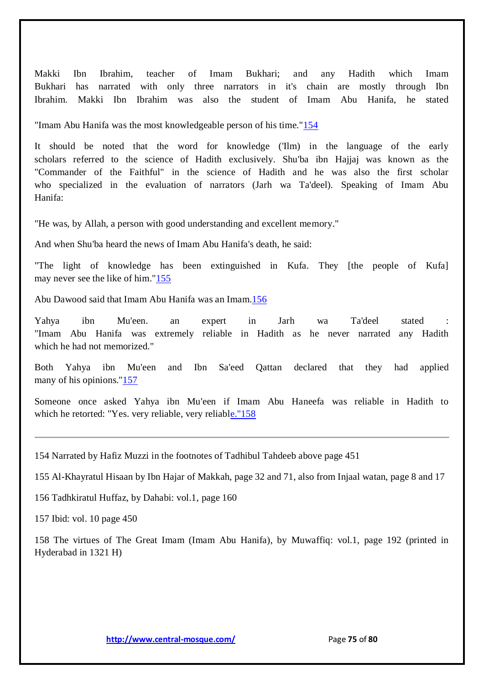Makki Ibn Ibrahim, teacher of Imam Bukhari; and any Hadith which Imam Bukhari has narrated with only three narrators in it's chain are mostly through Ibn Ibrahim. Makki Ibn Ibrahim was also the student of Imam Abu Hanifa, he stated

"Imam Abu Hanifa was the most knowledgeable person of his time.["154](LegalS.html#53)

It should be noted that the word for knowledge ('Ilm) in the language of the early scholars referred to the science of Hadith exclusively. Shu'ba ibn Hajjaj was known as the "Commander of the Faithful" in the science of Hadith and he was also the first scholar who specialized in the evaluation of narrators (Jarh wa Ta'deel). Speaking of Imam Abu Hanifa:

"He was, by Allah, a person with good understanding and excellent memory."

And when Shu'ba heard the news of Imam Abu Hanifa's death, he said:

"The light of knowledge has been extinguished in Kufa. They [the people of Kufa] may never see the like of him.["155](LegalS.html#53)

Abu Dawood said that Imam Abu Hanifa was an Imam[.156](LegalS.html#53) 

Yahya ibn Mu'een. an expert in Jarh wa Ta'deel stated : "Imam Abu Hanifa was extremely reliable in Hadith as he never narrated any Hadith which he had not memorized."

Both Yahya ibn Mu'een and Ibn Sa'eed Qattan declared that they had applied many of his opinions.["157](LegalS.html#53)

Someone once asked Yahya ibn Mu'een if Imam Abu Haneefa was reliable in Hadith to which he retorted: "Yes. very reliable, very reliab[le."158](LegalS.html#53)

154 Narrated by Hafiz Muzzi in the footnotes of Tadhibul Tahdeeb above page 451

155 Al-Khayratul Hisaan by Ibn Hajar of Makkah, page 32 and 71, also from Injaal watan, page 8 and 17

156 Tadhkiratul Huffaz, by Dahabi: vol.1, page 160

157 Ibid: vol. 10 page 450

158 The virtues of The Great Imam (Imam Abu Hanifa), by Muwaffiq: vol.1, page 192 (printed in Hyderabad in 1321 H)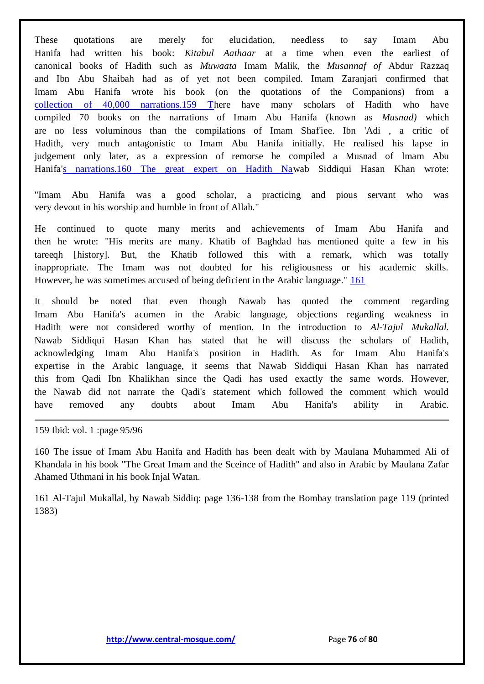These quotations are merely for elucidation, needless to say Imam Abu Hanifa had written his book: *Kitabul Aathaar* at a time when even the earliest of canonical books of Hadith such as *Muwaata* Imam Malik, the *Musannaf of* Abdur Razzaq and Ibn Abu Shaibah had as of yet not been compiled. Imam Zaranjari confirmed that Imam Abu Hanifa wrote his book (on the quotations of the Companions) from a [collection of 40,000 narrations.159 Th](LegalS.html#54)ere have many scholars of Hadith who have compiled 70 books on the narrations of Imam Abu Hanifa (known as *Musnad)* which are no less voluminous than the compilations of Imam Shaf'iee. Ibn 'Adi , a critic of Hadith, very much antagonistic to Imam Abu Hanifa initially. He realised his lapse in judgement only later, as a expression of remorse he compiled a Musnad of lmam Abu Hanifa['s narrations.160 The great expert on Hadith Naw](LegalS.html#54)ab Siddiqui Hasan Khan wrote:

"Imam Abu Hanifa was a good scholar, a practicing and pious servant who was very devout in his worship and humble in front of Allah."

He continued to quote many merits and achievements of Imam Abu Hanifa and then he wrote: "His merits are many. Khatib of Baghdad has mentioned quite a few in his tareeqh [history]. But, the Khatib followed this with a remark, which was totally inappropriate. The Imam was not doubted for his religiousness or his academic skills. However, he was sometimes accused of being deficient in the Arabic language." [161](LegalS.html#54)

It should be noted that even though Nawab has quoted the comment regarding Imam Abu Hanifa's acumen in the Arabic language, objections regarding weakness in Hadith were not considered worthy of mention. In the introduction to *Al-Tajul Mukallal.*  Nawab Siddiqui Hasan Khan has stated that he will discuss the scholars of Hadith, acknowledging Imam Abu Hanifa's position in Hadith. As for Imam Abu Hanifa's expertise in the Arabic language, it seems that Nawab Siddiqui Hasan Khan has narrated this from Qadi Ibn Khalikhan since the Qadi has used exactly the same words. However, the Nawab did not narrate the Qadi's statement which followed the comment which would have removed any doubts about Imam Abu Hanifa's ability in Arabic.

159 Ibid: vol. 1 :page 95/96

160 The issue of Imam Abu Hanifa and Hadith has been dealt with by Maulana Muhammed Ali of Khandala in his book "The Great Imam and the Sceince of Hadith" and also in Arabic by Maulana Zafar Ahamed Uthmani in his book Injal Watan.

161 Al-Tajul Mukallal, by Nawab Siddiq: page 136-138 from the Bombay translation page 119 (printed 1383)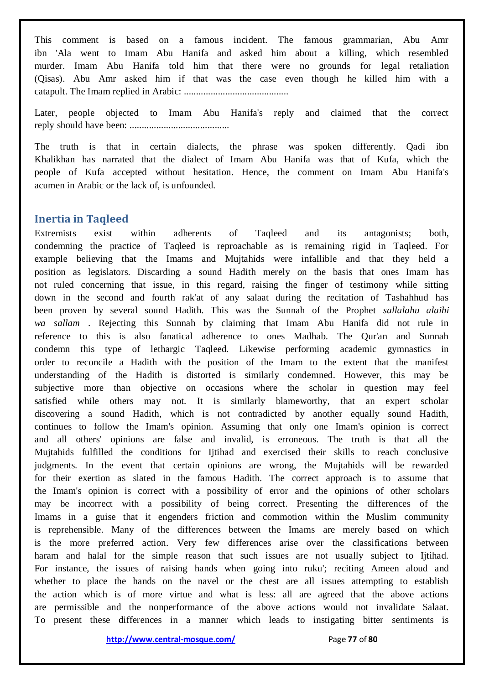This comment is based on a famous incident. The famous grammarian, Abu Amr ibn 'Ala went to Imam Abu Hanifa and asked him about a killing, which resembled murder. Imam Abu Hanifa told him that there were no grounds for legal retaliation (Qisas). Abu Amr asked him if that was the case even though he killed him with a catapult. The Imam replied in Arabic: ...........................................

Later, people objected to Imam Abu Hanifa's reply and claimed that the correct reply should have been: .........................................

The truth is that in certain dialects, the phrase was spoken differently. Qadi ibn Khalikhan has narrated that the dialect of Imam Abu Hanifa was that of Kufa, which the people of Kufa accepted without hesitation. Hence, the comment on Imam Abu Hanifa's acumen in Arabic or the lack of, is unfounded.

## **Inertia in Taqleed**

Extremists exist within adherents of Taqleed and its antagonists; both, condemning the practice of Taqleed is reproachable as is remaining rigid in Taqleed. For example believing that the Imams and Mujtahids were infallible and that they held a position as legislators. Discarding a sound Hadith merely on the basis that ones Imam has not ruled concerning that issue, in this regard, raising the finger of testimony while sitting down in the second and fourth rak'at of any salaat during the recitation of Tashahhud has been proven by several sound Hadith. This was the Sunnah of the Prophet *sallalahu alaihi wa sallam* . Rejecting this Sunnah by claiming that Imam Abu Hanifa did not rule in reference to this is also fanatical adherence to ones Madhab. The Qur'an and Sunnah condemn this type of lethargic Taqleed. Likewise performing academic gymnastics in order to reconcile a Hadith with the position of the Imam to the extent that the manifest understanding of the Hadith is distorted is similarly condemned. However, this may be subjective more than objective on occasions where the scholar in question may feel satisfied while others may not. It is similarly blameworthy, that an expert scholar discovering a sound Hadith, which is not contradicted by another equally sound Hadith, continues to follow the Imam's opinion. Assuming that only one Imam's opinion is correct and all others' opinions are false and invalid, is erroneous. The truth is that all the Mujtahids fulfilled the conditions for Ijtihad and exercised their skills to reach conclusive judgments. In the event that certain opinions are wrong, the Mujtahids will be rewarded for their exertion as slated in the famous Hadith. The correct approach is to assume that the Imam's opinion is correct with a possibility of error and the opinions of other scholars may be incorrect with a possibility of being correct. Presenting the differences of the Imams in a guise that it engenders friction and commotion within the Muslim community is reprehensible. Many of the differences between the Imams are merely based on which is the more preferred action. Very few differences arise over the classifications between haram and halal for the simple reason that such issues are not usually subject to Ijtihad. For instance, the issues of raising hands when going into ruku'; reciting Ameen aloud and whether to place the hands on the navel or the chest are all issues attempting to establish the action which is of more virtue and what is less: all are agreed that the above actions are permissible and the nonperformance of the above actions would not invalidate Salaat. To present these differences in a manner which leads to instigating bitter sentiments is

**http://www.central-mosque.com/** Page **77** of **80**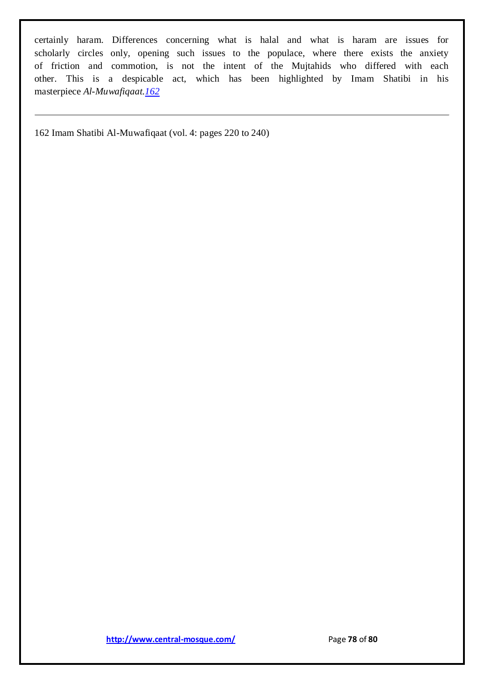certainly haram. Differences concerning what is halal and what is haram are issues for scholarly circles only, opening such issues to the populace, where there exists the anxiety of friction and commotion, is not the intent of the Mujtahids who differed with each other. This is a despicable act, which has been highlighted by Imam Shatibi in his masterpiece *Al-Muwafiqaat[.162](LegalS.html#55)*

162 Imam Shatibi Al-Muwafiqaat (vol. 4: pages 220 to 240)

**http://www.central-mosque.com/** Page **78** of **80**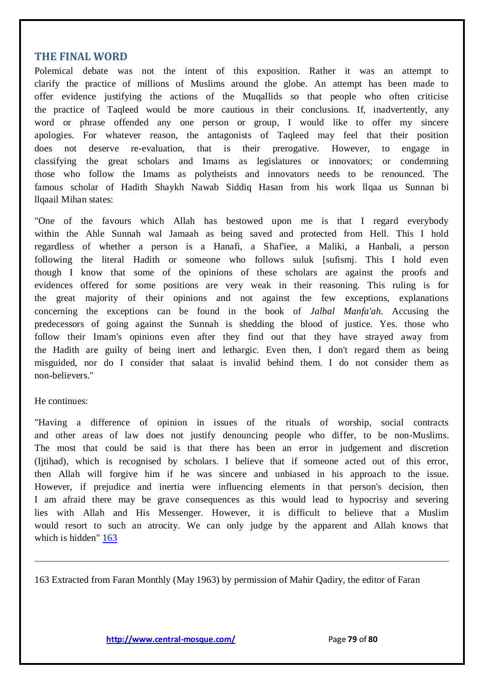## **THE FINAL WORD**

Polemical debate was not the intent of this exposition. Rather it was an attempt to clarify the practice of millions of Muslims around the globe. An attempt has been made to offer evidence justifying the actions of the Muqallids so that people who often criticise the practice of Taqleed would be more cautious in their conclusions. If, inadvertently, any word or phrase offended any one person or group, I would like to offer my sincere apologies. For whatever reason, the antagonists of Taqleed may feel that their position does not deserve re-evaluation, that is their prerogative. However, to engage in classifying the great scholars and Imams as legislatures or innovators; or condemning those who follow the Imams as polytheists and innovators needs to be renounced. The famous scholar of Hadith Shaykh Nawab Siddiq Hasan from his work llqaa us Sunnan bi llqaail Mihan states:

"One of the favours which Allah has bestowed upon me is that I regard everybody within the Ahle Sunnah wal Jamaah as being saved and protected from Hell. This I hold regardless of whether a person is a Hanafi, a Shaf'iee, a Maliki, a Hanbali, a person following the literal Hadith or someone who follows suluk [sufismj. This I hold even though I know that some of the opinions of these scholars are against the proofs and evidences offered for some positions are very weak in their reasoning. This ruling is for the great majority of their opinions and not against the few exceptions, explanations concerning the exceptions can be found in the book of *Jalbal Manfa'ah.* Accusing the predecessors of going against the Sunnah is shedding the blood of justice. Yes. those who follow their Imam's opinions even after they find out that they have strayed away from the Hadith are guilty of being inert and lethargic. Even then, I don't regard them as being misguided, nor do I consider that salaat is invalid behind them. I do not consider them as non-believers."

## He continues:

"Having a difference of opinion in issues of the rituals of worship, social contracts and other areas of law does not justify denouncing people who differ, to be non-Muslims. The most that could be said is that there has been an error in judgement and discretion (Ijtihad), which is recognised by scholars. I believe that if someone acted out of this error, then Allah will forgive him if he was sincere and unbiased in his approach to the issue. However, if prejudice and inertia were influencing elements in that person's decision, then I am afraid there may be grave consequences as this would lead to hypocrisy and severing lies with Allah and His Messenger. However, it is difficult to believe that a Muslim would resort to such an atrocity. We can only judge by the apparent and Allah knows that which is hidden" [163](LegalS.html#56)

163 Extracted from Faran Monthly (May 1963) by permission of Mahir Qadiry, the editor of Faran

**http://www.central-mosque.com/** Page **79** of **80**